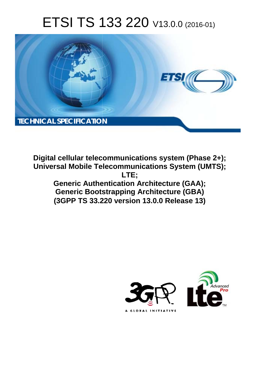# ETSI TS 133 220 V13.0.0 (2016-01)



**Digital cellular telecommunications system (Phase 2+); Universal Mobile Tel elecommunications System ( (UMTS);** Generic Authentication Architecture (GAA); **Generic Bootstrapping Architecture (GBA) (3GPP TS 33.2 .220 version 13.0.0 Release 13 13) LTE;** 

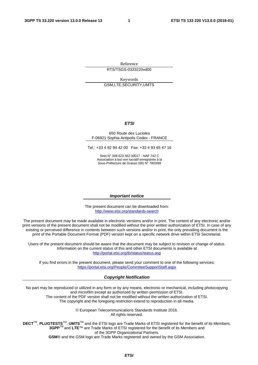Reference RTS/TSGS-0333220vd00

Keywords GSM,LTE,SECURITY,UMTS

#### *ETSI*

#### 650 Route des Lucioles F-06921 Sophia Antipolis Cedex - FRANCE

Tel.: +33 4 92 94 42 00 Fax: +33 4 93 65 47 16

Siret N° 348 623 562 00017 - NAF 742 C Association à but non lucratif enregistrée à la Sous-Préfecture de Grasse (06) N° 7803/88

#### *Important notice*

The present document can be downloaded from: <http://www.etsi.org/standards-search>

The present document may be made available in electronic versions and/or in print. The content of any electronic and/or print versions of the present document shall not be modified without the prior written authorization of ETSI. In case of any existing or perceived difference in contents between such versions and/or in print, the only prevailing document is the print of the Portable Document Format (PDF) version kept on a specific network drive within ETSI Secretariat.

Users of the present document should be aware that the document may be subject to revision or change of status. Information on the current status of this and other ETSI documents is available at <http://portal.etsi.org/tb/status/status.asp>

If you find errors in the present document, please send your comment to one of the following services: <https://portal.etsi.org/People/CommiteeSupportStaff.aspx>

#### *Copyright Notification*

No part may be reproduced or utilized in any form or by any means, electronic or mechanical, including photocopying and microfilm except as authorized by written permission of ETSI.

The content of the PDF version shall not be modified without the written authorization of ETSI. The copyright and the foregoing restriction extend to reproduction in all media.

> © European Telecommunications Standards Institute 2016. All rights reserved.

**DECT**TM, **PLUGTESTS**TM, **UMTS**TM and the ETSI logo are Trade Marks of ETSI registered for the benefit of its Members. **3GPP**TM and **LTE**™ are Trade Marks of ETSI registered for the benefit of its Members and of the 3GPP Organizational Partners.

**GSM**® and the GSM logo are Trade Marks registered and owned by the GSM Association.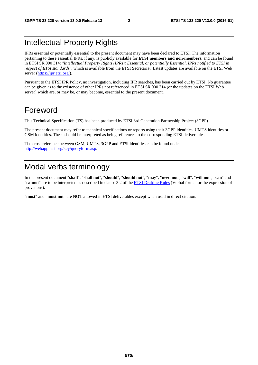## Intellectual Property Rights

IPRs essential or potentially essential to the present document may have been declared to ETSI. The information pertaining to these essential IPRs, if any, is publicly available for **ETSI members and non-members**, and can be found in ETSI SR 000 314: *"Intellectual Property Rights (IPRs); Essential, or potentially Essential, IPRs notified to ETSI in respect of ETSI standards"*, which is available from the ETSI Secretariat. Latest updates are available on the ETSI Web server [\(https://ipr.etsi.org/](https://ipr.etsi.org/)).

Pursuant to the ETSI IPR Policy, no investigation, including IPR searches, has been carried out by ETSI. No guarantee can be given as to the existence of other IPRs not referenced in ETSI SR 000 314 (or the updates on the ETSI Web server) which are, or may be, or may become, essential to the present document.

### Foreword

This Technical Specification (TS) has been produced by ETSI 3rd Generation Partnership Project (3GPP).

The present document may refer to technical specifications or reports using their 3GPP identities, UMTS identities or GSM identities. These should be interpreted as being references to the corresponding ETSI deliverables.

The cross reference between GSM, UMTS, 3GPP and ETSI identities can be found under <http://webapp.etsi.org/key/queryform.asp>.

## Modal verbs terminology

In the present document "**shall**", "**shall not**", "**should**", "**should not**", "**may**", "**need not**", "**will**", "**will not**", "**can**" and "**cannot**" are to be interpreted as described in clause 3.2 of the [ETSI Drafting Rules](http://portal.etsi.org/Help/editHelp!/Howtostart/ETSIDraftingRules.aspx) (Verbal forms for the expression of provisions).

"**must**" and "**must not**" are **NOT** allowed in ETSI deliverables except when used in direct citation.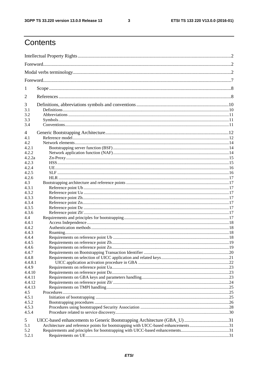$\mathbf{3}$ 

## Contents

| 1       |                                                                                    |  |  |
|---------|------------------------------------------------------------------------------------|--|--|
| 2       |                                                                                    |  |  |
| 3       |                                                                                    |  |  |
| 3.1     |                                                                                    |  |  |
| 3.2     |                                                                                    |  |  |
| 3.3     |                                                                                    |  |  |
| 3.4     |                                                                                    |  |  |
| 4       |                                                                                    |  |  |
| 4.1     |                                                                                    |  |  |
| 4.2     |                                                                                    |  |  |
| 4.2.1   |                                                                                    |  |  |
| 4.2.2   |                                                                                    |  |  |
| 4.2.2a  |                                                                                    |  |  |
| 4.2.3   |                                                                                    |  |  |
| 4.2.4   |                                                                                    |  |  |
| 4.2.5   |                                                                                    |  |  |
| 4.2.6   |                                                                                    |  |  |
| 4.3     |                                                                                    |  |  |
| 4.3.1   |                                                                                    |  |  |
| 4.3.2   |                                                                                    |  |  |
| 4.3.3   |                                                                                    |  |  |
| 4.3.4   |                                                                                    |  |  |
| 4.3.5   |                                                                                    |  |  |
| 4.3.6   |                                                                                    |  |  |
| 4.4     |                                                                                    |  |  |
| 4.4.1   |                                                                                    |  |  |
| 4.4.2   |                                                                                    |  |  |
| 4.4.3   |                                                                                    |  |  |
| 4.4.4   |                                                                                    |  |  |
| 4.4.5   |                                                                                    |  |  |
| 4.4.6   |                                                                                    |  |  |
| 4.4.7   |                                                                                    |  |  |
| 4.4.8   |                                                                                    |  |  |
| 4.4.8.1 |                                                                                    |  |  |
| 4.4.9   |                                                                                    |  |  |
| 4.4.10  |                                                                                    |  |  |
| 4.4.11  |                                                                                    |  |  |
| 4.4.12  |                                                                                    |  |  |
| 4.4.13  |                                                                                    |  |  |
| 4.5     |                                                                                    |  |  |
| 4.5.1   |                                                                                    |  |  |
| 4.5.2   |                                                                                    |  |  |
| 4.5.3   |                                                                                    |  |  |
| 4.5.4   |                                                                                    |  |  |
| 5       | UICC-based enhancements to Generic Bootstrapping Architecture (GBA_U) 31           |  |  |
| 5.1     | Architecture and reference points for bootstrapping with UICC-based enhancements31 |  |  |
| 5.2     |                                                                                    |  |  |
| 5.2.1   |                                                                                    |  |  |
|         |                                                                                    |  |  |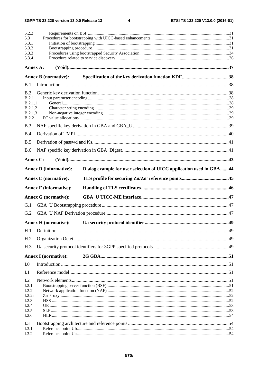$\overline{\mathbf{4}}$ 

| 5.2.2<br>5.3       |                               |                                                                     |     |
|--------------------|-------------------------------|---------------------------------------------------------------------|-----|
| 5.3.1<br>5.3.2     |                               |                                                                     |     |
| 5.3.3              |                               |                                                                     |     |
| 5.3.4              |                               |                                                                     |     |
| Annex A:           |                               |                                                                     |     |
|                    | <b>Annex B</b> (normative):   |                                                                     |     |
| B.1                |                               |                                                                     |     |
| B.2                |                               |                                                                     |     |
| B.2.1              |                               |                                                                     |     |
| B.2.1.1<br>B.2.1.2 |                               |                                                                     |     |
| B.2.1.3            |                               |                                                                     |     |
| B.2.2              |                               |                                                                     |     |
| B.3                |                               |                                                                     |     |
| B.4                |                               |                                                                     |     |
| B.5                |                               |                                                                     |     |
| <b>B.6</b>         |                               |                                                                     |     |
| Annex C:           |                               |                                                                     |     |
|                    | <b>Annex D</b> (informative): | Dialog example for user selection of UICC application used in GBA44 |     |
|                    |                               |                                                                     |     |
|                    | <b>Annex E</b> (normative):   |                                                                     |     |
|                    |                               |                                                                     |     |
|                    | <b>Annex F</b> (informative): |                                                                     |     |
|                    | <b>Annex G (normative):</b>   |                                                                     |     |
| G.1                |                               |                                                                     |     |
| G.2                |                               |                                                                     |     |
|                    | <b>Annex H</b> (normative):   |                                                                     | .49 |
| H.1                |                               |                                                                     |     |
| H <sub>.2</sub>    |                               |                                                                     |     |
| H.3                |                               |                                                                     |     |
|                    | <b>Annex I</b> (normative):   |                                                                     |     |
| I.0                |                               |                                                                     |     |
| I.1                |                               |                                                                     |     |
| I.2                |                               |                                                                     |     |
| I.2.1              |                               |                                                                     |     |
| I.2.2              |                               |                                                                     |     |
| I.2.2a<br>I.2.3    |                               |                                                                     |     |
| I.2.4              |                               |                                                                     |     |
| I.2.5              |                               |                                                                     |     |
| I.2.6              |                               |                                                                     |     |
| I.3<br>I.3.1       |                               |                                                                     |     |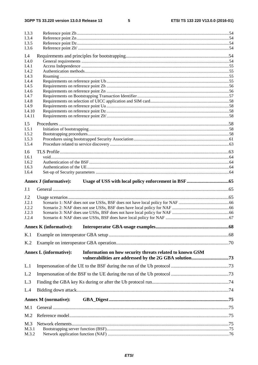$\overline{\phantom{0}}$ 

| I.3.3<br>I.3.4<br>I.3.5                          |                                                                                           |  |
|--------------------------------------------------|-------------------------------------------------------------------------------------------|--|
| I.3.6<br>I.4<br>I.4.0                            |                                                                                           |  |
| I.4.1<br>I.4.2<br>I.4.3<br>I.4.4                 |                                                                                           |  |
| I.4.5<br>I.4.6<br>I.4.7                          |                                                                                           |  |
| I.4.8<br>I.4.9<br>I.4.10<br>I.4.11               |                                                                                           |  |
| I.5<br>I.5.1<br>I.5.2<br>I.5.3                   |                                                                                           |  |
| I.5.4<br>I.6<br>I.6.1<br>I.6.2<br>I.6.3<br>I.6.4 |                                                                                           |  |
|                                                  | <b>Annex J (informative):</b>                                                             |  |
| J.1                                              |                                                                                           |  |
| J.2<br>J.2.1<br>J.2.2<br>J.2.3<br>J.2.4          |                                                                                           |  |
|                                                  | <b>Annex K</b> (informative):                                                             |  |
| K.1                                              |                                                                                           |  |
| K.2                                              |                                                                                           |  |
|                                                  | Information on how security threats related to known GSM<br><b>Annex L (informative):</b> |  |
| L.1                                              |                                                                                           |  |
| L.2                                              |                                                                                           |  |
| L.3                                              |                                                                                           |  |
| L.4                                              |                                                                                           |  |
|                                                  | <b>Annex M</b> (normative):                                                               |  |
| M.1                                              |                                                                                           |  |
| M <sub>0</sub>                                   |                                                                                           |  |
| M.3<br>M.3.1<br>M.3.2                            |                                                                                           |  |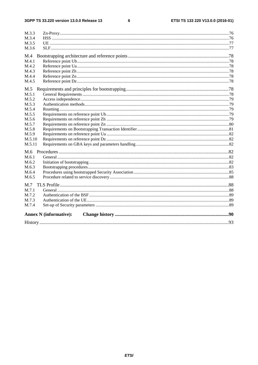#### $\bf 6$

| M.3.3  |                               |  |
|--------|-------------------------------|--|
| M.3.4  |                               |  |
| M.3.5  |                               |  |
| M.3.6  |                               |  |
| M.4    |                               |  |
| M.4.1  |                               |  |
| M.4.2  |                               |  |
| M.4.3  |                               |  |
| M.4.4  |                               |  |
| M.4.5  |                               |  |
| M.5    |                               |  |
| M.5.1  |                               |  |
| M.5.2  |                               |  |
| M.5.3  |                               |  |
| M.5.4  |                               |  |
| M.5.5  |                               |  |
| M.5.6  |                               |  |
| M.5.7  |                               |  |
| M.5.8  |                               |  |
| M.5.9  |                               |  |
| M.5.10 |                               |  |
| M.5.11 |                               |  |
| M.6    |                               |  |
| M.6.1  |                               |  |
| M.6.2  |                               |  |
| M.6.3  |                               |  |
| M.6.4  |                               |  |
| M.6.5  |                               |  |
| M.7    |                               |  |
| M.7.1  |                               |  |
| M.7.2  |                               |  |
| M.7.3  |                               |  |
| M.7.4  |                               |  |
|        |                               |  |
|        | <b>Annex N</b> (informative): |  |
|        |                               |  |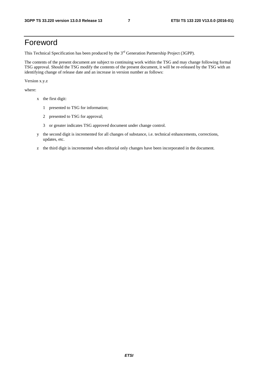## Foreword

This Technical Specification has been produced by the 3<sup>rd</sup> Generation Partnership Project (3GPP).

The contents of the present document are subject to continuing work within the TSG and may change following formal TSG approval. Should the TSG modify the contents of the present document, it will be re-released by the TSG with an identifying change of release date and an increase in version number as follows:

Version x.y.z

where:

- x the first digit:
	- 1 presented to TSG for information;
	- 2 presented to TSG for approval;
	- 3 or greater indicates TSG approved document under change control.
- y the second digit is incremented for all changes of substance, i.e. technical enhancements, corrections, updates, etc.
- z the third digit is incremented when editorial only changes have been incorporated in the document.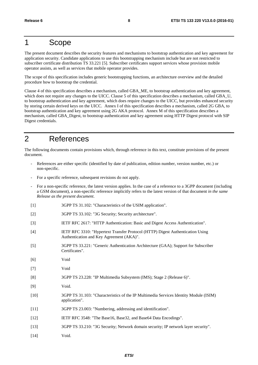## 1 Scope

The present document describes the security features and mechanisms to bootstrap authentication and key agreement for application security. Candidate applications to use this bootstrapping mechanism include but are not restricted to subscriber certificate distribution TS 33.221 [5]. Subscriber certificates support services whose provision mobile operator assists, as well as services that mobile operator provides.

The scope of this specification includes generic bootstrapping functions, an architecture overview and the detailed procedure how to bootstrap the credential.

Clause 4 of this specification describes a mechanism, called GBA\_ME, to bootstrap authentication and key agreement, which does not require any changes to the UICC. Clause 5 of this specification describes a mechanism, called GBA\_U, to bootstrap authentication and key agreement, which does require changes to the UICC, but provides enhanced security by storing certain derived keys on the UICC. Annex I of this specification describes a mechanism, called 2G GBA, to bootstrap authentication and key agreement using 2G AKA protocol. Annex M of this specification describes a mechanism, called GBA\_Digest, to bootstrap authentication and key agreement using HTTP Digest protocol with SIP Digest credentials.

## 2 References

The following documents contain provisions which, through reference in this text, constitute provisions of the present document.

- References are either specific (identified by date of publication, edition number, version number, etc.) or non-specific.
- For a specific reference, subsequent revisions do not apply.
- For a non-specific reference, the latest version applies. In the case of a reference to a 3GPP document (including a GSM document), a non-specific reference implicitly refers to the latest version of that document *in the same Release as the present document*.
- [1] 3GPP TS 31.102: "Characteristics of the USIM application".
- [2] 3GPP TS 33.102: "3G Security; Security architecture".
- [3] IETF RFC 2617: "HTTP Authentication: Basic and Digest Access Authentication".
- [4] IETF RFC 3310: "Hypertext Transfer Protocol (HTTP) Digest Authentication Using Authentication and Key Agreement (AKA)".
- [5] 3GPP TS 33.221: "Generic Authentication Architecture (GAA); Support for Subscriber Certificates".
- [6] Void
- [7] Void
- [8] 3GPP TS 23.228: "IP Multimedia Subsystem (IMS); Stage 2 (Release 6)".
- [9] Void.
- [10] 3GPP TS 31.103: "Characteristics of the IP Multimedia Services Identity Module (ISIM) application".
- [11] 3GPP TS 23.003: "Numbering, addressing and identification".
- [12] IETF RFC 3548: "The Base16, Base32, and Base64 Data Encodings".
- [13] 3GPP TS 33.210: "3G Security; Network domain security; IP network layer security".
- [14] Void.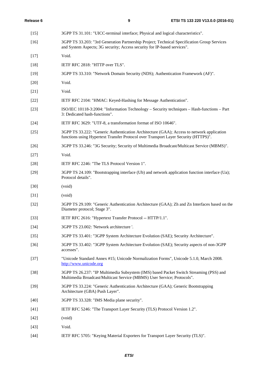| $[15]$ | 3GPP TS 31.101: "UICC-terminal interface; Physical and logical characteristics".                                                                                                 |
|--------|----------------------------------------------------------------------------------------------------------------------------------------------------------------------------------|
| $[16]$ | 3GPP TS 33.203: "3rd Generation Partnership Project; Technical Specification Group Services<br>and System Aspects; 3G security; Access security for IP-based services".          |
| $[17]$ | Void.                                                                                                                                                                            |
| $[18]$ | IETF RFC 2818: "HTTP over TLS".                                                                                                                                                  |
| $[19]$ | 3GPP TS 33.310: "Network Domain Security (NDS); Authentication Framework (AF)".                                                                                                  |
| $[20]$ | Void.                                                                                                                                                                            |
| $[21]$ | Void.                                                                                                                                                                            |
| $[22]$ | IETF RFC 2104: "HMAC: Keyed-Hashing for Message Authentication".                                                                                                                 |
| $[23]$ | ISO/IEC 10118-3:2004: "Information Technology – Security techniques – Hash-functions – Part<br>3: Dedicated hash-functions".                                                     |
| $[24]$ | IETF RFC 3629: "UTF-8, a transformation format of ISO 10646".                                                                                                                    |
| $[25]$ | 3GPP TS 33.222: "Generic Authentication Architecture (GAA); Access to network application<br>functions using Hypertext Transfer Protocol over Transport Layer Security (HTTPS)". |
| $[26]$ | 3GPP TS 33.246: "3G Security; Security of Multimedia Broadcast/Multicast Service (MBMS)".                                                                                        |
| $[27]$ | Void.                                                                                                                                                                            |
| $[28]$ | IETF RFC 2246: "The TLS Protocol Version 1".                                                                                                                                     |
| $[29]$ | 3GPP TS 24.109: "Bootstrapping interface (Ub) and network application function interface (Ua);<br>Protocol details".                                                             |
| $[30]$ | (void)                                                                                                                                                                           |
| $[31]$ | (void)                                                                                                                                                                           |
| $[32]$ | 3GPP TS 29.109: "Generic Authentication Architecture (GAA); Zh and Zn Interfaces based on the<br>Diameter protocol; Stage 3".                                                    |
| $[33]$ | IETF RFC 2616: "Hypertext Transfer Protocol -- HTTP/1.1".                                                                                                                        |
| $[34]$ | 3GPP TS 23.002: 'Network architecture '.                                                                                                                                         |
| $[35]$ | 3GPP TS 33.401: "3GPP System Architecture Evolution (SAE); Security Architecture".                                                                                               |
| $[36]$ | 3GPP TS 33.402: "3GPP System Architecture Evolution (SAE); Security aspects of non-3GPP<br>accesses".                                                                            |
| $[37]$ | "Unicode Standard Annex #15; Unicode Normalization Forms", Unicode 5.1.0, March 2008.<br>http://www.unicode.org                                                                  |
| $[38]$ | 3GPP TS 26.237: "IP Multimedia Subsystem (IMS) based Packet Switch Streaming (PSS) and<br>Multimedia Broadcast/Multicast Service (MBMS) User Service; Protocols".                |
| $[39]$ | 3GPP TS 33.224: "Generic Authentication Architecture (GAA); Generic Bootstrapping<br>Architecture (GBA) Push Layer".                                                             |
| $[40]$ | 3GPP TS 33.328: "IMS Media plane security".                                                                                                                                      |
| $[41]$ | IETF RFC 5246: "The Transport Layer Security (TLS) Protocol Version 1.2".                                                                                                        |
| $[42]$ | (void)                                                                                                                                                                           |
| $[43]$ | Void.                                                                                                                                                                            |
| $[44]$ | IETF RFC 5705: "Keying Material Exporters for Transport Layer Security (TLS)".                                                                                                   |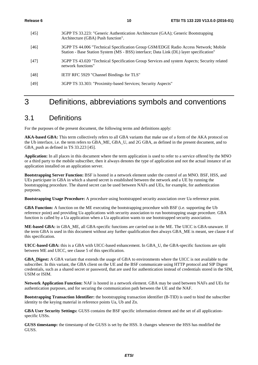- [45] 3GPP TS 33.223: "Generic Authentication Architecture (GAA); Generic Bootstrapping Architecture (GBA) Push function". [46] 3GPP TS 44.006 "Technical Specification Group GSM/EDGE Radio Access Network; Mobile
- Station Base Station System (MS BSS) interface; Data Link (DL) layer specification"
- [47] 3GPP TS 43.020 "Technical Specification Group Services and system Aspects; Security related network functions"
- [48] IETF RFC 5929 "Channel Bindings for TLS"
- [49] 3GPP TS 33.303: "Proximity-based Services; Security Aspects"

## 3 Definitions, abbreviations symbols and conventions

### 3.1 Definitions

For the purposes of the present document, the following terms and definitions apply:

**AKA-based GBA:** This term collectively refers to all GBA variants that make use of a form of the AKA protocol on the Ub interface, i.e. the term refers to GBA\_ME, GBA\_U, and 2G GBA, as defined in the present document, and to GBA\_push as defined in TS 33.223 [45].

**Application:** In all places in this document where the term application is used to refer to a service offered by the MNO or a third party to the mobile subscriber, then it always denotes the type of application and not the actual instance of an application installed on an application server.

**Bootstrapping Server Function:** BSF is hosted in a network element under the control of an MNO. BSF, HSS, and UEs participate in GBA in which a shared secret is established between the network and a UE by running the bootstrapping procedure. The shared secret can be used between NAFs and UEs, for example, for authentication purposes.

**Bootstrapping Usage Procedure:** A procedure using bootstrapped security association over Ua reference point.

**GBA Function:** A function on the ME executing the bootstrapping procedure with BSF (i.e. supporting the Ub reference point) and providing Ua applications with security association to run bootstrapping usage procedure. GBA function is called by a Ua application when a Ua application wants to use bootstrapped security association.

**ME-based GBA:** in GBA\_ME, all GBA-specific functions are carried out in the ME. The UICC is GBA-unaware. If the term GBA is used in this document without any further qualification then always GBA\_ME is meant, see clause 4 of this specification.

**UICC-based GBA:** this is a GBA with UICC-based enhancement. In GBA\_U, the GBA-specific functions are split between ME and UICC, see clause 5 of this specification.

**GBA** Digest: A GBA variant that extends the usage of GBA to environments where the UICC is not available to the subscriber. In this variant, the GBA client on the UE and the BSF communicate using HTTP protocol and SIP Digest credentials, such as a shared secret or password, that are used for authentication instead of credentials stored in the SIM, USIM or ISIM.

**Network Application Function:** NAF is hosted in a network element. GBA may be used between NAFs and UEs for authentication purposes, and for securing the communication path between the UE and the NAF.

**Bootstrapping Transaction Identifier:** the bootstrapping transaction identifier (B-TID) is used to bind the subscriber identity to the keying material in reference points Ua, Ub and Zn.

**GBA User Security Settings:** GUSS contains the BSF specific information element and the set of all applicationspecific USSs.

**GUSS timestamp:** the timestamp of the GUSS is set by the HSS. It changes whenever the HSS has modified the GUSS.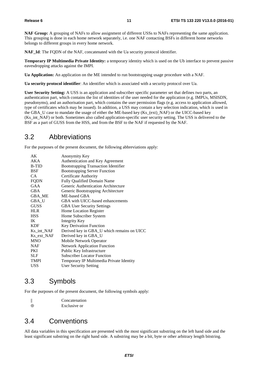**NAF Group:** A grouping of NAFs to allow assignment of different USSs to NAFs representing the same application. This grouping is done in each home network separately, i.e. one NAF contacting BSFs in different home networks belongs to different groups in every home network.

**NAF** Id: The FQDN of the NAF, concatenated with the Ua security protocol identifier.

**Temporary IP Multimedia Private Identity:** a temporary identity which is used on the Ub interface to prevent passive eavesdropping attacks against the IMPI.

**Ua Application:** An application on the ME intended to run bootstrapping usage procedure with a NAF.

**Ua security protocol identifier**: An identifier which is associated with a security protocol over Ua.

**User Security Setting:** A USS is an application and subscriber specific parameter set that defines two parts, an authentication part, which contains the list of identities of the user needed for the application (e.g. IMPUs, MSISDN, pseudonyms), and an authorisation part, which contains the user permission flags (e.g. access to application allowed, type of certificates which may be issued). In addition, a USS may contain a key selection indication, which is used in the GBA\_U case to mandate the usage of either the ME-based key (Ks\_(ext)\_NAF) or the UICC-based key (Ks\_int\_NAF) or both. Sometimes also called application-specific user security setting. The USS is delivered to the BSF as a part of GUSS from the HSS, and from the BSF to the NAF if requested by the NAF.

### 3.2 Abbreviations

For the purposes of the present document, the following abbreviations apply:

| AK          | Anonymity Key                               |
|-------------|---------------------------------------------|
| AKA         | Authentication and Key Agreement            |
| B-TID       | <b>Bootstrapping Transaction Identifier</b> |
| <b>BSF</b>  | <b>Bootstrapping Server Function</b>        |
| CA.         | Certificate Authority                       |
| <b>FQDN</b> | <b>Fully Qualified Domain Name</b>          |
| GAA         | Generic Authentication Architecture         |
| GBA         | Generic Bootstrapping Architecture          |
| GBA ME      | ME-based GBA                                |
| GBA_U       | GBA with UICC-based enhancements            |
| <b>GUSS</b> | <b>GBA User Security Settings</b>           |
| <b>HLR</b>  | Home Location Register                      |
| <b>HSS</b>  | Home Subscriber System                      |
| IK          | <b>Integrity Key</b>                        |
| <b>KDF</b>  | <b>Key Derivation Function</b>              |
| Ks_int_NAF  | Derived key in GBA_U which remains on UICC  |
| Ks_ext_NAF  | Derived key in GBA_U                        |
| <b>MNO</b>  | Mobile Network Operator                     |
| <b>NAF</b>  | <b>Network Application Function</b>         |
| PKI         | Public Key Infrastructure                   |
| <b>SLF</b>  | <b>Subscriber Locator Function</b>          |
| <b>TMPI</b> | Temporary IP Multimedia Private Identity    |
| <b>USS</b>  | <b>User Security Setting</b>                |
|             |                                             |

### 3.3 Symbols

For the purposes of the present document, the following symbols apply:

|          | Concatenation |
|----------|---------------|
| $\oplus$ | Exclusive or  |

### 3.4 Conventions

All data variables in this specification are presented with the most significant substring on the left hand side and the least significant substring on the right hand side. A substring may be a bit, byte or other arbitrary length bitstring.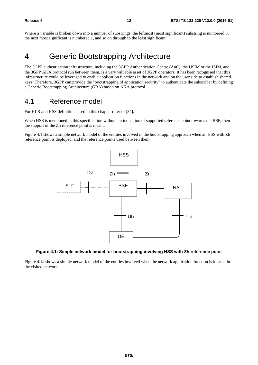Where a variable is broken down into a number of substrings, the leftmost (most significant) substring is numbered 0, the next most significant is numbered 1, and so on through to the least significant.

## 4 Generic Bootstrapping Architecture

The 3GPP authentication infrastructure, including the 3GPP Authentication Centre (AuC), the USIM or the ISIM, and the 3GPP AKA protocol run between them, is a very valuable asset of 3GPP operators. It has been recognised that this infrastructure could be leveraged to enable application functions in the network and on the user side to establish shared keys. Therefore, 3GPP can provide the "bootstrapping of application security" to authenticate the subscriber by defining a Generic Bootstrapping Architecture (GBA) based on AKA protocol.

## 4.1 Reference model

For HLR and HSS definitions used in this chapter refer to [34].

When HSS is mentioned in this specification without an indication of supported reference point towards the BSF, then the support of the Zh reference point is meant.

Figure 4.1 shows a simple network model of the entities involved in the bootstrapping approach when an HSS with Zh reference point is deployed, and the reference points used between them.



#### **Figure 4.1: Simple network model for bootstrapping involving HSS with Zh reference point**

Figure 4.1a shows a simple network model of the entities involved when the network application function is located in the visited network.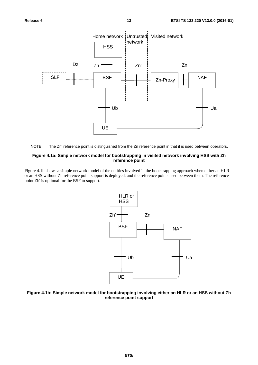



#### **Figure 4.1a: Simple network model for bootstrapping in visited network involving HSS with Zh reference point**

Figure 4.1b shows a simple network model of the entities involved in the bootstrapping approach when either an HLR or an HSS without Zh reference point support is deployed, and the reference points used between them. The reference point Zh' is optional for the BSF to support.



#### **Figure 4.1b: Simple network model for bootstrapping involving either an HLR or an HSS without Zh reference point support**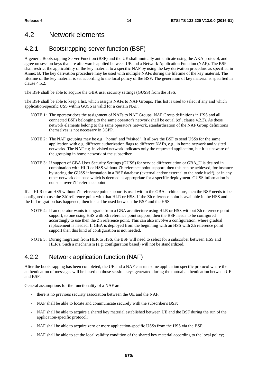### 4.2 Network elements

### 4.2.1 Bootstrapping server function (BSF)

A generic Bootstrapping Server Function (BSF) and the UE shall mutually authenticate using the AKA protocol, and agree on session keys that are afterwards applied between UE and a Network Application Function (NAF). The BSF shall restrict the applicability of the key material to a specific NAF by using the key derivation procedure as specified in Annex B. The key derivation procedure may be used with multiple NAFs during the lifetime of the key material. The lifetime of the key material is set according to the local policy of the BSF. The generation of key material is specified in clause 4.5.2.

The BSF shall be able to acquire the GBA user security settings (GUSS) from the HSS.

The BSF shall be able to keep a list, which assigns NAFs to NAF Groups. This list is used to select if any and which application-specific USS within GUSS is valid for a certain NAF.

- NOTE 1: The operator does the assignment of NAFs to NAF Groups. NAF Group definitions in HSS and all connected BSFs belonging to the same operator's network shall be equal (cf., clause 4.2.3). As these network elements belong to the same operator's network, standardisation of the NAF Group definitions themselves is not necessary in 3GPP.
- NOTE 2: The NAF grouping may be e.g. "home" and "visited". It allows the BSF to send USSs for the same application with e.g. different authorization flags to different NAFs, e.g., in home network and visited networks. The NAF e.g. in visited network indicates only the requested application, but it is unaware of the grouping in home network of the subscriber.
- NOTE 3: If support of GBA User Security Settings (GUSS) for service differentiation or GBA\_U is desired in combination with HLR or HSS without Zh reference point support, then this can be achieved, for instance by storing the GUSS information in a BSF database (external and/or external to the node itself), or in any other network database which is deemed as appropriate for a specific deployment. GUSS information is not sent over Zh' reference point.

If an HLR or an HSS without Zh reference point support is used within the GBA architecture, then the BSF needs to be configured to use the Zh' reference point with that HLR or HSS. If the Zh reference point is available in the HSS and the full migration has happened, then it shall be used between the BSF and the HSS.

- NOTE 4: If an operator wants to upgrade from a GBA architecture using HLR or HSS without Zh reference point support, to one using HSS with Zh reference point support, then the BSF needs to be configured accordingly to use then the Zh reference point. This can also involve a configuration, where gradual replacement is needed. If GBA is deployed from the beginning with an HSS with Zh reference point support then this kind of configuration is not needed.
- NOTE 5: During migration from HLR to HSS, the BSF will need to select for a subscriber between HSS and HLR's. Such a mechanism (e.g. configuration based) will not be standardized.

### 4.2.2 Network application function (NAF)

After the bootstrapping has been completed, the UE and a NAF can run some application specific protocol where the authentication of messages will be based on those session keys generated during the mutual authentication between UE and BSF.

General assumptions for the functionality of a NAF are:

- there is no previous security association between the UE and the NAF;
- NAF shall be able to locate and communicate securely with the subscriber's BSF;
- NAF shall be able to acquire a shared key material established between UE and the BSF during the run of the application-specific protocol;
- NAF shall be able to acquire zero or more application-specific USSs from the HSS via the BSF;
- NAF shall be able to set the local validity condition of the shared key material according to the local policy;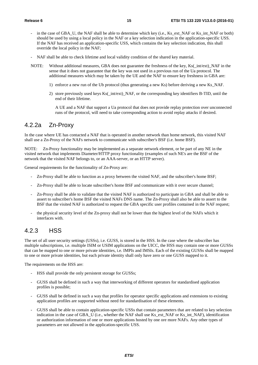- in the case of GBA\_U, the NAF shall be able to determine which key (i.e., Ks\_ext\_NAF or Ks\_int\_NAF or both) should be used by using a local policy in the NAF or a key selection indication in the application-specific USS. If the NAF has received an application-specific USS, which contains the key selection indication, this shall override the local policy in the NAF;
- NAF shall be able to check lifetime and local validity condition of the shared key material.
- NOTE: Without additional measures, GBA does not guarantee the freshness of the key, Ks( int/ext) NAF in the sense that it does not guarantee that the key was not used in a previous run of the Ua protocol. The additional measures which may be taken by the UE and the NAF to ensure key freshness in GBA are:
	- 1) enforce a new run of the Ub protocol (thus generating a new Ks) before deriving a new Ks\_NAF.
	- 2) store previously used keys Ks( $int/ext)$  NAF, or the corresponding key identifiers B-TID, until the end of their lifetime.

 A UE and a NAF that support a Ua protocol that does not provide replay protection over unconnected runs of the protocol, will need to take corresponding action to avoid replay attacks if desired.

#### 4.2.2a Zn-Proxy

In the case where UE has contacted a NAF that is operated in another network than home network, this visited NAF shall use a Zn-Proxy of the NAFs network to communicate with subscriber's BSF (i.e. home BSF).

NOTE: Zn-Proxy functionality may be implemented as a separate network element, or be part of any NE in the visited network that implements Diameter/HTTP proxy functionality (examples of such NE's are the BSF of the network that the visited NAF belongs to, or an AAA-server, or an HTTP server).

General requirements for the functionality of Zn-Proxy are:

- Zn-Proxy shall be able to function as a proxy between the visited NAF, and the subscriber's home BSF;
- Zn-Proxy shall be able to locate subscriber's home BSF and communicate with it over secure channel;
- Zn-Proxy shall be able to validate that the visited NAF is authorized to participate in GBA and shall be able to assert to subscriber's home BSF the visited NAFs DNS name. The Zn-Proxy shall also be able to assert to the BSF that the visited NAF is authorized to request the GBA specific user profiles contained in the NAF request;
- the physical security level of the Zn-proxy shall not be lower than the highest level of the NAFs which it interfaces with.

#### 4.2.3 HSS

The set of all user security settings (USSs), i.e. GUSS, is stored in the HSS. In the case where the subscriber has multiple subscriptions, i.e. multiple ISIM or USIM applications on the UICC, the HSS may contain one or more GUSSs that can be mapped to one or more private identities, i.e. IMPIs and IMSIs. Each of the existing GUSSs shall be mapped to one or more private identities, but each private identity shall only have zero or one GUSS mapped to it.

The requirements on the HSS are:

- HSS shall provide the only persistent storage for GUSSs;
- GUSS shall be defined in such a way that interworking of different operators for standardised application profiles is possible;
- GUSS shall be defined in such a way that profiles for operator specific applications and extensions to existing application profiles are supported without need for standardisation of these elements.
- GUSS shall be able to contain application-specific USSs that contain parameters that are related to key selection indication in the case of GBA\_U (i.e., whether the NAF shall use Ks\_ext\_NAF or Ks\_int\_NAF), identification or authorization information of one or more applications hosted by one ore more NAFs. Any other types of parameters are not allowed in the application-specific USS.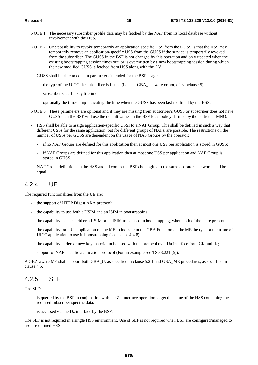- NOTE 1: The necessary subscriber profile data may be fetched by the NAF from its local database without involvement with the HSS.
- NOTE 2: One possibility to revoke temporarily an application specific USS from the GUSS is that the HSS may temporarily remove an application-specific USS from the GUSS if the service is temporarily revoked from the subscriber. The GUSS in the BSF is not changed by this operation and only updated when the existing bootstrapping session times out, or is overwritten by a new bootstrapping session during which the new modified GUSS is fetched from HSS along with the AV.
- GUSS shall be able to contain parameters intended for the BSF usage:
	- the type of the UICC the subscriber is issued (i.e. is it GBA\_U aware or not, cf. subclause 5);
	- subscriber specific key lifetime:
	- optionally the timestamp indicating the time when the GUSS has been last modified by the HSS.
- NOTE 3: These parameters are optional and if they are missing from subscriber's GUSS or subscriber does not have GUSS then the BSF will use the default values in the BSF local policy defined by the particular MNO.
- HSS shall be able to assign application-specific USSs to a NAF Group. This shall be defined in such a way that different USSs for the same application, but for different groups of NAFs, are possible. The restrictions on the number of USSs per GUSS are dependent on the usage of NAF Groups by the operator:
	- if no NAF Groups are defined for this application then at most one USS per application is stored in GUSS;
	- if NAF Groups are defined for this application then at most one USS per application and NAF Group is stored in GUSS.
- NAF Group definitions in the HSS and all connected BSFs belonging to the same operator's network shall be equal.

#### 4.2.4 UE

The required functionalities from the UE are:

- the support of HTTP Digest AKA protocol;
- the capability to use both a USIM and an ISIM in bootstrapping;
- the capability to select either a USIM or an ISIM to be used in bootstrapping, when both of them are present;
- the capability for a Ua application on the ME to indicate to the GBA Function on the ME the type or the name of UICC application to use in bootstrapping (see clause 4.4.8);
- the capability to derive new key material to be used with the protocol over Ua interface from CK and IK;
- support of NAF-specific application protocol (For an example see TS 33.221 [5]).

A GBA-aware ME shall support both GBA\_U, as specified in clause 5.2.1 and GBA\_ME procedures, as specified in clause 4.5.

### 4.2.5 SLF

The SLF:

- is queried by the BSF in conjunction with the Zh interface operation to get the name of the HSS containing the required subscriber specific data.
- is accessed via the Dz interface by the BSF.

The SLF is not required in a single HSS environment. Use of SLF is not required when BSF are configured/managed to use pre-defined HSS.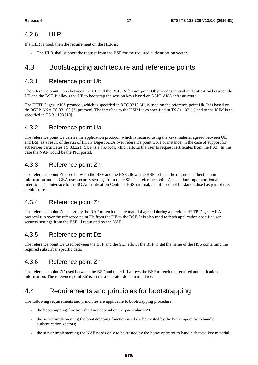#### 4.2.6 HLR

If a HLR is used, then the requirement on the HLR is:

- The HLR shall support the request from the BSF for the required authentication vector.

### 4.3 Bootstrapping architecture and reference points

#### 4.3.1 Reference point Ub

The reference point Ub is between the UE and the BSF. Reference point Ub provides mutual authentication between the UE and the BSF. It allows the UE to bootstrap the session keys based on 3GPP AKA infrastructure.

The HTTP Digest AKA protocol, which is specified in RFC 3310 [4], is used on the reference point Ub. It is based on the 3GPP AKA TS 33.102 [2] protocol. The interface to the USIM is as specified in TS 31.102 [1] and to the ISIM is as specified in TS 31.103 [10].

### 4.3.2 Reference point Ua

The reference point Ua carries the application protocol, which is secured using the keys material agreed between UE and BSF as a result of the run of HTTP Digest AKA over reference point Ub. For instance, in the case of support for subscriber certificates TS 33.221 [5], it is a protocol, which allows the user to request certificates from the NAF. In this case the NAF would be the PKI portal.

### 4.3.3 Reference point Zh

The reference point Zh used between the BSF and the HSS allows the BSF to fetch the required authentication information and all GBA user security settings from the HSS. The reference point Zh is an intra-operator domain interface. The interface to the 3G Authentication Centre is HSS-internal, and it need not be standardised as part of this architecture.

### 4.3.4 Reference point Zn

The reference point Zn is used by the NAF to fetch the key material agreed during a previous HTTP Digest AKA protocol run over the reference point Ub from the UE to the BSF. It is also used to fetch application-specific user security settings from the BSF, if requested by the NAF.

### 4.3.5 Reference point Dz

The reference point Dz used between the BSF and the SLF allows the BSF to get the name of the HSS containing the required subscriber specific data.

### 4.3.6 Reference point Zh'

The reference point Zh' used between the BSF and the HLR allows the BSF to fetch the required authentication information. The reference point Zh' is an intra-operator domain interface.

## 4.4 Requirements and principles for bootstrapping

The following requirements and principles are applicable to bootstrapping procedure:

- the bootstrapping function shall not depend on the particular NAF;
- the server implementing the bootstrapping function needs to be trusted by the home operator to handle authentication vectors;
- the server implementing the NAF needs only to be trusted by the home operator to handle derived key material;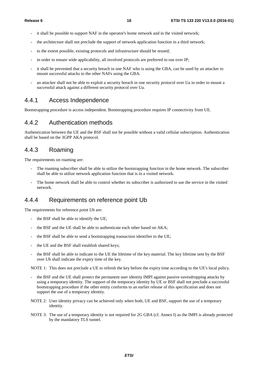- it shall be possible to support NAF in the operator's home network and in the visited network;
- the architecture shall not preclude the support of network application function in a third network;
- to the extent possible, existing protocols and infrastructure should be reused;
- in order to ensure wide applicability, all involved protocols are preferred to run over IP;
- it shall be prevented that a security breach in one NAF who is using the GBA, can be used by an attacker to mount successful attacks to the other NAFs using the GBA.
- an attacker shall not be able to exploit a security breach in one security protocol over Ua in order to mount a successful attack against a different security protocol over Ua.

#### 4.4.1 Access Independence

Bootstrapping procedure is access independent. Bootstrapping procedure requires IP connectivity from UE.

#### 4.4.2 Authentication methods

Authentication between the UE and the BSF shall not be possible without a valid cellular subscription. Authentication shall be based on the 3GPP AKA protocol.

#### 4.4.3 Roaming

The requirements on roaming are:

- The roaming subscriber shall be able to utilize the bootstrapping function in the home network. The subscriber shall be able to utilize network application function that is in a visited network.
- The home network shall be able to control whether its subscriber is authorized to use the service in the visited network.

#### 4.4.4 Requirements on reference point Ub

The requirements for reference point Ub are:

- the BSF shall be able to identify the UE;
- the BSF and the UE shall be able to authenticate each other based on AKA;
- the BSF shall be able to send a bootstrapping transaction identifier to the UE;
- the UE and the BSF shall establish shared keys:
- the BSF shall be able to indicate to the UE the lifetime of the key material. The key lifetime sent by the BSF over Ub shall indicate the expiry time of the key.

NOTE 1: This does not preclude a UE to refresh the key before the expiry time according to the UE's local policy.

- the BSF and the UE shall protect the permanent user identity IMPI against passive eavesdropping attacks by using a temporary identity. The support of the temporary identity by UE or BSF shall not preclude a successful bootstrapping procedure if the other entity conforms to an earlier release of this specification and does not support the use of a temporary identity.
- NOTE 2: User identity privacy can be achieved only when both, UE and BSF, support the use of a temporary identity.
- NOTE 3: The use of a temporary identity is not required for 2G GBA (cf. Annex I) as the IMPI is already protected by the mandatory TLS tunnel.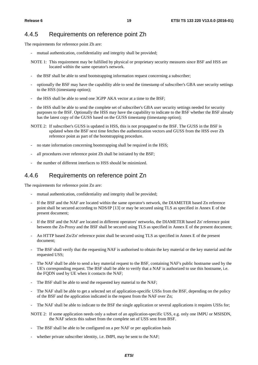#### 4.4.5 Requirements on reference point Zh

The requirements for reference point Zh are:

- mutual authentication, confidentiality and integrity shall be provided;
- NOTE 1: This requirement may be fulfilled by physical or proprietary security measures since BSF and HSS are located within the same operator's network.
- the BSF shall be able to send bootstrapping information request concerning a subscriber;
- optionally the BSF may have the capability able to send the timestamp of subscriber's GBA user security settings to the HSS (timestamp option);
- the HSS shall be able to send one 3GPP AKA vector at a time to the BSF;
- the HSS shall be able to send the complete set of subscriber's GBA user security settings needed for security purposes to the BSF. Optionally the HSS may have the capability to indicate to the BSF whether the BSF already has the latest copy of the GUSS based on the GUSS timestamp (timestamp option);
- NOTE 2: If subscriber's GUSS is updated in HSS, this is not propagated to the BSF. The GUSS in the BSF is updated when the BSF next time fetches the authentication vectors and GUSS from the HSS over Zh reference point as part of the bootstrapping procedure.
- no state information concerning bootstrapping shall be required in the HSS;
- all procedures over reference point Zh shall be initiated by the BSF;
- the number of different interfaces to HSS should be minimized.

#### 4.4.6 Requirements on reference point Zn

The requirements for reference point Zn are:

- mutual authentication, confidentiality and integrity shall be provided;
- If the BSF and the NAF are located within the same operator's network, the DIAMETER based Zn reference point shall be secured according to NDS/IP [13] or may be secured using TLS as specified in Annex E of the present document;
- If the BSF and the NAF are located in different operators' networks, the DIAMETER based Zn' reference point between the Zn-Proxy and the BSF shall be secured using TLS as specified in Annex E of the present document;
- An HTTP based Zn/Zn' reference point shall be secured using TLS as specified in Annex E of the present document;
- The BSF shall verify that the requesting NAF is authorised to obtain the key material or the key material and the requested USS;
- The NAF shall be able to send a key material request to the BSF, containing NAF's public hostname used by the UE's corresponding request. The BSF shall be able to verify that a NAF is authorized to use this hostname, i.e. the FQDN used by UE when it contacts the NAF;
- The BSF shall be able to send the requested key material to the NAF;
- The NAF shall be able to get a selected set of application-specific USSs from the BSF, depending on the policy of the BSF and the application indicated in the request from the NAF over Zn;
- The NAF shall be able to indicate to the BSF the single application or several applications it requires USSs for;
- NOTE 2: If some application needs only a subset of an application-specific USS, e.g. only one IMPU or MSISDN, the NAF selects this subset from the complete set of USS sent from BSF.
- The BSF shall be able to be configured on a per NAF or per application basis
- whether private subscriber identity, i.e. IMPI, may be sent to the NAF;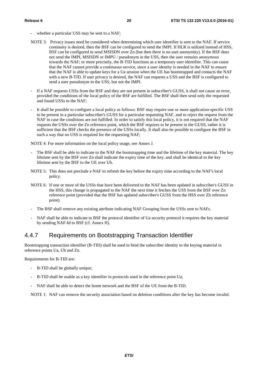- whether a particular USS may be sent to a NAF;
- NOTE 3: Privacy issues need be considered when determining which user identifier is sent to the NAF. If service continuity is desired, then the BSF can be configured to send the IMPI. If HLR is utilized instead of HSS, BSF can be configured to send MSISDN over Zn (but then there is no user anonymity). If the BSF does not send the IMPI, MSISDN or IMPU / pseudonym in the USS, then the user remains anonymous towards the NAF; or more precisely, the B-TID functions as a temporary user identifier. This can cause that the NAF cannot provide a continuous service, since a user identity is needed in the NAF to ensure that the NAF is able to update keys for a Ua session when the UE has bootstrapped and contacts the NAF with a new B-TID. If user privacy is desired, the NAF can requests a USS and the BSF is configured to send a user pseudonym in the USS, but not the IMPI.
- If a NAF requests USSs from the BSF and they are not present in subscriber's GUSS, it shall not cause an error, provided the conditions of the local policy of the BSF are fulfilled. The BSF shall then send only the requested and found USSs to the NAF;
- It shall be possible to configure a local policy as follows: BSF may require one or more application-specific USS to be present in a particular subscriber's GUSS for a particular requesting NAF, and to reject the request from the NAF in case the conditions are not fulfilled. In order to satisfy this local policy, it is not required that the NAF requests the USSs over the Zn reference point, which the BSF requires to be present in the GUSS, rather it is sufficient that the BSF checks the presence of the USSs locally. It shall also be possible to configure the BSF in such a way that no USS is required for the requesting NAF;

NOTE 4: For more information on the local policy usage, see Annex J.

- The BSF shall be able to indicate to the NAF the bootstrapping time and the lifetime of the key material. The key lifetime sent by the BSF over Zn shall indicate the expiry time of the key, and shall be identical to the key lifetime sent by the BSF to the UE over Ub.
- NOTE 5: This does not preclude a NAF to refresh the key before the expiry time according to the NAF's local policy.
- NOTE 6: If one or more of the USSs that have been delivered to the NAF has been updated in subscriber's GUSS in the HSS, this change is propagated to the NAF the next time it fetches the USS from the BSF over Zn reference point (provided that the BSF has updated subscriber's GUSS from the HSS over Zh reference point).
- The BSF shall remove any existing attribute indicating NAF Grouping from the USSs sent to NAFs.
- NAF shall be able to indicate to BSF the protocol identifier of Ua security protocol it requires the key material by sending NAF-Id to BSF (cf. Annex H).

#### 4.4.7 Requirements on Bootstrapping Transaction Identifier

Bootstrapping transaction identifier (B-TID) shall be used to bind the subscriber identity to the keying material in reference points Ua, Ub and Zn.

Requirements for B-TID are:

- B-TID shall be globally unique;
- B-TID shall be usable as a key identifier in protocols used in the reference point Ua;
- NAF shall be able to detect the home network and the BSF of the UE from the B-TID.

NOTE 1: NAF can remove the security association based on deletion conditions after the key has become invalid.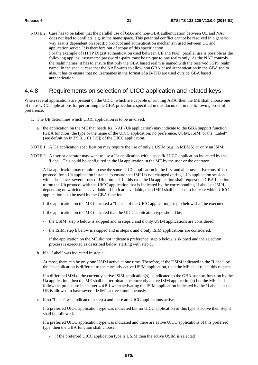NOTE 2: Care has to be taken that the parallel use of GBA and non-GBA authentication between UE and NAF does not lead to conflicts, e.g. in the name space. This potential conflict cannot be resolved in a generic way as it is dependent on specific protocol and authentication mechanism used between UE and application server. It is therefore out of scope of this specification. For the example of HTTP Digest authentication used between UE and NAF, parallel use is possible as the following applies:  $\langle$ username,password>-pairs must be unique to one realm only. As the NAF controls the realm names, it has to ensure that only the GBA based realm is named with the reserved 3GPP realm name. In the special case that the NAF wants to allow non GBA based authentication in the GBA realm also, it has to ensure that no usernames in the format of a B-TID are used outside GBA based authentication.

#### 4.4.8 Requirements on selection of UICC application and related keys

When several applications are present on the UICC, which are capable of running AKA, then the ME shall choose one of these UICC applications for performing the GBA procedures specified in this document in the following order of preference:

- 1. The UE determines which UICC application is to be involved:
	- a. the application on the ME that needs Ks\_NAF (Ua application) may indicate to the GBA support function (GBA function) the type or the name of the UICC application: no preference, USIM, ISIM, or the "Label" (see definition in TS 31.101 [15]) of the UICC application.
- NOTE 1: A Ua application specification may require the use of only a USIM (e.g. in MBMS) or only an ISIM.
- NOTE 2: A user or operator may want to use a Ua application with a specific UICC application indicated by the 'Label'. This could be configured in the Ua application in the ME by the user or the operator.

 A Ua application may require to use the same UICC application in the first and all consecutive runs of Ub protocol for a Ua application instance to ensure that IMPI is not changed during a Ua application session which lasts over several runs of Ub protocol. In this case the Ua application shall request the GBA function to run the Ub protocol with the UICC application that is indicated by the corresponding "Label" or IMPI, depending on which one is available. If both are available, then IMPI shall be used to indicate which UICC application is to be used by the GBA function.

If the application on the ME indicated a "Label" of the UICC application, step b below shall be executed.

If the application on the ME indicated that the UICC application type should be:

- the USIM; step b below is skipped and in steps c and d only USIM applications are considered.
- the ISIM; step b below is skipped and in steps c and d only ISIM applications are considered.

 if the application on the ME did not indicate a preference, step b below is skipped and the selection process is executed as described below, starting with step c;

b. if a "Label" was indicated in step a:

At most, there can be only one USIM active at one time. Therefore, if the USIM indicated in the "Label" by the Ua application is different to the currently active USIM application, then the ME shall reject this request.

If a different ISIM to the currently active ISIM application(s) is indicated to the GBA support function by the Ua application, then the ME shall not terminate the currently active ISIM application(s) but the ME shall follow the procedure in chapter 4.4.8.1 when activating the ISIM application indicated by the "Label", as the UE is allowed to have several ISIM's active simultaneously.

c. if no "Label" was indicated in step a and there are UICC applications active:

If a preferred UICC application type was indicated but no UICC application of this type is active then step d shall be followed.

If a preferred UICC application type was indicated and there are active UICC applications of this preferred type, then the GBA function shall choose:

- if the preferred UICC application type is USIM then the active USIM is selected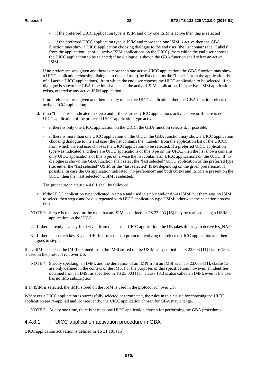- if the preferred UICC application type is ISIM and only one ISIM is active then this is selected

if the preferred UICC application type is ISIM and more than one ISIM is active then the GBA function may show a UICC application choosing dialogue to the end user (the list contains the "Labels" from the application list of all active ISIM applications on the UICC), from which the end user chooses the UICC application to be selected; if no dialogue is shown the GBA function shall select an active ISIM.

If no preference was given and there is more than one active UICC application, the GBA function may show a UICC application choosing dialogue to the end user (the list contains the "Labels" from the application list of all active UICC applications), from which the end user chooses the UICC application to be selected; if no dialogue is shown the GBA function shall select the active USIM application, if an active USIM application exists, otherwise any active ISIM application.

If no preference was given and there is only one active UICC application, then the GBA function selects this active UICC application;

- d. if no "Label" was indicated in step a and if there are no UICC applications active active or if there is no UICC application of the preferred UICC application type active:
	- if there is only one UICC application on the UICC, the GBA function selects it, if possible;
	- if there is more than one UICC application on the UICC, the GBA function may show a UICC application choosing dialogue to the end user (the list contains the "Labels" from the application list of the UICC), from which the end user chooses the UICC application to be selected. If a preferred UICC application type was indicated and there are UICC applications of this type on the UICC, then the list shown contains only UICC applications of this type, otherwise the list contains all UICC applications on the UICC. If no dialogue is shown the GBA function shall select the "last selected" UICC application of the preferred type (i.e. either the "last selected" USIM or the "last selected" ISIM depending on the given preference), if possible. In case the Ua application indicated "no preference" and both USIM and ISIM are present on the UICC, then the "last selected" USIM is selected.

The procedure in clause 4.4.8.1 shall be followed.

- e. if the UICC application type indicated in step a and used in step c and/or d was ISIM, but there was no ISIM to select, then step c and/or d is repeated with UICC application type USIM; otherwise the selection process fails.
- NOTE 3: Step e is required for the case that an ISIM as defined in TS 33.203 [16] may be realised using a USIM application on the UICC.
- 2. If there already is a key Ks derived from the chosen UICC application, the UE takes this key to derive Ks\_NAF.
- 3. If there is no such key Ks, the UE first runs the Ub protocol involving the selected UICC application and then goes to step 2.

If a USIM is chosen, the IMPI obtained from the IMSI stored on the USIM as specified in TS 23.003 [11] clause 13.3, is used in the protocol run over Ub.

NOTE 4: Strictly speaking, an IMPI, and the derivation of an IMPI from an IMSI as in TS 23.003 [11], clause 13 are only defined in the context of the IMS. For the purposes of this specification, however, an identifier obtained from an IMSI as specified in TS 23.003 [11], clause 13.3 is also called an IMPI, even if the user has no IMS subscription.

If an ISIM is selected, the IMPI stored on the ISIM is used in the protocol run over Ub.

Whenever a UICC application is successfully selected or terminated, the rules in this clause for choosing the UICC application are re-applied and, consequently, the UICC application chosen for GBA may change.

NOTE 5: At any one time, there is at most one UICC application chosen for performing the GBA procedures.

#### 4.4.8.1 UICC application activation procedure in GBA

UICC application activation is defined in TS 31.101 [15].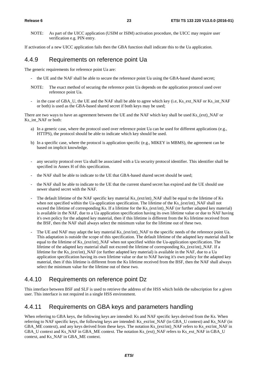NOTE: As part of the UICC application (USIM or ISIM) activation procedure, the UICC may require user verification e.g. PIN entry.

If activation of a new UICC application fails then the GBA function shall indicate this to the Ua application.

#### 4.4.9 Requirements on reference point Ua

The generic requirements for reference point Ua are:

- the UE and the NAF shall be able to secure the reference point Ua using the GBA-based shared secret;
- NOTE: The exact method of securing the reference point Ua depends on the application protocol used over reference point Ua.
- in the case of GBA\_U, the UE and the NAF shall be able to agree which key (i.e, Ks\_ext\_NAF or Ks\_int\_NAF or both) is used as the GBA-based shared secret if both keys may be used;

There are two ways to have an agreement between the UE and the NAF which key shall be used Ks\_(ext)\_NAF or Ks int\_NAF or both:

- a) In a generic case, where the protocol used over reference point Ua can be used for different applications (e.g., HTTPS), the protocol should be able to indicate which key should be used.
- b) In a specific case, where the protocol is application specific (e.g., MIKEY in MBMS), the agreement can be based on implicit knowledge.
- any security protocol over Ua shall be associated with a Ua security protocol identifier. This identifier shall be specified in Annex H of this specification.
- the NAF shall be able to indicate to the UE that GBA-based shared secret should be used;
- the NAF shall be able to indicate to the UE that the current shared secret has expired and the UE should use newer shared secret with the NAF.
- The default lifetime of the NAF specific key material Ks (ext/int) NAF shall be equal to the lifetime of Ks when not specified within the Ua-application specification. The lifetime of the Ks (ext/int) NAF shall not exceed the lifetime of corresponding Ks. If a lifetime for the Ks (ext/int) NAF (or further adapted key material) is available in the NAF, due to a Ua application specification having its own lifetime value or due to NAF having it's own policy for the adapted key material, then if this lifetime is different from the Ks lifetime received from the BSF, then the NAF shall always select the minimum value for the lifetime out of these two.
- The UE and NAF may adapt the key material Ks\_(ext/int)\_NAF to the specific needs of the reference point Ua. This adaptation is outside the scope of this specification. The default lifetime of the adapted key material shall be equal to the lifetime of Ks\_(ext/int)\_NAF when not specified within the Ua-application specification. The lifetime of the adapted key material shall not exceed the lifetime of corresponding Ks (ext/int) NAF. If a lifetime for the Ks (ext/int) NAF (or further adapted key material) is available in the NAF, due to a Ua application specification having its own lifetime value or due to NAF having it's own policy for the adapted key material, then if this lifetime is different from the Ks lifetime received from the BSF, then the NAF shall always select the minimum value for the lifetime out of these two.

### 4.4.10 Requirements on reference point Dz

This interface between BSF and SLF is used to retrieve the address of the HSS which holds the subscription for a given user. This interface is not required in a single HSS environment.

### 4.4.11 Requirements on GBA keys and parameters handling

When referring to GBA keys, the following keys are intended: Ks and NAF specific keys derived from the Ks. When referring to NAF specific keys, the following keys are intended: Ks\_ext/int\_NAF (in GBA\_U context) and Ks\_NAF (in GBA\_ME context), and any keys derived from these keys. The notation Ks\_(ext/int)\_NAF refers to Ks\_ext/int\_NAF in GBA\_U context and Ks\_NAF in GBA\_ME context. The notation Ks\_(ext)\_NAF refers to Ks\_ext\_NAF in GBA\_U context, and Ks\_NAF in GBA\_ME context.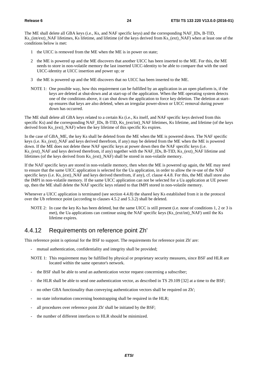The ME shall delete all GBA keys (i.e., Ks, and NAF specific keys) and the corresponding NAF\_IDs, B-TID, Ks\_(int/ext)\_NAF lifetimes, Ks lifetime, and lifetime (of the keys derived from Ks\_(ext)\_NAF) when at least one of the conditions below is met:

- 1 the UICC is removed from the ME when the ME is in power on state;
- 2 the ME is powered up and the ME discovers that another UICC has been inserted to the ME. For this, the ME needs to store in non-volatile memory the last inserted UICC-identity to be able to compare that with the used UICC-identity at UICC insertion and power up; or
- 3 the ME is powered up and the ME discovers that no UICC has been inserted to the ME.
- NOTE 1: One possible way, how this requirement can be fulfilled by an application in an open platform is, if the keys are deleted at shut-down and at start-up of the application. When the ME operating system detects one of the conditions above, it can shut down the application to force key deletion. The deletion at startup ensures that keys are also deleted, when an irregular power-down or UICC removal during power down has occurred.

The ME shall delete all GBA keys related to a certain Ks (i.e., Ks itself, and NAF specific keys derived from this specific Ks) and the corresponding NAF\_IDs, B-TID, Ks\_(ext/int)\_NAF lifetimes, Ks lifetime, and lifetime (of the keys derived from Ks (ext) NAF) when the key lifetime of this specific Ks expires.

In the case of GBA ME, the key Ks shall be deleted from the ME when the ME is powered down. The NAF specific keys (i.e. Ks (ext) NAF and keys derived therefrom, if any) may be deleted from the ME when the ME is powered down. If the ME does not delete these NAF specific keys at power down then the NAF specific keys (i.e. Ks\_(ext)\_NAF and keys derived therefrom, if any) together with the NAF\_IDs, B-TID, Ks\_(ext)\_NAF lifetime and lifetimes (of the keys derived from Ks\_(ext)\_NAF) shall be stored in non-volatile memory.

If the NAF specific keys are stored in non-volatile memory, then when the ME is powered up again, the ME may need to ensure that the same UICC application is selected for the Ua application, in order to allow the re-use of the NAF specific keys (i.e. Ks (ext) NAF and keys derived therefrom, if any), cf. clause 4.4.8. For this, the ME shall store also the IMPI in non-volatile memory. If the same UICC application can not be selected for a Ua application at UE power up, then the ME shall delete the NAF specific keys related to that IMPI stored in non-volatile memory.

Whenever a UICC application is terminated (see section 4.4.8) the shared key Ks established from it in the protocol over the Ub reference point (according to clauses 4.5.2 and 5.3.2) shall be deleted.

NOTE 2: In case the key Ks has been deleted, but the same UICC is still present (i.e. none of conditions 1, 2 or 3 is met), the Ua applications can continue using the NAF specific keys (Ks\_(ext/int)\_NAF) until the Ks lifetime expires.

#### 4.4.12 Requirements on reference point Zh'

This reference point is optional for the BSF to support. The requirements for reference point Zh' are:

- mutual authentication, confidentiality and integrity shall be provided;
- NOTE 1: This requirement may be fulfilled by physical or proprietary security measures, since BSF and HLR are located within the same operator's network.
- the BSF shall be able to send an authentication vector request concerning a subscriber;
- the HLR shall be able to send one authentication vector, as described in TS 29.109 [32] at a time to the BSF;
- no other GBA functionality than conveying authentication vectors shall be required on Zh';
- no state information concerning bootstrapping shall be required in the HLR;
- all procedures over reference point Zh' shall be initiated by the BSF;
- the number of different interfaces to HLR should be minimized.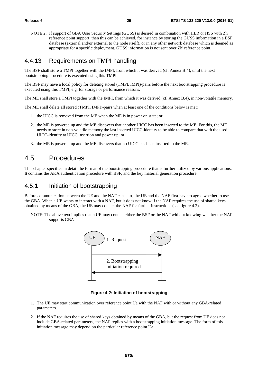NOTE 2: If support of GBA User Security Settings (GUSS) is desired in combination with HLR or HSS with Zh' reference point support, then this can be achieved, for instance by storing the GUSS information in a BSF database (external and/or external to the node itself), or in any other network database which is deemed as appropriate for a specific deployment. GUSS information is not sent over Zh' reference point.

#### 4.4.13 Requirements on TMPI handling

The BSF shall store a TMPI together with the IMPI, from which it was derived (cf. Annex B.4), until the next bootstrapping procedure is executed using this TMPI.

The BSF may have a local policy for deleting stored (TMPI, IMPI)-pairs before the next bootstrapping procedure is executed using this TMPI, e.g. for storage or performance reasons.

The ME shall store a TMPI together with the IMPI, from which it was derived (cf. Annex B.4), in non-volatile memory.

The ME shall delete all stored (TMPI, IMPI)-pairs when at least one of the conditions below is met:

- 1. the UICC is removed from the ME when the ME is in power on state; or
- 2. the ME is powered up and the ME discovers that another UICC has been inserted to the ME. For this, the ME needs to store in non-volatile memory the last inserted UICC-identity to be able to compare that with the used UICC-identity at UICC insertion and power up; or
- 3. the ME is powered up and the ME discovers that no UICC has been inserted to the ME.

### 4.5 Procedures

This chapter specifies in detail the format of the bootstrapping procedure that is further utilized by various applications. It contains the AKA authentication procedure with BSF, and the key material generation procedure.

#### 4.5.1 Initiation of bootstrapping

Before communication between the UE and the NAF can start, the UE and the NAF first have to agree whether to use the GBA. When a UE wants to interact with a NAF, but it does not know if the NAF requires the use of shared keys obtained by means of the GBA, the UE may contact the NAF for further instructions (see figure 4.2).

NOTE: The above text implies that a UE may contact either the BSF or the NAF without knowing whether the NAF supports GBA



**Figure 4.2: Initiation of bootstrapping** 

- 1. The UE may start communication over reference point Ua with the NAF with or without any GBA-related parameters.
- 2. If the NAF requires the use of shared keys obtained by means of the GBA, but the request from UE does not include GBA-related parameters, the NAF replies with a bootstrapping initiation message. The form of this initiation message may depend on the particular reference point Ua.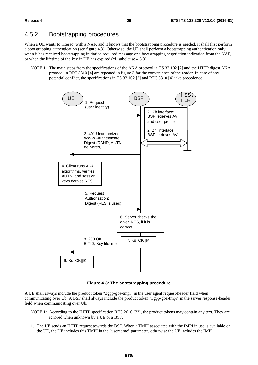#### 4.5.2 Bootstrapping procedures

When a UE wants to interact with a NAF, and it knows that the bootstrapping procedure is needed, it shall first perform a bootstrapping authentication (see figure 4.3). Otherwise, the UE shall perform a bootstrapping authentication only when it has received bootstrapping initiation required message or a bootstrapping negotiation indication from the NAF, or when the lifetime of the key in UE has expired (cf. subclause 4.5.3).

NOTE 1: The main steps from the specifications of the AKA protocol in TS 33.102 [2] and the HTTP digest AKA protocol in RFC 3310 [4] are repeated in figure 3 for the convenience of the reader. In case of any potential conflict, the specifications in TS 33.102 [2] and RFC 3310 [4] take precedence.



**Figure 4.3: The bootstrapping procedure** 

A UE shall always include the product token "3gpp-gba-tmpi" in the user agent request-header field when communicating over Ub. A BSF shall always include the product token "3gpp-gba-tmpi" in the server response-header field when communicating over Ub.

- NOTE 1a: According to the HTTP specification RFC 2616 [33], the product tokens may contain any text. They are ignored when unknown by a UE or a BSF.
- 1. The UE sends an HTTP request towards the BSF. When a TMPI associated with the IMPI in use is available on the UE, the UE includes this TMPI in the "username" parameter, otherwise the UE includes the IMPI.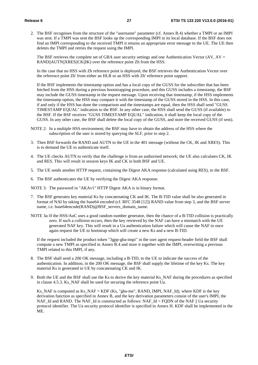2. The BSF recognises from the structure of the "username" parameter (cf. Annex B.4) whether a TMPI or an IMPI was sent. If a TMPI was sent the BSF looks up the corresponding IMPI in its local database. If the BSF does not find an IMPI corresponding to the received TMPI it returns an appropriate error message to the UE. The UE then deletes the TMPI and retries the request using the IMPI.

The BSF retrieves the complete set of GBA user security settings and one Authentication Vector (AV,  $AV =$ RAND||AUTN||XRES||CK||IK) over the reference point Zh from the HSS.

 In the case that no HSS with Zh reference point is deployed, the BSF retrieves the Authentication Vector over the reference point Zh' from either an HLR or an HSS with Zh' reference point support.

 If the BSF implements the timestamp option and has a local copy of the GUSS for the subscriber that has been fetched from the HSS during a previous bootstrapping procedure, and this GUSS includes a timestamp, the BSF may include the GUSS timestamp in the request message. Upon receiving that timestamp, if the HSS implements the timestamp option, the HSS may compare it with the timestamp of the GUSS stored in the HSS. In this case, if and only if the HSS has done the comparison and the timestamps are equal, then the HSS shall send "GUSS TIMESTAMP EQUAL" indication to the BSF. In any other case, the HSS shall send the GUSS (if available) to the BSF. If the BSF receives "GUSS TIMESTAMP EQUAL" indication, it shall keep the local copy of the GUSS. In any other case, the BSF shall delete the local copy of the GUSS, and store the received GUSS (if sent).

- NOTE 2: In a multiple HSS environment, the BSF may have to obtain the address of the HSS where the subscription of the user is stored by querying the SLF, prior to step 2.
- 3. Then BSF forwards the RAND and AUTN to the UE in the 401 message (without the CK, IK and XRES). This is to demand the UE to authenticate itself.
- 4. The UE checks AUTN to verify that the challenge is from an authorised network; the UE also calculates CK, IK and RES. This will result in session keys IK and CK in both BSF and UE.
- 5. The UE sends another HTTP request, containing the Digest AKA response (calculated using RES), to the BSF.
- 6. The BSF authenticates the UE by verifying the Digest AKA response.

NOTE 3: The password in "AKAv1" HTTP Digest AKA is in binary format.

- 7. The BSF generates key material Ks by concatenating CK and IK. The B-TID value shall be also generated in format of NAI by taking the base64 encoded (cf. RFC 3548 [12]) RAND value from step 3, and the BSF server name, i.e. base64encode(RAND)@BSF\_servers\_domain\_name.
- NOTE 3a: If the HSS/AuC uses a good random number generator, then the chance of a B-TID collision is practically zero. If such a collision occurs, then the key retrieved by the NAF can have a mismatch with the UE generated NAF key. This will result in a Ua authentication failure which will cause the NAF to once again request the UE to bootstrap which will create a new Ks and a new B-TID.

 If the request included the product token "3gpp-gba-tmpi" in the user agent request-header field the BSF shall compute a new TMPI as specified in Annex B.4 and store it together with the IMPI, overwriting a previous TMPI related to this IMPI, if any.

- 8. The BSF shall send a 200 OK message, including a B-TID, to the UE to indicate the success of the authentication. In addition, in the 200 OK message, the BSF shall supply the lifetime of the key Ks. The key material Ks is generated in UE by concatenating CK and IK.
- 9. Both the UE and the BSF shall use the Ks to derive the key material Ks\_NAF during the procedures as specified in clause 4.5.3. Ks\_NAF shall be used for securing the reference point Ua.

 Ks\_NAF is computed as Ks\_NAF = KDF (Ks, "gba-me", RAND, IMPI, NAF\_Id), where KDF is the key derivation function as specified in Annex B, and the key derivation parameters consist of the user's IMPI, the NAF\_Id and RAND. The NAF\_Id is constructed as follows: NAF\_Id = FQDN of the NAF  $\parallel$  Ua security protocol identifier. The Ua security protocol identifier is specified in Annex H. KDF shall be implemented in the ME.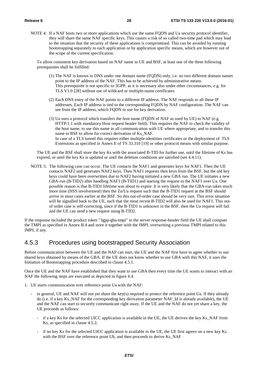NOTE 4: If a NAF hosts two or more applications which use the same FQDN and Ua security protocol identifier, they will share the same NAF specific keys. This causes a risk of so called two-time pad which may lead to the situation that the security of these applications is compromised. This can be avoided by running bootstrapping separately to each application or by application specific means, which are however out of the scope of the current specification.

To allow consistent key derivation based on NAF name in UE and BSF, at least one of the three following prerequisites shall be fulfilled:

- (1) The NAF is known in DNS under one domain name (FQDN) only, i.e. no two different domain names point to the IP address of the NAF. This has to be achieved by administrative means. This prerequisite is not specific to 3GPP, as it is necessary also under other circumstances, e.g. for TLS V1.0 [28] without use of wildcard or multiple-name certificates.
- (2) Each DNS entry of the NAF points to a different IP address. The NAF responds to all these IP addresses. Each IP address is tied to the corresponding FQDN by NAF configuration. The NAF can see from the IP address, which FQDN to use for key derivation.
- (3) Ua uses a protocol which transfers the host name (FQDN of NAF as used by UE) to NAF (e.g. HTTP/1.1 with mandatory Host request header field). This requires the NAF to check the validity of the host name, to use this name in all communication with UE where appropriate, and to transfer this name to BSF to allow for correct derivation of Ks\_NAF. In case of a TLS tunnel this requires either multiple-identities certificates or the deployment of TLS Extensions as specified in Annex E of TS 33.310 [19] or other protocol means with similar purpose.

 The UE and the BSF shall store the key Ks with the associated B-TID for further use, until the lifetime of Ks has expired, or until the key Ks is updated or until the deletion conditions are satisfied (see 4.4.11).

NOTE 5: The following case can occur. The UE contacts the NAF1 and generates keys for NAF1. Then the UE contacts NAF2 and generates NAF2 keys. Then NAF1 requests then keys from the BSF, but the old key keys could have been overwritten due to NAF2 having initiated a new GBA run. The UE initiates a new GBA-run (B-TID2) after handling NAF1 (B-TID1) and starting the request to the NAF1 over Ua. One possible reason is that B-TID1 lifetime was about to expire. It is very likely that the GBA-run takes much more time (HSS involvement) then the Zn/Ua request such that the B-TID1 request at the BSF should arrive in most cases earlier at the BSF. So this out-of-order case should be very rare. This error situation will be signalled back to the UE, such that the most recent B-TID2 will also be used for NAF1. This outof order case is self-correcting, since if the B-TID1 is unknown in the BSF, then the Ua request will fail and the UE can send a new request using B-TID2.

If the response included the product token "3gpp-gba-tmpi" in the server response-header field the UE shall compute the TMPI as specified in Annex B.4 and store it together with the IMPI, overwriting a previous TMPI related to this IMPI, if any.

#### 4.5.3 Procedures using bootstrapped Security Association

Before communication between the UE and the NAF can start, the UE and the NAF first have to agree whether to use shared keys obtained by means of the GBA. If the UE does not know whether to use GBA with this NAF, it uses the Initiation of Bootstrapping procedure described in clause 4.5.1.

Once the UE and the NAF have established that they want to use GBA then every time the UE wants to interact with an NAF the following steps are executed as depicted in figure 4.4.

- 1. UE starts communication over reference point Ua with the NAF:
	- in general, UE and NAF will not yet share the key(s) required to protect the reference point Ua. If they already do (i.e. if a key Ks\_NAF for the corresponding key derivation parameter NAF\_Id is already available), the UE and the NAF can start to securely communicate right away. If the UE and the NAF do not yet share a key, the UE proceeds as follows:
		- if a key Ks for the selected UICC application is available in the UE, the UE derives the key Ks\_NAF from Ks, as specified in clause 4.5.2;
		- if no key Ks for the selected UICC application is available in the UE, the UE first agrees on a new key Ks with the BSF over the reference point Ub, and then proceeds to derive Ks\_NAF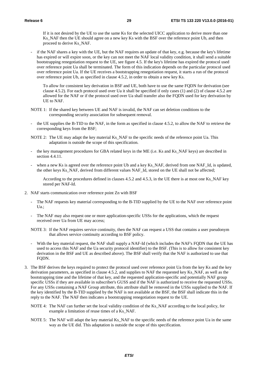If it is not desired by the UE to use the same Ks for the selected UICC application to derive more than one Ks\_NAF then the UE should agree on a new key Ks with the BSF over the reference point Ub, and then proceed to derive Ks\_NAF.

if the NAF shares a key with the UE, but the NAF requires an update of that key, e.g. because the key's lifetime has expired or will expire soon, or the key can not meet the NAF local validity condition, it shall send a suitable bootstrapping renegotiation request to the UE, see figure 4.5. If the key's lifetime has expired the protocol used over reference point Ua shall be terminated. The form of this indication depends on the particular protocol used over reference point Ua. If the UE receives a bootstrapping renegotiation request, it starts a run of the protocol over reference point Ub, as specified in clause 4.5.2, in order to obtain a new key Ks.

 To allow for consistent key derivation in BSF and UE, both have to use the same FQDN for derivation (see clause 4.5.2). For each protocol used over Ua it shall be specified if only cases (1) and (2) of clause 4.5.2 are allowed for the NAF or if the protocol used over Ua shall transfer also the FQDN used for key derivation by UE to NAF.

- NOTE 1: If the shared key between UE and NAF is invalid, the NAF can set deletion conditions to the corresponding security association for subsequent removal.
- the UE supplies the B-TID to the NAF, in the form as specified in clause 4.5.2, to allow the NAF to retrieve the corresponding keys from the BSF;
- NOTE 2: The UE may adapt the key material Ks\_NAF to the specific needs of the reference point Ua. This adaptation is outside the scope of this specification.
- the key management procedures for GBA related keys in the ME (i.e. Ks and Ks\_NAF keys) are described in section 4.4.11.
- when a new Ks is agreed over the reference point Ub and a key Ks\_NAF, derived from one NAF\_Id, is updated, the other keys Ks\_NAF, derived from different values NAF\_Id, stored on the UE shall not be affected;

According to the procedures defined in clauses 4.5.2 and 4.5.3, in the UE there is at most one Ks\_NAF key stored per NAF-Id.

- 2. NAF starts communication over reference point Zn with BSF
	- The NAF requests key material corresponding to the B-TID supplied by the UE to the NAF over reference point Ua.;
	- The NAF may also request one or more application-specific USSs for the applications, which the request received over Ua from UE may access;
	- NOTE 3: If the NAF requires service continuity, then the NAF can request a USS that contains a user pseudonym that allows service continuity according to BSF policy.
	- With the key material request, the NAF shall supply a NAF-Id (which includes the NAF's FQDN that the UE has used to access this NAF and the Ua security protocol identifier) to the BSF. (This is to allow for consistent key derivation in the BSF and UE as described above). The BSF shall verify that the NAF is authorized to use that FODN.
- 3. The BSF derives the keys required to protect the protocol used over reference point Ua from the key Ks and the key derivation parameters, as specified in clause 4.5.2, and supplies to NAF the requested key Ks\_NAF, as well as the bootstrapping time and the lifetime of that key, and the requested application-specific and potentially NAF group specific USSs if they are available in subscriber's GUSS and if the NAF is authorized to receive the requested USSs. For any USSs containing a NAF Group attribute, this attribute shall be removed in the USSs supplied to the NAF. If the key identified by the B-TID supplied by the NAF is not available at the BSF, the BSF shall indicate this in the reply to the NAF. The NAF then indicates a bootstrapping renegotiation request to the UE.
	- NOTE 4: The NAF can further set the local validity condition of the Ks\_NAF according to the local policy, for example a limitation of reuse times of a Ks\_NAF.
	- NOTE 5: The NAF will adapt the key material Ks\_NAF to the specific needs of the reference point Ua in the same way as the UE did. This adaptation is outside the scope of this specification.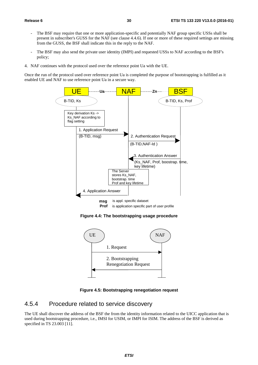- The BSF may require that one or more application-specific and potentially NAF group specific USSs shall be present in subscriber's GUSS for the NAF (see clause 4.4.6). If one or more of these required settings are missing from the GUSS, the BSF shall indicate this in the reply to the NAF.
- The BSF may also send the private user identity (IMPI) and requested USSs to NAF according to the BSF's policy;
- 4. NAF continues with the protocol used over the reference point Ua with the UE.

Once the run of the protocol used over reference point Ua is completed the purpose of bootstrapping is fulfilled as it enabled UE and NAF to use reference point Ua in a secure way.



**Figure 4.4: The bootstrapping usage procedure** 



**Figure 4.5: Bootstrapping renegotiation request** 

#### 4.5.4 Procedure related to service discovery

The UE shall discover the address of the BSF the from the identity information related to the UICC application that is used during bootstrapping procedure, i.e., IMSI for USIM, or IMPI for ISIM. The address of the BSF is derived as specified in TS 23.003 [11].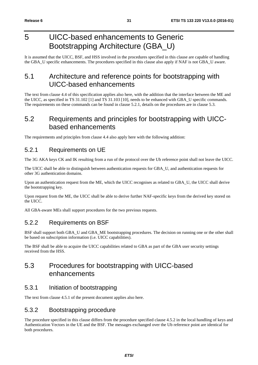## 5 UICC-based enhancements to Generic Bootstrapping Architecture (GBA\_U)

It is assumed that the UICC, BSF, and HSS involved in the procedures specified in this clause are capable of handling the GBA\_U specific enhancements. The procedures specified in this clause also apply if NAF is not GBA\_U aware.

## 5.1 Architecture and reference points for bootstrapping with UICC-based enhancements

The text from clause 4.4 of this specification applies also here, with the addition that the interface between the ME and the UICC, as specified in TS 31.102 [1] and TS 31.103 [10], needs to be enhanced with GBA\_U specific commands. The requirements on these commands can be found in clause 5.2.1, details on the procedures are in clause 5.3.

### 5.2 Requirements and principles for bootstrapping with UICCbased enhancements

The requirements and principles from clause 4.4 also apply here with the following addition:

### 5.2.1 Requirements on UE

The 3G AKA keys CK and IK resulting from a run of the protocol over the Ub reference point shall not leave the UICC.

The UICC shall be able to distinguish between authentication requests for GBA\_U, and authentication requests for other 3G authentication domains.

Upon an authentication request from the ME, which the UICC recognises as related to GBA\_U, the UICC shall derive the bootstrapping key.

Upon request from the ME, the UICC shall be able to derive further NAF-specific keys from the derived key stored on the UICC.

All GBA-aware MEs shall support procedures for the two previous requests.

### 5.2.2 Requirements on BSF

BSF shall support both GBA\_U and GBA\_ME bootstrapping procedures. The decision on running one or the other shall be based on subscription information (i.e. UICC capabilities).

The BSF shall be able to acquire the UICC capabilities related to GBA as part of the GBA user security settings received from the HSS.

### 5.3 Procedures for bootstrapping with UICC-based enhancements

### 5.3.1 Initiation of bootstrapping

The text from clause 4.5.1 of the present document applies also here.

### 5.3.2 Bootstrapping procedure

The procedure specified in this clause differs from the procedure specified clause 4.5.2 in the local handling of keys and Authentication Vectors in the UE and the BSF. The messages exchanged over the Ub reference point are identical for both procedures.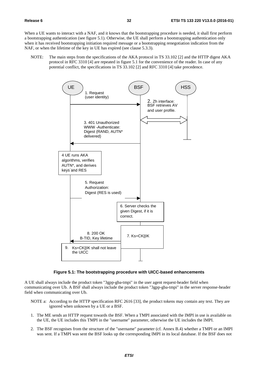When a UE wants to interact with a NAF, and it knows that the bootstrapping procedure is needed, it shall first perform a bootstrapping authentication (see figure 5.1). Otherwise, the UE shall perform a bootstrapping authentication only when it has received bootstrapping initiation required message or a bootstrapping renegotiation indication from the NAF, or when the lifetime of the key in UE has expired (see clause 5.3.3).

NOTE: The main steps from the specifications of the AKA protocol in TS 33.102 [2] and the HTTP digest AKA protocol in RFC 3310 [4] are repeated in figure 5.1 for the convenience of the reader. In case of any potential conflict, the specifications in TS 33.102 [2] and RFC 3310 [4] take precedence.



#### **Figure 5.1: The bootstrapping procedure with UICC-based enhancements**

A UE shall always include the product token "3gpp-gba-tmpi" in the user agent request-header field when communicating over Ub. A BSF shall always include the product token "3gpp-gba-tmpi" in the server response-header field when communicating over Ub.

- NOTE a: According to the HTTP specification RFC 2616 [33], the product tokens may contain any text. They are ignored when unknown by a UE or a BSF.
- 1. The ME sends an HTTP request towards the BSF. When a TMPI associated with the IMPI in use is available on the UE, the UE includes this TMPI in the "username" parameter, otherwise the UE includes the IMPI.
- 2. The BSF recognises from the structure of the "username" parameter (cf. Annex B.4) whether a TMPI or an IMPI was sent. If a TMPI was sent the BSF looks up the corresponding IMPI in its local database. If the BSF does not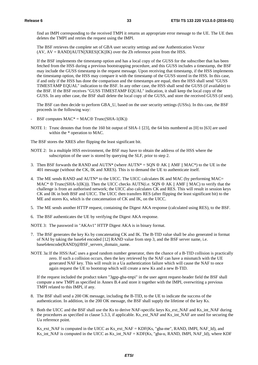find an IMPI corresponding to the received TMPI it returns an appropriate error message to the UE. The UE then deletes the TMPI and retries the request using the IMPI.

 The BSF retrieves the complete set of GBA user security settings and one Authentication Vector  $(AV, AV = RAND||AUTN||XRES||CK||IK)$  over the Zh reference point from the HSS.

 If the BSF implements the timestamp option and has a local copy of the GUSS for the subscriber that has been fetched from the HSS during a previous bootstrapping procedure, and this GUSS includes a timestamp, the BSF may include the GUSS timestamp in the request message. Upon receiving that timestamp, if the HSS implements the timestamp option, the HSS may compare it with the timestamp of the GUSS stored in the HSS. In this case, if and only if the HSS has done the comparison and the timestamps are equal, then the HSS shall send "GUSS TIMESTAMP EQUAL" indication to the BSF. In any other case, the HSS shall send the GUSS (if available) to the BSF. If the BSF receives "GUSS TIMESTAMP EQUAL" indication, it shall keep the local copy of the GUSS. In any other case, the BSF shall delete the local copy of the GUSS, and store the received GUSS (if sent).

 The BSF can then decide to perform GBA\_U, based on the user security settings (USSs). In this case, the BSF proceeds in the following way:

- BSF computes  $MAC^* = MAC \oplus Trunc(SHA-1(IK))$
- NOTE 1: Trunc denotes that from the 160 bit output of SHA-1 [23], the 64 bits numbered as [0] to [63] are used within the \* operation to MAC.

The BSF stores the XRES after flipping the least significant bit.

- NOTE 2: In a multiple HSS environment, the BSF may have to obtain the address of the HSS where the subscription of the user is stored by querying the SLF, prior to step 2.
- 3. Then BSF forwards the RAND and AUTN\* (where AUTN\* = SON  $\oplus$  AK || AMF || MAC\*) to the UE in the 401 message (without the CK, IK and XRES). This is to demand the UE to authenticate itself.
- 4. The ME sends RAND and AUTN\* to the UICC. The UICC calculates IK and MAC (by performing MAC=  $MAC^* \oplus Trunc(SHA-1(IK))$ . Then the UICC checks AUTN(i.e. SQN  $\oplus AK \parallel AMF \parallel MAC$ ) to verify that the challenge is from an authorised network; the UICC also calculates CK and RES. This will result in session keys CK and IK in both BSF and UICC. The UICC then transfers RES (after flipping the least significant bit) to the ME and stores Ks, which is the concatenation of CK and IK, on the UICC.
- 5. The ME sends another HTTP request, containing the Digest AKA response (calculated using RES), to the BSF.
- 6. The BSF authenticates the UE by verifying the Digest AKA response.

NOTE 3: The password in "AKAv1" HTTP Digest AKA is in binary format.

- 7. The BSF generates the key Ks by concatenating CK and IK. The B-TID value shall be also generated in format of NAI by taking the base64 encoded [12] RAND value from step 3, and the BSF server name, i.e. base64encode(RAND)@BSF\_servers\_domain\_name.
- NOTE 3a: If the HSS/AuC uses a good random number generator, then the chance of a B-TID collision is practically zero. If such a collision occurs, then the key retrieved by the NAF can have a mismatch with the UE generated NAF key. This will result in a Ua authentication failure which will cause the NAF to once again request the UE to bootstrap which will create a new Ks and a new B-TID.

 If the request included the product token "3gpp-gba-tmpi" in the user agent request-header field the BSF shall compute a new TMPI as specified in Annex B.4 and store it together with the IMPI, overwriting a previous TMPI related to this IMPI, if any.

- 8. The BSF shall send a 200 OK message, including the B-TID, to the UE to indicate the success of the authentication. In addition, in the 200 OK message, the BSF shall supply the lifetime of the key Ks.
- 9. Both the UICC and the BSF shall use the Ks to derive NAF-specific keys Ks\_ext\_NAF and Ks\_int\_NAF during the procedures as specified in clause 5.3.3, if applicable. Ks\_ext\_NAF and Ks\_int\_NAF are used for securing the Ua reference point.

 Ks\_ext\_NAF is computed in the UICC as Ks\_ext\_NAF = KDF(Ks, "gba-me", RAND, IMPI, NAF\_Id), and Ks\_int\_NAF is computed in the UICC as Ks\_int\_NAF = KDF(Ks, "gba-u, RAND, IMPI, NAF\_Id), where KDF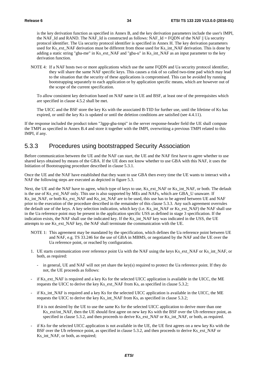is the key derivation function as specified in Annex B, and the key derivation parameters include the user's IMPI, the NAF\_Id and RAND. The NAF\_Id is constructed as follows: NAF\_Id = FQDN of the NAF || Ua security protocol identifier. The Ua security protocol identifier is specified in Annex H. The key derivation parameters used for Ks\_ext\_NAF derivation must be different from those used for Ks\_int\_NAF derivation. This is done by adding a static string "gba-me" in Ks\_ext\_NAF and "gba-u" in Ks\_int\_NAF as an input parameter to the key derivation function.

NOTE 4: If a NAF hosts two or more applications which use the same FQDN and Ua security protocol identifier, they will share the same NAF specific keys. This causes a risk of so called two-time pad which may lead to the situation that the security of these applications is compromised. This can be avoided by running bootstrapping separately to each application or by application specific means, which are however out of the scope of the current specification.

To allow consistent key derivation based on NAF name in UE and BSF, at least one of the prerequisites which are specified in clause 4.5.2 shall be met.

 The UICC and the BSF store the key Ks with the associated B-TID for further use, until the lifetime of Ks has expired, or until the key Ks is updated or until the deletion conditions are satisfied (see 4.4.11).

If the response included the product token "3gpp-gba-tmpi" in the server response-header field the UE shall compute the TMPI as specified in Annex B.4 and store it together with the IMPI, overwriting a previous TMPI related to this IMPI, if any.

#### 5.3.3 Procedures using bootstrapped Security Association

Before communication between the UE and the NAF can start, the UE and the NAF first have to agree whether to use shared keys obtained by means of the GBA. If the UE does not know whether to use GBA with this NAF, it uses the Initiation of Bootstrapping procedure described in clause 5.3.1.

Once the UE and the NAF have established that they want to use GBA then every time the UE wants to interact with a NAF the following steps are executed as depicted in figure 5.3.

Next, the UE and the NAF have to agree, which type of keys to use, Ks ext NAF or Ks int NAF, or both. The default is the use of Ks\_ext\_NAF only. This use is also supported by MEs and NAFs, which are GBA\_U unaware. If Ks\_int\_NAF, or both Ks\_ext\_NAF and Ks\_int\_NAF are to be used, this use has to be agreed between UE and NAF prior to the execution of the procedure described in the remainder of this clause 5.3.3. Any such agreement overrules the default use of the keys. A key selection indication, which key (i.e. Ks\_int\_NAF or Ks\_ext\_NAF) the NAF shall use in the Ua reference point may be present in the application specific USS as defined in stage 3 specification. If the indication exists, the NAF shall use the indicated key. If the Ks\_int\_NAF key was indicated in the USS, the UE attempts to use Ks\_ext\_NAF key, the NAF shall terminate the communication with the UE.

- NOTE 1: This agreement may be mandated by the specification, which defines the Ua reference point between UE and NAF, e.g. TS 33.246 for the use of GBA in MBMS, or negotiated by the NAF and the UE over the Ua reference point, or reached by configuration.
- 1. UE starts communication over reference point Ua with the NAF using the keys Ks\_ext\_NAF or Ks\_int\_NAF, or both, as required:
	- in general, UE and NAF will not yet share the key(s) required to protect the Ua reference point. If they do not, the UE proceeds as follows:
- if Ks\_ext\_NAF is required and a key Ks for the selected UICC application is available in the UICC, the ME requests the UICC to derive the key Ks\_ext\_NAF from Ks, as specified in clause 5.3.2;
- if Ks int NAF is required and a key Ks for the selected UICC application is available in the UICC, the ME requests the UICC to derive the key Ks\_int\_NAF from Ks, as specified in clause 5.3.2;

If it is not desired by the UE to use the same Ks for the selected UICC application to derive more than one Ks\_ext/int\_NAF, then the UE should first agree on new key Ks with the BSF over the Ub reference point, as specified in clause 5.3.2, and then proceeds to derive Ks\_ext\_NAF or Ks\_int\_NAF, or both, as required.

if Ks for the selected UICC application is not available in the UE, the UE first agrees on a new key Ks with the BSF over the Ub reference point, as specified in clause 5.3.2, and then proceeds to derive Ks ext NAF or Ks int NAF, or both, as required;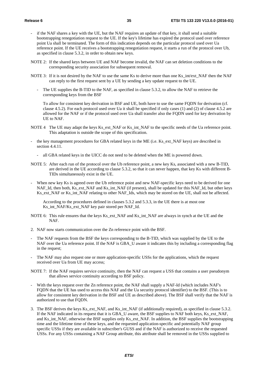- if the NAF shares a key with the UE, but the NAF requires an update of that key, it shall send a suitable bootstrapping renegotiation request to the UE. If the key's lifetime has expired the protocol used over reference point Ua shall be terminated. The form of this indication depends on the particular protocol used over Ua reference point. If the UE receives a bootstrapping renegotiation request, it starts a run of the protocol over Ub, as specified in clause 5.3.2, in order to obtain new keys.
- NOTE 2: If the shared keys between UE and NAF become invalid, the NAF can set deletion conditions to the corresponding security association for subsequent removal.
- NOTE 3: If it is not desired by the NAF to use the same Ks to derive more than one Ks\_int/ext\_NAF then the NAF can reply to the first request sent by a UE by sending a key update request to the UE.
	- The UE supplies the B-TID to the NAF, as specified in clause 5.3.2, to allow the NAF to retrieve the corresponding keys from the BSF

 To allow for consistent key derivation in BSF and UE, both have to use the same FQDN for derivation (cf. clause 4.5.2). For each protocol used over Ua it shall be specified if only cases (1) and (2) of clause 4.5.2 are allowed for the NAF or if the protocol used over Ua shall transfer also the FQDN used for key derivation by UE to NAF.

- NOTE 4 The UE may adapt the keys Ks ext. NAF or Ks int. NAF to the specific needs of the Ua reference point. This adaptation is outside the scope of this specification.
- the key management procedures for GBA related keys in the ME (i.e. Ks\_ext\_NAF keys) are described in section 4.4.11.
	- all GBA related keys in the UICC do not need to be deleted when the ME is powered down.
- NOTE 5: After each run of the protocol over the Ub reference point, a new key Ks, associated with a new B-TID, are derived in the UE according to clause 5.3.2, so that it can never happen, that key Ks with different B-TIDs simultaneously exist in the UE.
- When new key Ks is agreed over the Ub reference point and new NAF-specific keys need to be derived for one NAF\_Id, then both, Ks\_ext\_NAF and Ks\_int\_NAF (if present), shall be updated for this NAF\_Id, but other keys Ks\_ext\_NAF or Ks\_int\_NAF relating to other NAF\_Ids, which may be stored on the UE, shall not be affected.

 According to the procedures defined in clauses 5.3.2 and 5.3.3, in the UE there is at most one Ks\_int\_NAF/Ks\_ext\_NAF key pair stored per NAF\_Id.

- NOTE 6: This rule ensures that the keys Ks\_ext\_NAF and Ks\_int\_NAF are always in synch at the UE and the NAF.
- 2. NAF now starts communication over the Zn reference point with the BSF.
- The NAF requests from the BSF the keys corresponding to the B-TID, which was supplied by the UE to the NAF over the Ua reference point. If the NAF is GBA\_U aware it indicates this by including a corresponding flag in the request;
- The NAF may also request one or more application-specific USSs for the applications, which the request received over Ua from UE may access;
- NOTE 7: If the NAF requires service continuity, then the NAF can request a USS that contains a user pseudonym that allows service continuity according to BSF policy.
- With the keys request over the Zn reference point, the NAF shall supply a NAF-Id (which includes NAF's FQDN that the UE has used to access this NAF and the Ua security protocol identifier) to the BSF. (This is to allow for consistent key derivation in the BSF and UE as described above). The BSF shall verify that the NAF is authorized to use that FQDN.
- 3. The BSF derives the keys Ks\_ext\_NAF, and Ks\_int\_NAF (if additionally required), as specified in clause 5.3.2. If the NAF indicated in its request that it is GBA\_U aware, the BSF supplies to NAF both keys, Ks\_ext\_NAF, and Ks\_int\_NAF, otherwise the BSF supplies only Ks\_ext\_NAF. In addition, the BSF supplies the bootstrapping time and the lifetime time of these keys, and the requested application-specific and potentially NAF group specific USSs if they are available in subscriber's GUSS and if the NAF is authorized to receive the requested USSs. For any USSs containing a NAF Group attribute, this attribute shall be removed in the USSs supplied to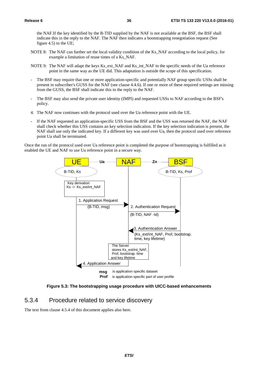the NAF.If the key identified by the B-TID supplied by the NAF is not available at the BSF, the BSF shall indicate this in the reply to the NAF. The NAF then indicates a bootstrapping renegotiation request (See figure 4.5) to the UE;

- NOTE 8: The NAF can further set the local validity condition of the Ks\_NAF according to the local policy, for example a limitation of reuse times of a Ks\_NAF.
- NOTE 9: The NAF will adapt the keys Ks\_ext\_NAF and Ks\_int\_NAF to the specific needs of the Ua reference point in the same way as the UE did. This adaptation is outside the scope of this specification.
- The BSF may require that one or more application-specific and potentially NAF group specific USSs shall be present in subscriber's GUSS for the NAF (see clause 4.4.6). If one or more of these required settings are missing from the GUSS, the BSF shall indicate this in the reply to the NAF.
- The BSF may also send the private user identity (IMPI) and requested USSs to NAF according to the BSF's policy.
- 4. The NAF now continues with the protocol used over the Ua reference point with the UE.
- If the NAF requested an application-specific USS from the BSF and the USS was returned the NAF, the NAF shall check whether this USS contains an key selection indication. If the key selection indication is present, the NAF shall use only the indicated key. If a different key was used over Ua, then the protocol used over reference point Ua shall be terminated.

Once the run of the protocol used over Ua reference point is completed the purpose of bootstrapping is fulfilled as it enabled the UE and NAF to use Ua reference point in a secure way.



**Figure 5.3: The bootstrapping usage procedure with UICC-based enhancements** 

#### 5.3.4 Procedure related to service discovery

The text from clause 4.5.4 of this document applies also here.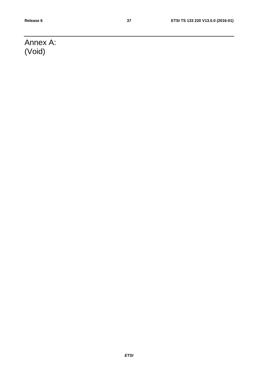# Annex A: (Void)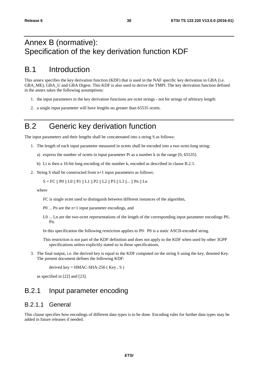## Annex B (normative): Specification of the key derivation function KDF

## B.1 Introduction

This annex specifies the key derivation function (KDF) that is used in the NAF specific key derivation in GBA (i.e. GBA\_ME), GBA\_U and GBA Digest. This KDF is also used to derive the TMPI. The key derivation function defined in the annex takes the following assumptions:

- 1. the input parameters to the key derivation functions are octet strings not bit strings of arbitrary length:
- 2. a single input parameter will have lengths no greater than 65535 octets.

## B.2 Generic key derivation function

The input parameters and their lengths shall be concatenated into a string S as follows:

- 1. The length of each input parameter measured in octets shall be encoded into a two octet-long string:
	- a) express the number of octets in input parameter Pi as a number k in the range [0, 65535].
	- b) Li is then a 16-bit long encoding of the number k, encoded as described in clause B.2.1.
- 2. String S shall be constructed from n+1 input parameters as follows:

 $S = FC \parallel PO \parallel LO \parallel P1 \parallel L1 \parallel P2 \parallel L2 \parallel P3 \parallel L3 \parallel ... \parallel Pn \parallel Ln$ 

where

FC is single octet used to distinguish between different instances of the algorithm,

P0 ... Pn are the n+1 input parameter encodings, and

L0 ... Ln are the two-octet representations of the length of the corresponding input parameter encodings P0.. Pn.

In this specification the following restriction applies to P0: P0 is a static ASCII-encoded string.

This restriction is not part of the KDF definition and does not apply to the KDF when used by other 3GPP specifications unless explicitly stated so in those specifications.

3. The final output, i.e. the derived key is equal to the KDF computed on the string S using the key, denoted Key. The present document defines the following KDF:

derived key =  $HMAC-SHA-256$  (Key, S)

as specified in [22] and [23].

#### B.2.1 Input parameter encoding

#### B.2.1.1 General

This clause specifies how encodings of different data types is to be done. Encoding rules for further data types may be added in future releases if needed.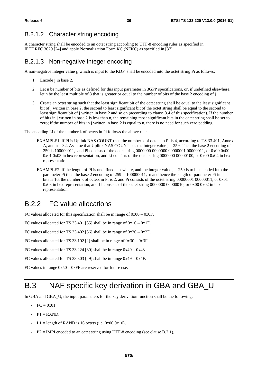#### B.2.1.2 Character string encoding

A character string shall be encoded to an octet string according to UTF-8 encoding rules as specified in IETF RFC 3629 [24] and apply Normalization Form KC (NFKC) as specified in [37].

#### B.2.1.3 Non-negative integer encoding

A non-negative integer value j, which is input to the KDF, shall be encoded into the octet string Pi as follows:

- 1. Encode j in base 2.
- 2. Let n be number of bits as defined for this input parameter in 3GPP specifications, or, if undefined elsewhere, let n be the least multiple of 8 that is greater or equal to the number of bits of the base 2 encoding of j
- 3. Create an octet string such that the least significant bit of the octet string shall be equal to the least significant bit of j written in base 2, the second to least significant bit of the octet string shall be equal to the second to least significant bit of j written in base 2 and so on (according to clause 3.4 of this specification). If the number of bits in j written in base 2 is less than n, the remaining most significant bits in the octet string shall be set to zero; if the number of bits in j written in base 2 is equal to n, there is no need for such zero padding.

The encoding Li of the number k of octets in Pi follows the above rule.

- EXAMPLE1: If Pi is Uplink NAS COUNT then the number k of octets in Pi is 4, according to TS 33.401, Annex A, and  $n = 32$ . Assume that Uplink NAS COUNT has the integer value  $i = 259$ . Then the base 2 encoding of 259 is 100000011, and Pi consists of the octet string 0000000 0000000 00000001 00000011, or 0x00 0x00 0x01 0x03 in hex representation, and Li consists of the octet string 0000000 00000100, or 0x00 0x04 in hex representation.
- EXAMPLE2: If the length of Pi is undefined elsewhere, and the integer value  $j = 259$  is to be encoded into the parameter Pi then the base 2 encoding of 259 is 100000011, n and hence the length of parameter Pi in bits is 16, the number k of octets in Pi is 2, and Pi consists of the octet string 00000001 00000011, or 0x01 0x03 in hex representation, and Li consists of the octet string 0000000 00000010, or 0x00 0x02 in hex representation.

#### B.2.2 FC value allocations

FC values allocated for this specification shall be in range of 0x00 – 0x0F.

FC values allocated for TS 33.401 [35] shall be in range of 0x10 – 0x1F.

FC values allocated for TS 33.402 [36] shall be in range of  $0x20 - 0x2F$ .

FC values allocated for TS 33.102 [2] shall be in range of 0x30 – 0x3F.

FC values allocated for TS 33.224 [39] shall be in range 0x40 – 0x48.

FC values allocated for TS 33.303 [49] shall be in range 0x49 – 0x4F.

FC values in range  $0x50 - 0xFF$  are reserved for future use.

## B.3 NAF specific key derivation in GBA and GBA\_U

In GBA and GBA\_U, the input parameters for the key derivation function shall be the following:

- $FC = 0x01$ ,
- $-P1 = RAND$ .
- L1 = length of RAND is 16 octets (i.e.  $0x000x10$ ),
- $-$  P2 = IMPI encoded to an octet string using UTF-8 encoding (see clause B.2.1),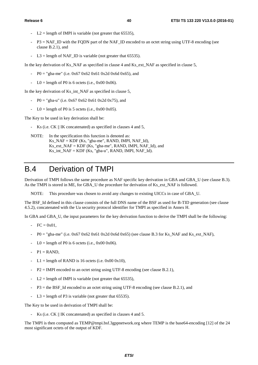- $L2$  = length of IMPI is variable (not greater that 65535).
- P3 = NAF\_ID with the FQDN part of the NAF\_ID encoded to an octet string using UTF-8 encoding (see clause B.2.1), and
- $L3 =$  length of NAF ID is variable (not greater that 65535).

In the key derivation of Ks\_NAF as specified in clause 4 and Ks\_ext\_NAF as specified in clause 5,

- P0 = "gba-me" (i.e.  $0x670x620x610x2d0x6d0x65$ ), and
- $LO =$  length of P0 is 6 octets (i.e., 0x00 0x06).

In the key derivation of Ks\_int\_NAF as specified in clause 5,

- P0 = "gba-u" (i.e.  $0 \times 67$  0x62 0x61 0x2d 0x75), and
- $LO =$  length of P0 is 5 octets (i.e., 0x00 0x05).

The Key to be used in key derivation shall be:

- Ks (i.e. CK || IK concatenated) as specified in clauses 4 and 5,
- NOTE: In the specification this function is denoted as: Ks\_NAF = KDF (Ks, "gba-me", RAND, IMPI, NAF\_Id), Ks\_ext\_NAF = KDF (Ks, "gba-me", RAND, IMPI, NAF\_Id), and  $Ks\_int\_NAF = KDF$  (Ks, "gba-u", RAND, IMPI, NAF $Id$ ).

## B.4 Derivation of TMPI

Derivation of TMPI follows the same procedure as NAF specific key derivation in GBA and GBA\_U (see clause B.3). As the TMPI is stored in ME, for GBA\_U the procedure for derivation of Ks\_ext\_NAF is followed.

NOTE: This procedure was chosen to avoid any changes to existing UICCs in case of GBA\_U.

The BSF\_Id defined in this clause consists of the full DNS name of the BSF as used for B-TID generation (see clause 4.5.2), concatenated with the Ua security protocol identifier for TMPI as specified in Annex H.

In GBA and GBA U, the input parameters for the key derivation function to derive the TMPI shall be the following:

- $FC = 0x01,$
- $-$  P0 = "gba-me" (i.e. 0x67 0x62 0x61 0x2d 0x6d 0x65) (see clause B.3 for Ks\_NAF and Ks\_ext\_NAF),
- $LO =$  length of P0 is 6 octets (i.e., 0x00 0x06).
- $-P1 =$ RAND,
- L1 = length of RAND is 16 octets (i.e.  $0x000x10$ ),
- $-$  P2 = IMPI encoded to an octet string using UTF-8 encoding (see clause B.2.1),
- $L2 =$  length of IMPI is variable (not greater that 65535),
- $-$  P3 = the BSF. Id encoded to an octet string using UTF-8 encoding (see clause B.2.1), and
- $L3$  = length of P3 is variable (not greater that 65535).

The Key to be used in derivation of TMPI shall be:

Ks (i.e. CK || IK concatenated) as specified in clauses 4 and 5.

The TMPI is then computed as TEMP@tmpi.bsf.3gppnetwork.org where TEMP is the base64-encoding [12] of the 24 most significant octets of the output of KDF.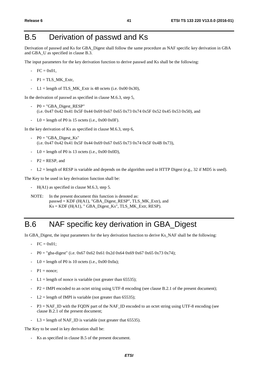# B.5 Derivation of passwd and Ks

Derivation of passwd and Ks for GBA\_Digest shall follow the same procedure as NAF specific key derivation in GBA and GBA\_U as specified in clause B.3.

The input parameters for the key derivation function to derive passwd and Ks shall be the following:

- $-$  FC = 0x01.
- $-$  P1 = TLS MK Extr,
- L1 = length of TLS MK Extr is 48 octets (i.e.  $0x00 0x30$ ),

In the derivation of passwd as specified in clause M.6.3, step 5,

- $P0 = "GBA$  Digest RESP" (i.e. 0x47 0x42 0x41 0x5F 0x44 0x69 0x67 0x65 0x73 0x74 0x5F 0x52 0x45 0x53 0x50), and
- $LO =$  length of P0 is 15 octets (i.e., 0x00 0x0F).

In the key derivation of Ks as specified in clause M.6.3, step 6,

- $-$  P0 = "GBA\_Digest\_Ks" (i.e. 0x47 0x42 0x41 0x5F 0x44 0x69 0x67 0x65 0x73 0x74 0x5F 0x4B 0x73),
- $LO =$  length of P0 is 13 octets (i.e., 0x00 0x0D),
- $P2 = RESP$ , and
- $L2$  = length of RESP is variable and depends on the algorithm used in HTTP Digest (e.g., 32 if MD5 is used).

The Key to be used in key derivation function shall be:

- H(A1) as specified in clause M.6.3, step 5.

NOTE: In the present document this function is denoted as: passwd = KDF (H(A1), "GBA\_Digest\_RESP", TLS\_MK\_Extr), and  $Ks = KDF$  (H(A1), "GBA\_Digest\_Ks", TLS\_MK\_Extr, RESP).

## B.6 NAF specific key derivation in GBA\_Digest

In GBA\_Digest, the input parameters for the key derivation function to derive Ks\_NAF shall be the following:

- $FC = 0x01$ :
- P0 = "gba-digest" (i.e. 0x67 0x62 0x61 0x2d 0x64 0x69 0x67 0x65 0x73 0x74);
- $LO =$  length of P0 is 10 octets (i.e., 0x00 0x0a);
- $P1$  = nonce:
- $L1 =$  length of nonce is variable (not greater than 65535);
- P2 = IMPI encoded to an octet string using UTF-8 encoding (see clause B.2.1 of the present document);
- $L2$  = length of IMPI is variable (not greater than 65535);
- $P3 = NAF$  ID with the FQDN part of the NAF\_ID encoded to an octet string using UTF-8 encoding (see clause B.2.1 of the present document;
- $L3 =$  length of NAF ID is variable (not greater that 65535).

The Key to be used in key derivation shall be:

Ks as specified in clause B.5 of the present document.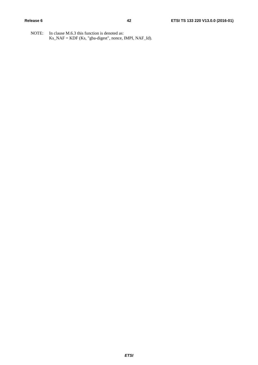NOTE: In clause M.6.3 this function is denoted as: Ks\_NAF = KDF (Ks, "gba-digest", nonce, IMPI, NAF\_Id).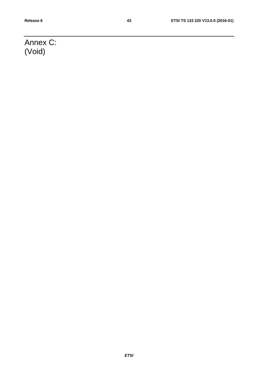# Annex C: (Void)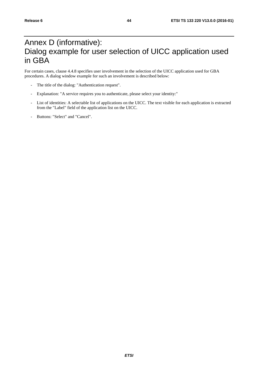## Annex D (informative): Dialog example for user selection of UICC application used in GBA

For certain cases, clause 4.4.8 specifies user involvement in the selection of the UICC application used for GBA procedures. A dialog window example for such an involvement is described below:

- The title of the dialog: "Authentication request".
- Explanation: "A service requires you to authenticate, please select your identity:"
- List of identities: A selectable list of applications on the UICC. The text visible for each application is extracted from the "Label" field of the application list on the UICC.
- Buttons: "Select" and "Cancel".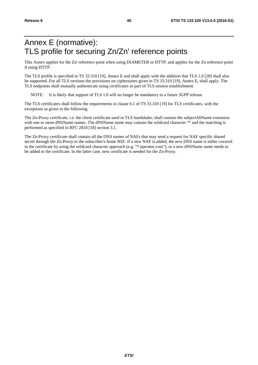# Annex E (normative): TLS profile for securing Zn/Zn' reference points

This Annex applies for the Zn' reference point when using DIAMETER or HTTP, and applies for the Zn reference point if using HTTP.

The TLS profile is specified in TS 33.310 [19], Annex E and shall apply with the addition that TLS 1.0 [28] shall also be supported. For all TLS versions the provisions on ciphersuites given in TS 33.310 [19], Annex E, shall apply. The TLS endpoints shall mutually authenticate using certificates as part of TLS session establishment.

NOTE: It is likely that support of TLS 1.0 will no longer be mandatory in a future 3GPP release.

The TLS certificates shall follow the requirements in clause 6.1 of TS 33.310 [19] for TLS certificates, with the exceptions as given in the following.

The Zn-Proxy certificate, i.e. the client certificate used in TLS handshake, shall contain the subjectAltName extension with one or more dNSName names. The dNSName name may contain the wildcard character '\*' and the matching is performed as specified in RFC 2818 [18] section 3.1.

The Zn-Proxy certificate shall contain all the DNS names of NAFs that may send a request for NAF specific shared secret through the Zn-Proxy to the subscriber's home BSF. If a new NAF is added, the new DNS name is either covered in the certificate by using the wildcard character approach (e.g. "\*.operator.com"), or a new dNSName name needs to be added to the certificate. In the latter case, new certificate is needed for the Zn-Proxy.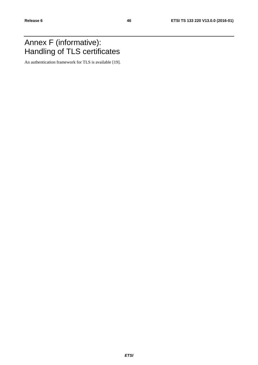## Annex F (informative): Handling of TLS certificates

An authentication framework for TLS is available [19].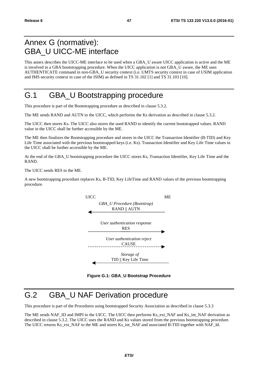## Annex G (normative): GBA\_U UICC-ME interface

This annex describes the UICC-ME interface to be used when a GBA\_U aware UICC application is active and the ME is involved in a GBA bootstrapping procedure. When the UICC application is not GBA\_U aware, the ME uses AUTHENTICATE command in non-GBA\_U security context (i.e. UMTS security context in case of USIM application and IMS security context in case of the ISIM) as defined in TS 31.102 [1] and TS 31.103 [10].

## G.1 GBA\_U Bootstrapping procedure

This procedure is part of the Bootstrapping procedure as described in clause 5.3.2.

The ME sends RAND and AUTN to the UICC, which performs the Ks derivation as described in clause 5.3.2.

The UICC then stores Ks. The UICC also stores the used RAND to identify the current bootstrapped values. RAND value in the UICC shall be further accessible by the ME.

The ME then finalizes the Bootstrapping procedure and stores in the UICC the Transaction Identifier (B-TID) and Key Life Time associated with the previous bootstrapped keys (i.e. Ks). Transaction Identifier and Key Life Time values in the UICC shall be further accessible by the ME.

At the end of the GBA\_U bootstrapping procedure the UICC stores Ks, Transaction Identifier, Key Life Time and the RAND.

The UICC sends RES to the ME.

A new bootstrapping procedure replaces Ks, B-TID, Key LifeTime and RAND values of the previous bootstrapping procedure.



**Figure G.1: GBA\_U Bootstrap Procedure** 

# G.2 GBA\_U NAF Derivation procedure

This procedure is part of the Procedures using bootstrapped Security Association as described in clause 5.3.3

The ME sends NAF\_ID and IMPI to the UICC. The UICC then performs Ks\_ext\_NAF and Ks\_int\_NAF derivation as described in clause 5.3.2. The UICC uses the RAND and Ks values stored from the previous bootstrapping procedure. The UICC returns Ks\_ext\_NAF to the ME and stores Ks\_int\_NAF and associated B-TID together with NAF\_Id.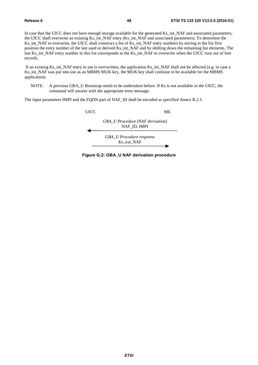In case that the UICC does not have enough storage available for the generated Ks int NAF and associated parameters, the UICC shall overwrite an existing Ks\_int\_NAF entry (Ks\_int\_NAF and associated parameters). To determine the Ks\_int\_NAF to overwrite, the UICC shall construct a list of Ks\_int\_NAF entry numbers by storing in the list first position the entry number of the last used or derived Ks\_int\_NAF and by shifting down the remaining list elements. The last Ks\_int\_NAF entry number in this list corresponds to the Ks\_int\_NAF to overwrite when the UICC runs out of free records.

 If an existing Ks\_int\_NAF entry in use is overwritten, the application Ks\_int\_NAF shall not be affected (e.g. in case a Ks\_int\_NAF was put into use as an MBMS MUK key, the MUK key shall continue to be available for the MBMS application).

NOTE: A previous GBA\_U Bootstrap needs to be undertaken before. If Ks is not available in the UICC, the command will answer with the appropriate error message.

The input parameters IMPI and the FQDN part of NAF\_ID shall be encoded as specified Annex B.2.1.



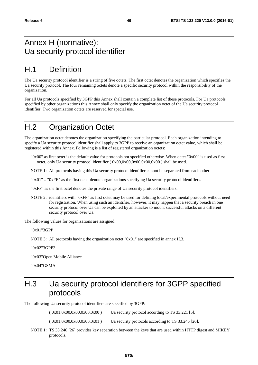## Annex H (normative): Ua security protocol identifier

# H.1 Definition

The Ua security protocol identifier is a string of five octets. The first octet denotes the organization which specifies the Ua security protocol. The four remaining octets denote a specific security protocol within the responsibility of the organization.

For all Ua protocols specified by 3GPP this Annex shall contain a complete list of these protocols. For Ua protocols specified by other organizations this Annex shall only specify the organization octet of the Ua security protocol identifier. Two organization octets are reserved for special use.

## H.2 Organization Octet

The organization octet denotes the organization specifying the particular protocol. Each organization intending to specify a Ua security protocol identifier shall apply to 3GPP to receive an organization octet value, which shall be registered within this Annex. Following is a list of registered organization octets:

"0x00" as first octet is the default value for protocols not specified otherwise. When octet "0x00" is used as first octet, only Ua security protocol identifier ( 0x00,0x00,0x00,0x00,0x00 ) shall be used.

NOTE 1: All protocols having this Ua security protocol identifier cannot be separated from each other.

"0x01" .. "0xFE" as the first octet denote organizations specifying Ua security protocol identifiers.

"0xFF" as the first octet denotes the private range of Ua security protocol identifiers.

NOTE 2: identifiers with "0xFF" as first octet may be used for defining local/experimental protocols without need for registration. When using such an identifier, however, it may happen that a security breach in one security protocol over Ua can be exploited by an attacker to mount successful attacks on a different security protocol over Ua.

The following values for organizations are assigned:

"0x01" 3GPP

NOTE 3: All protocols having the organization octet "0x01" are specified in annex H.3.

"0x02" 3GPP2

"0x03" Open Mobile Alliance

"0x04" GSMA

## H.3 Ua security protocol identifiers for 3GPP specified protocols

The following Ua security protocol identifiers are specified by 3GPP:

 $(0x01,0x00,0x00,0x00,0x00)$  Ua security protocol according to TS 33.221 [5].

 $( 0x01, 0x00, 0x00, 0x00, 0x01 )$  Ua security protocols according to TS 33.246 [26].

NOTE 1: TS 33.246 [26] provides key separation between the keys that are used within HTTP digest and MIKEY protocols.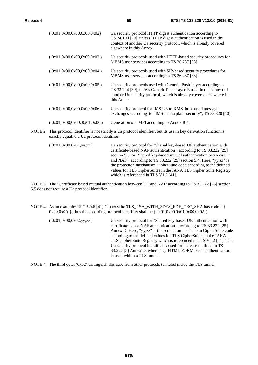| (0x01,0x00,0x00,0x00,0x02) | Ua security protocol HTTP digest authentication according to<br>TS 24.109 [29], unless HTTP digest authentication is used in the<br>context of another Ua security protocol, which is already covered<br>elsewhere in this Annex. |
|----------------------------|-----------------------------------------------------------------------------------------------------------------------------------------------------------------------------------------------------------------------------------|
| (0x01,0x00,0x00,0x00,0x03) | Ua security protocols used with HTTP-based security procedures for<br>MBMS user services according to TS 26.237 [38].                                                                                                             |
| (0x01.0x00.0x00.0x00.0x04) | Ua security protocols used with SIP-based security procedures for<br>MBMS user services according to TS 26.237 [38].                                                                                                              |
| (0x01,0x00,0x00,0x00,0x05) | Ua security protocols used with Generic Push Layer according to<br>TS 33.224 [39], unless Generic Push Layer is used in the context of<br>another Ua security protocol, which is already covered elsewhere in<br>this Annex.      |
| (0x01.0x00.0x00.0x00.0x06) | Ua security protocol for IMS UE to KMS http based message<br>exchanges according to "IMS media plane security", TS 33.328 [40]                                                                                                    |
| (0x01,0x00,0x00,0x01,0x00) | Generation of TMPI according to Annex B.4.                                                                                                                                                                                        |

NOTE 2: This protocol identifier is not strictly a Ua protocol identifier, but its use in key derivation function is exactly equal.to a Ua protocol identifier.

( 0x01,0x00,0x01,yy,zz ) Ua security protocol for "Shared key-based UE authentication with certificate-based NAF authentication", according to TS 33.222 [25] section 5.3, or "Shared key-based mutual authentication between UE and NAF", according to TS 33.222 [25] section 5.4. Here, "yy,zz" is the protection mechanism CipherSuite code according to the defined values for TLS CipherSuites in the IANA TLS Cipher Suite Registry which is referenced in TLS V1.2 [41].

 NOTE 3: The "Certificate based mutual authentication between UE and NAF' according to TS 33.222 [25] section 5.5 does not require a Ua protocol identifier.

NOTE 4: As an example: RFC 5246 [41] CipherSuite TLS\_RSA\_WITH\_3DES\_EDE\_CBC\_SHA has code = {  $0x00,0x0A$ , thus the according protocol identifier shall be  $(0x01,0x00,0x01,0x00,0x0A)$ .

| (0x01,0x00,0x02,yy,zz) | Ua security protocol for "Shared key-based UE authentication with<br>certificate-based NAF authentication", according to TS 33.222 [25] |
|------------------------|-----------------------------------------------------------------------------------------------------------------------------------------|
|                        | Annex D. Here, "yy,zz" is the protection mechanism CipherSuite code                                                                     |
|                        | according to the defined values for TLS CipherSuites in the IANA                                                                        |
|                        | TLS Cipher Suite Registry which is referenced in TLS V1.2 [41]. This                                                                    |
|                        | Ua security protocol identifier is used for the case outlined in TS                                                                     |
|                        | 33.222 [5] Annex D, where e.g. HTML FORM based authentication                                                                           |
|                        | is used within a TLS tunnel.                                                                                                            |

NOTE 4: The third octet (0x02) distinguish this case from other protocols tunneled inside the TLS tunnel.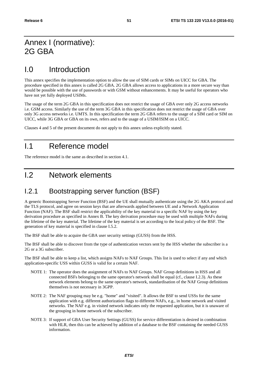## Annex I (normative): 2G GBA

## I.0 Introduction

This annex specifies the implementation option to allow the use of SIM cards or SIMs on UICC for GBA. The procedure specified in this annex is called 2G GBA. 2G GBA allows access to applications in a more secure way than would be possible with the use of passwords or with GSM without enhancements. It may be useful for operators who have not yet fully deployed USIMs.

The usage of the term 2G GBA in this specification does not restrict the usage of GBA over only 2G access networks i.e. GSM access. Similarly the use of the term 3G GBA in this specification does not restrict the usage of GBA over only 3G access networks i.e. UMTS. In this specification the term 2G GBA refers to the usage of a SIM card or SIM on UICC, while 3G GBA or GBA on its own, refers and to the usage of a USIM/ISIM on a UICC.

Clauses 4 and 5 of the present document do not apply to this annex unless explicitly stated.

## I.1 Reference model

The reference model is the same as described in section 4.1.

## I.2 Network elements

#### I.2.1 Bootstrapping server function (BSF)

A generic Bootstrapping Server Function (BSF) and the UE shall mutually authenticate using the 2G AKA protocol and the TLS protocol, and agree on session keys that are afterwards applied between UE and a Network Application Function (NAF). The BSF shall restrict the applicability of the key material to a specific NAF by using the key derivation procedure as specified in Annex B. The key derivation procedure may be used with multiple NAFs during the lifetime of the key material. The lifetime of the key material is set according to the local policy of the BSF. The generation of key material is specified in clause I.5.2.

The BSF shall be able to acquire the GBA user security settings (GUSS) from the HSS.

The BSF shall be able to discover from the type of authentication vectors sent by the HSS whether the subscriber is a 2G or a 3G subscriber.

The BSF shall be able to keep a list, which assigns NAFs to NAF Groups. This list is used to select if any and which application-specific USS within GUSS is valid for a certain NAF.

- NOTE 1: The operator does the assignment of NAFs to NAF Groups. NAF Group definitions in HSS and all connected BSFs belonging to the same operator's network shall be equal (cf., clause I.2.3). As these network elements belong to the same operator's network, standardisation of the NAF Group definitions themselves is not necessary in 3GPP.
- NOTE 2: The NAF grouping may be e.g. "home" and "visited". It allows the BSF to send USSs for the same application with e.g. different authorization flags to different NAFs, e.g., in home network and visited networks. The NAF e.g. in visited network indicates only the requested application, but it is unaware of the grouping in home network of the subscriber.
- NOTE 3: If support of GBA User Security Settings (GUSS) for service differentiation is desired in combination with HLR, then this can be achieved by addition of a database to the BSF containing the needed GUSS information.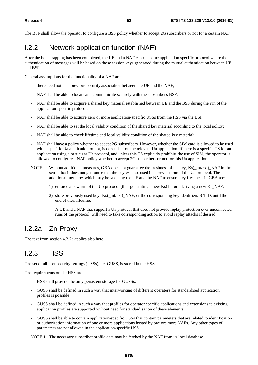The BSF shall allow the operator to configure a BSF policy whether to accept 2G subscribers or not for a certain NAF.

## I.2.2 Network application function (NAF)

After the bootstrapping has been completed, the UE and a NAF can run some application specific protocol where the authentication of messages will be based on those session keys generated during the mutual authentication between UE and BSF.

General assumptions for the functionality of a NAF are:

- there need not be a previous security association between the UE and the NAF;
- NAF shall be able to locate and communicate securely with the subscriber's BSF;
- NAF shall be able to acquire a shared key material established between UE and the BSF during the run of the application-specific protocol;
- NAF shall be able to acquire zero or more application-specific USSs from the HSS via the BSF;
- NAF shall be able to set the local validity condition of the shared key material according to the local policy;
- NAF shall be able to check lifetime and local validity condition of the shared key material;
- NAF shall have a policy whether to accept 2G subscribers. However, whether the SIM card is allowed to be used with a specific Ua application or not, is dependent on the relevant Ua application. If there is a specific TS for an application using a particular Ua protocol, and unless this TS explicitly prohibits the use of SIM, the operator is allowed to configure a NAF policy whether to accept 2G subscribers or not for this Ua application.
- NOTE: Without additional measures, GBA does not guarantee the freshness of the key, Ks(\_int/ext)\_NAF in the sense that it does not guarantee that the key was not used in a previous run of the Ua protocol. The additional measures which may be taken by the UE and the NAF to ensure key freshness in GBA are:
	- 1) enforce a new run of the Ub protocol (thus generating a new Ks) before deriving a new Ks\_NAF.
	- 2) store previously used keys Ks(\_int/ext)\_NAF, or the corresponding key identifiers B-TID, until the end of their lifetime.

 A UE and a NAF that support a Ua protocol that does not provide replay protection over unconnected runs of the protocol, will need to take corresponding action to avoid replay attacks if desired.

## I.2.2a Zn-Proxy

The text from section 4.2.2a applies also here.

## I.2.3 HSS

The set of all user security settings (USSs), i.e. GUSS, is stored in the HSS.

The requirements on the HSS are:

- HSS shall provide the only persistent storage for GUSSs;
- GUSS shall be defined in such a way that interworking of different operators for standardised application profiles is possible;
- GUSS shall be defined in such a way that profiles for operator specific applications and extensions to existing application profiles are supported without need for standardisation of these elements.
- GUSS shall be able to contain application-specific USSs that contain parameters that are related to identification or authorization information of one or more applications hosted by one ore more NAFs. Any other types of parameters are not allowed in the application-specific USS.

NOTE 1: The necessary subscriber profile data may be fetched by the NAF from its local database.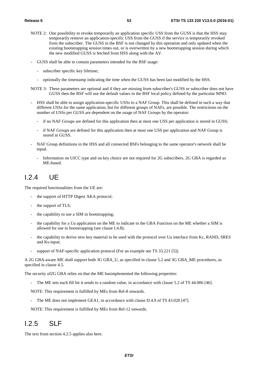- NOTE 2: One possibility to revoke temporarily an application specific USS from the GUSS is that the HSS may temporarily remove an application-specific USS from the GUSS if the service is temporarily revoked from the subscriber. The GUSS in the BSF is not changed by this operation and only updated when the existing bootstrapping session times out, or is overwritten by a new bootstrapping session during which the new modified GUSS is fetched from HSS along with the AV.
- GUSS shall be able to contain parameters intended for the BSF usage:
	- subscriber specific key lifetime;
	- optionally the timestamp indicating the time when the GUSS has been last modified by the HSS.
- NOTE 3: These parameters are optional and if they are missing from subscriber's GUSS or subscriber does not have GUSS then the BSF will use the default values in the BSF local policy defined by the particular MNO.
- HSS shall be able to assign application-specific USSs to a NAF Group. This shall be defined in such a way that different USSs for the same application, but for different groups of NAFs, are possible. The restrictions on the number of USSs per GUSS are dependent on the usage of NAF Groups by the operator:
	- if no NAF Groups are defined for this application then at most one USS per application is stored in GUSS;
	- if NAF Groups are defined for this application then at most one USS per application and NAF Group is stored in GUSS.
- NAF Group definitions in the HSS and all connected BSFs belonging to the same operator's network shall be equal.
	- Information on UICC type and on key choice are not required for 2G subscribers. 2G GBA is regarded as ME-based.

### I.2.4 UE

The required functionalities from the UE are:

- the support of HTTP Digest AKA protocol;
- the support of TLS;
- the capability to use a SIM in bootstrapping;
- the capability for a Ua application on the ME to indicate to the GBA Function on the ME whether a SIM is allowed for use in bootstrapping (see clause I.4.8);
- the capability to derive new key material to be used with the protocol over Ua interface from Kc, RAND, SRES and Ks-input;
- support of NAF-specific application protocol (For an example see TS 33.221 [5]).

A 2G GBA-aware ME shall support both 3G GBA\_U, as specified in clause 5.2 and 3G GBA\_ME procedures, as specified in clause 4.5.

The security of2G GBA relies on that the ME hasimplemented the following properties:

- The ME sets each fill bit it sends to a random value, in accordance with clause 5.2 of TS 44.006 [46].

NOTE: This requirement is fulfilled by MEs from Rel-8 onwards.

The ME does not implement GEA1, in accordance with clause D.4.9 of TS 43.020 [47].

NOTE: This requirement is fulfilled by MEs from Rel-12 onwards.

### I.2.5 SLF

The text from section 4.2.5 applies also here.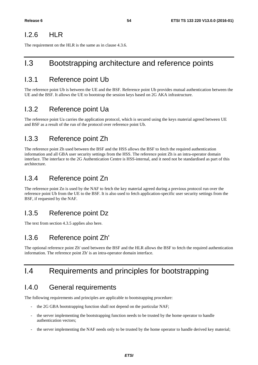#### I.2.6 HLR

The requirement on the HLR is the same as in clause 4.3.6.

## I.3 Bootstrapping architecture and reference points

#### I.3.1 Reference point Ub

The reference point Ub is between the UE and the BSF. Reference point Ub provides mutual authentication between the UE and the BSF. It allows the UE to bootstrap the session keys based on 2G AKA infrastructure.

#### I.3.2 Reference point Ua

The reference point Ua carries the application protocol, which is secured using the keys material agreed between UE and BSF as a result of the run of the protocol over reference point Ub.

#### I.3.3 Reference point Zh

The reference point Zh used between the BSF and the HSS allows the BSF to fetch the required authentication information and all GBA user security settings from the HSS. The reference point Zh is an intra-operator domain interface. The interface to the 2G Authentication Centre is HSS-internal, and it need not be standardised as part of this architecture.

#### I.3.4 Reference point Zn

The reference point Zn is used by the NAF to fetch the key material agreed during a previous protocol run over the reference point Ub from the UE to the BSF. It is also used to fetch application-specific user security settings from the BSF, if requested by the NAF.

## I.3.5 Reference point Dz

The text from section 4.3.5 applies also here.

### I.3.6 Reference point Zh'

The optional reference point Zh' used between the BSF and the HLR allows the BSF to fetch the required authentication information. The reference point Zh' is an intra-operator domain interface.

## I.4 Requirements and principles for bootstrapping

### I.4.0 General requirements

The following requirements and principles are applicable to bootstrapping procedure:

- the 2G GBA bootstrapping function shall not depend on the particular NAF;
- the server implementing the bootstrapping function needs to be trusted by the home operator to handle authentication vectors;
- the server implementing the NAF needs only to be trusted by the home operator to handle derived key material;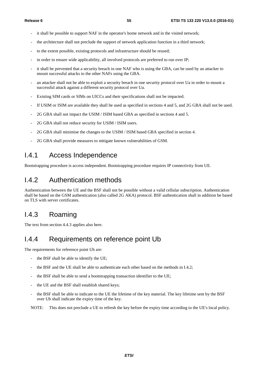- it shall be possible to support NAF in the operator's home network and in the visited network;
- the architecture shall not preclude the support of network application function in a third network;
- to the extent possible, existing protocols and infrastructure should be reused;
- in order to ensure wide applicability, all involved protocols are preferred to run over IP;
- it shall be prevented that a security breach in one NAF who is using the GBA, can be used by an attacker to mount successful attacks to the other NAFs using the GBA.
- an attacker shall not be able to exploit a security breach in one security protocol over Ua in order to mount a successful attack against a different security protocol over Ua.
- Existing SIM cards or SIMs on UICCs and their specifications shall not be impacted.
- If USIM or ISIM are available they shall be used as specified in sections 4 and 5, and 2G GBA shall not be used.
- 2G GBA shall not impact the USIM / ISIM based GBA as specified in sections 4 and 5.
- 2G GBA shall not reduce security for USIM / ISIM users.
- 2G GBA shall minimise the changes to the USIM / ISIM based GBA specified in section 4.
- 2G GBA shall provide measures to mitigate known vulnerabilities of GSM.

#### I.4.1 Access Independence

Bootstrapping procedure is access independent. Bootstrapping procedure requires IP connectivity from UE.

#### I.4.2 Authentication methods

Authentication between the UE and the BSF shall not be possible without a valid cellular subscription. Authentication shall be based on the GSM authentication (also called 2G AKA) protocol. BSF authentication shall in addition be based on TLS with server certificates.

#### I.4.3 Roaming

The text from section 4.4.3 applies also here.

#### I.4.4 Requirements on reference point Ub

The requirements for reference point Ub are:

- the BSF shall be able to identify the UE;
- the BSF and the UE shall be able to authenticate each other based on the methods in I.4.2;
- the BSF shall be able to send a bootstrapping transaction identifier to the UE;
- the UE and the BSF shall establish shared keys;
- the BSF shall be able to indicate to the UE the lifetime of the key material. The key lifetime sent by the BSF over Ub shall indicate the expiry time of the key.

NOTE: This does not preclude a UE to refresh the key before the expiry time according to the UE's local policy.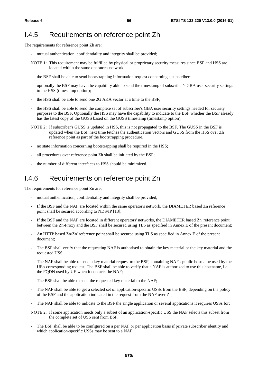#### I.4.5 Requirements on reference point Zh

The requirements for reference point Zh are:

- mutual authentication, confidentiality and integrity shall be provided;
- NOTE 1: This requirement may be fulfilled by physical or proprietary security measures since BSF and HSS are located within the same operator's network.
- the BSF shall be able to send bootstrapping information request concerning a subscriber;
- optionally the BSF may have the capability able to send the timestamp of subscriber's GBA user security settings to the HSS (timestamp option);
- the HSS shall be able to send one 2G AKA vector at a time to the BSF;
- the HSS shall be able to send the complete set of subscriber's GBA user security settings needed for security purposes to the BSF. Optionally the HSS may have the capability to indicate to the BSF whether the BSF already has the latest copy of the GUSS based on the GUSS timestamp (timestamp option);
- NOTE 2: If subscriber's GUSS is updated in HSS, this is not propagated to the BSF. The GUSS in the BSF is updated when the BSF next time fetches the authentication vectors and GUSS from the HSS over Zh reference point as part of the bootstrapping procedure.
- no state information concerning bootstrapping shall be required in the HSS;
- all procedures over reference point Zh shall be initiated by the BSF;
- the number of different interfaces to HSS should be minimized.

#### I.4.6 Requirements on reference point Zn

The requirements for reference point Zn are:

- mutual authentication, confidentiality and integrity shall be provided;
- If the BSF and the NAF are located within the same operator's network, the DIAMETER based Zn reference point shall be secured according to NDS/IP [13];
- If the BSF and the NAF are located in different operators' networks, the DIAMETER based Zn' reference point between the Zn-Proxy and the BSF shall be secured using TLS as specified in Annex E of the present document;
- An HTTP based Zn/Zn' reference point shall be secured using TLS as specified in Annex E of the present document;
- The BSF shall verify that the requesting NAF is authorised to obtain the key material or the key material and the requested USS;
- The NAF shall be able to send a key material request to the BSF, containing NAF's public hostname used by the UE's corresponding request. The BSF shall be able to verify that a NAF is authorized to use this hostname, i.e. the FQDN used by UE when it contacts the NAF;
- The BSF shall be able to send the requested key material to the NAF;
- The NAF shall be able to get a selected set of application-specific USSs from the BSF, depending on the policy of the BSF and the application indicated in the request from the NAF over Zn;
- The NAF shall be able to indicate to the BSF the single application or several applications it requires USSs for;
- NOTE 2: If some application needs only a subset of an application-specific USS the NAF selects this subset from the complete set of USS sent from BSF.
- The BSF shall be able to be configured on a per NAF or per application basis if private subscriber identity and which application-specific USSs may be sent to a NAF;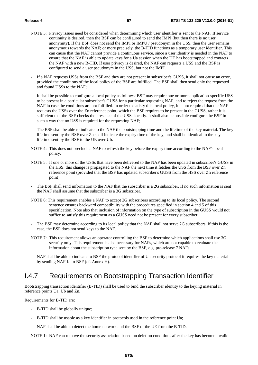- NOTE 3: Privacy issues need be considered when determining which user identifier is sent to the NAF. If service continuity is desired, then the BSF can be configured to send the IMPI (but then there is no user anonymity). If the BSF does not send the IMPI or IMPU / pseudonym in the USS, then the user remains anonymous towards the NAF; or more precisely, the B-TID functions as a temporary user identifier. This can cause that the NAF cannot provide a continuous service, since a user identity is needed in the NAF to ensure that the NAF is able to update keys for a Ua session when the UE has bootstrapped and contacts the NAF with a new B-TID. If user privacy is desired, the NAF can requests a USS and the BSF is configured to send a user pseudonym in the USS, but not the IMPI.
- If a NAF requests USSs from the BSF and they are not present in subscriber's GUSS, it shall not cause an error, provided the conditions of the local policy of the BSF are fulfilled. The BSF shall then send only the requested and found USSs to the NAF;
- It shall be possible to configure a local policy as follows: BSF may require one or more application-specific USS to be present in a particular subscriber's GUSS for a particular requesting NAF, and to reject the request from the NAF in case the conditions are not fulfilled. In order to satisfy this local policy, it is not required that the NAF requests the USSs over the Zn reference point, which the BSF requires to be present in the GUSS, rather it is sufficient that the BSF checks the presence of the USSs locally. It shall also be possible configure the BSF in such a way that no USS is required for the requesting NAF;
- The BSF shall be able to indicate to the NAF the bootstrapping time and the lifetime of the key material. The key lifetime sent by the BSF over Zn shall indicate the expiry time of the key, and shall be identical to the key lifetime sent by the BSF to the UE over Ub.
- NOTE 4: This does not preclude a NAF to refresh the key before the expiry time according to the NAF's local policy.
- NOTE 5: If one or more of the USSs that have been delivered to the NAF has been updated in subscriber's GUSS in the HSS, this change is propagated to the NAF the next time it fetches the USS from the BSF over Zn reference point (provided that the BSF has updated subscriber's GUSS from the HSS over Zh reference point).
- The BSF shall send information to the NAF that the subscriber is a 2G subscriber. If no such information is sent the NAF shall assume that the subscriber is a 3G subscriber.
- NOTE 6: This requirement enables a NAF to accept 2G subscribers according to its local policy. The second sentence ensures backward compatibility with the procedures specified in section 4 and 5 of this specification. Note also that inclusion of information on the type of subscription in the GUSS would not suffice to satisfy this requirement as a GUSS need not be present for every subscriber.
- The BSF may determine according to its local policy that the NAF shall not serve 2G subscribers. If this is the case, the BSF does not send keys to the NAF.
- NOTE 7: This requirement allows an operator controlling the BSF to determine which applications shall use 3G security only. This requirement is also necessary for NAFs, which are not capable to evaluate the information about the subscription type sent by the BSF, e.g. pre-release 7 NAFs.
- NAF shall be able to indicate to BSF the protocol identifier of Ua security protocol it requires the key material by sending NAF-Id to BSF (cf. Annex H).

### I.4.7 Requirements on Bootstrapping Transaction Identifier

Bootstrapping transaction identifier (B-TID) shall be used to bind the subscriber identity to the keying material in reference points Ua, Ub and Zn.

Requirements for B-TID are:

- B-TID shall be globally unique;
- B-TID shall be usable as a key identifier in protocols used in the reference point Ua;
- NAF shall be able to detect the home network and the BSF of the UE from the B-TID.

NOTE 1: NAF can remove the security association based on deletion conditions after the key has become invalid.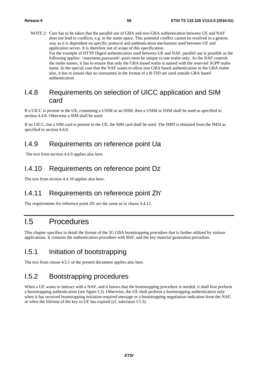NOTE 2: Care has to be taken that the parallel use of GBA and non-GBA authentication between UE and NAF does not lead to conflicts, e.g. in the name space. This potential conflict cannot be resolved in a generic way as it is dependent on specific protocol and authentication mechanism used between UE and application server. It is therefore out of scope of this specification. For the example of HTTP Digest authentication used between UE and NAF, parallel use is possible as the following applies:  $\langle$ username,password>-pairs must be unique to one realm only. As the NAF controls the realm names, it has to ensure that only the GBA based realm is named with the reserved 3GPP realm name. In the special case that the NAF wants to allow non GBA based authentication in the GBA realm also, it has to ensure that no usernames in the format of a B-TID are used outside GBA based authentication.

#### I.4.8 Requirements on selection of UICC application and SIM card

If a UICC is present in the UE, containing a USIM or an ISIM, then a USIM or ISIM shall be used as specified in section 4.4.8. Otherwise a SIM shall be used.

If no UICC, but a SIM card is present in the UE, the SIM card shall be used. The IMPI is obtained from the IMSI as specified in section 4.4.8.

#### I.4.9 Requirements on reference point Ua

The text from section 4.4.9 applies also here.

#### I.4.10 Requirements on reference point Dz

The text from section 4.4.10 applies also here.

#### I.4.11 Requirements on reference point Zh'

The requirements for reference point Zh' are the same as in clause 4.4.12.

## I.5 Procedures

This chapter specifies in detail the format of the 2G GBA bootstrapping procedure that is further utilized by various applications. It contains the authentication procedure with BSF, and the key material generation procedure.

#### I.5.1 Initiation of bootstrapping

The text from clause 4.5.1 of the present document applies also here.

### I.5.2 Bootstrapping procedures

When a UE wants to interact with a NAF, and it knows that the bootstrapping procedure is needed, it shall first perform a bootstrapping authentication (see figure I.3). Otherwise, the UE shall perform a bootstrapping authentication only when it has received bootstrapping initiation required message or a bootstrapping negotiation indication from the NAF, or when the lifetime of the key in UE has expired (cf. subclause I.5.3).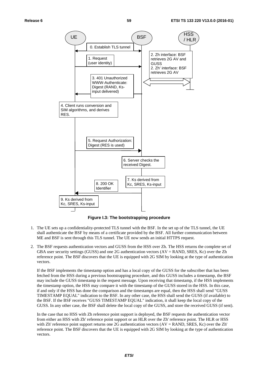

**Figure I.3: The bootstrapping procedure** 

- 1. The UE sets up a confidentiality-protected TLS tunnel with the BSF. In the set up of the TLS tunnel, the UE shall authenticate the BSF by means of a certificate provided by the BSF. All further communication between ME and BSF is sent through this TLS tunnel. The UE now sends an initial HTTPS request.
- 2. The BSF requests authentication vectors and GUSS from the HSS over Zh. The HSS returns the complete set of GBA user security settings (GUSS) and one 2G authentication vectors (AV = RAND, SRES, Kc) over the Zh reference point. The BSF discovers that the UE is equipped with 2G SIM by looking at the type of authentication vectors.

If the BSF implements the timestamp option and has a local copy of the GUSS for the subscriber that has been fetched from the HSS during a previous bootstrapping procedure, and this GUSS includes a timestamp, the BSF may include the GUSS timestamp in the request message. Upon receiving that timestamp, if the HSS implements the timestamp option, the HSS may compare it with the timestamp of the GUSS stored in the HSS. In this case, if and only if the HSS has done the comparison and the timestamps are equal, then the HSS shall send "GUSS TIMESTAMP EQUAL" indication to the BSF. In any other case, the HSS shall send the GUSS (if available) to the BSF. If the BSF receives "GUSS TIMESTAMP EQUAL" indication, it shall keep the local copy of the GUSS. In any other case, the BSF shall delete the local copy of the GUSS, and store the received GUSS (if sent).

 In the case that no HSS with Zh reference point support is deployed, the BSF requests the authentication vector from either an HSS with Zh' reference point support or an HLR over the Zh' reference point. The HLR or HSS with Zh' reference point support returns one 2G authentication vectors (AV = RAND, SRES, Kc) over the Zh' reference point. The BSF discovers that the UE is equipped with 2G SIM by looking at the type of authentication vectors.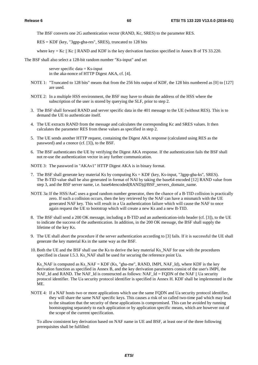The BSF converts one 2G authentication vector (RAND, Kc, SRES) to the parameter RES.

RES = KDF (key, "3gpp-gba-res", SRES), truncated to 128 bits

where key = Kc  $\parallel$  Kc  $\parallel$  RAND and KDF is the key derivation function specified in Annex B of TS 33.220.

The BSF shall also select a 128-bit random number "Ks-input" and set

server specific data  $=$  Ks-input in the aka-nonce of HTTP Digest AKA, cf. [4].

- NOTE 1: "Truncated to 128 bits" means that from the 256 bits output of KDF, the 128 bits numbered as [0] to [127] are used.
- NOTE 2: In a multiple HSS environment, the BSF may have to obtain the address of the HSS where the subscription of the user is stored by querying the SLF, prior to step 2.
- 3. The BSF shall forward RAND and server specific data in the 401 message to the UE (without RES). This is to demand the UE to authenticate itself.
- 4. The UE extracts RAND from the message and calculates the corresponding Kc and SRES values. It then calculates the parameter RES from these values as specified in step 2.
- 5. The UE sends another HTTP request, containing the Digest AKA response (calculated using RES as the password) and a cnonce (cf. [3]), to the BSF.
- 6. The BSF authenticates the UE by verifying the Digest AKA response. If the authentication fails the BSF shall not re-use the authentication vector in any further communication.
- NOTE 3: The password in "AKAv1" HTTP Digest AKA is in binary format.
- 7. The BSF shall generate key material Ks by computing Ks = KDF (key, Ks-input, "3gpp-gba-ks", SRES). The B-TID value shall be also generated in format of NAI by taking the base64 encoded [12] RAND value from step 3, and the BSF server name, i.e. base64encoded(RAND)@BSF\_servers\_domain\_name.
- NOTE 3a: If the HSS/AuC uses a good random number generator, then the chance of a B-TID collision is practically zero. If such a collision occurs, then the key retrieved by the NAF can have a mismatch with the UE generated NAF key. This will result in a Ua authentication failure which will cause the NAF to once again request the UE to bootstrap which will create a new Ks and a new B-TID.
- 8. The BSF shall send a 200 OK message, including a B-TID and an authentication-info header (cf. [3]), to the UE to indicate the success of the authentication. In addition, in the 200 OK message, the BSF shall supply the lifetime of the key Ks.
- 9. The UE shall abort the procedure if the server authentication according to [3] fails. If it is successful the UE shall generate the key material Ks in the same way as the BSF.
- 10. Both the UE and the BSF shall use the Ks to derive the key material Ks\_NAF for use with the procedures specified in clause I.5.3. Ks\_NAF shall be used for securing the reference point Ua.

Ks NAF is computed as Ks NAF = KDF (Ks, "gba-me", RAND, IMPI, NAF Id), where KDF is the key derivation function as specified in Annex B, and the key derivation parameters consist of the user's IMPI, the NAF\_Id and RAND. The NAF\_Id is constructed as follows: NAF\_Id = FQDN of the NAF  $||$  Ua security protocol identifier. The Ua security protocol identifier is specified in Annex H. KDF shall be implemented in the ME.

NOTE 4: If a NAF hosts two or more applications which use the same FQDN and Ua security protocol identifier, they will share the same NAF specific keys. This causes a risk of so called two-time pad which may lead to the situation that the security of these applications is compromised. This can be avoided by running bootstrapping separately to each application or by application specific means, which are however out of the scope of the current specification.

To allow consistent key derivation based on NAF name in UE and BSF, at least one of the three following prerequisites shall be fulfilled: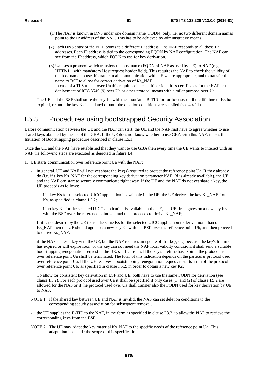- (1) The NAF is known in DNS under one domain name (FQDN) only, i.e. no two different domain names point to the IP address of the NAF. This has to be achieved by administrative means.
- (2) Each DNS entry of the NAF points to a different IP address. The NAF responds to all these IP addresses. Each IP address is tied to the corresponding FQDN by NAF configuration. The NAF can see from the IP address, which FQDN to use for key derivation.
- (3) Ua uses a protocol which transfers the host name (FQDN of NAF as used by UE) to NAF (e.g. HTTP/1.1 with mandatory Host request header field). This requires the NAF to check the validity of the host name, to use this name in all communication with UE where appropriate, and to transfer this name to BSF to allow for correct derivation of Ks\_NAF. In case of a TLS tunnel over Ua this requires either multiple-identities certificates for the NAF or the deployment of RFC 3546 [9] over Ua or other protocol means with similar purpose over Ua.

 The UE and the BSF shall store the key Ks with the associated B-TID for further use, until the lifetime of Ks has expired, or until the key Ks is updated or until the deletion conditions are satisfied (see 4.4.11).

#### I.5.3 Procedures using bootstrapped Security Association

Before communication between the UE and the NAF can start, the UE and the NAF first have to agree whether to use shared keys obtained by means of the GBA. If the UE does not know whether to use GBA with this NAF, it uses the Initiation of Bootstrapping procedure described in clause I.5.1.

Once the UE and the NAF have established that they want to use GBA then every time the UE wants to interact with an NAF the following steps are executed as depicted in figure I.4.

- 1. UE starts communication over reference point Ua with the NAF:
	- in general, UE and NAF will not yet share the key(s) required to protect the reference point Ua. If they already do (i.e. if a key Ks\_NAF for the corresponding key derivation parameter NAF\_Id is already available), the UE and the NAF can start to securely communicate right away. If the UE and the NAF do not yet share a key, the UE proceeds as follows:
		- if a key Ks for the selected UICC application is available in the UE, the UE derives the key Ks\_NAF from Ks, as specified in clause I.5.2;
		- if no key Ks for the selected UICC application is available in the UE, the UE first agrees on a new key Ks with the BSF over the reference point Ub, and then proceeds to derive Ks\_NAF;

If it is not desired by the UE to use the same Ks for the selected UICC application to derive more than one Ks\_NAF then the UE should agree on a new key Ks with the BSF over the reference point Ub, and then proceed to derive Ks\_NAF;

if the NAF shares a key with the UE, but the NAF requires an update of that key, e.g. because the key's lifetime has expired or will expire soon, or the key can not meet the NAF local validity condition, it shall send a suitable bootstrapping renegotiation request to the UE, see figure I.5. If the key's lifetime has expired the protocol used over reference point Ua shall be terminated. The form of this indication depends on the particular protocol used over reference point Ua. If the UE receives a bootstrapping renegotiation request, it starts a run of the protocol over reference point Ub, as specified in clause I.5.2, in order to obtain a new key Ks.

To allow for consistent key derivation in BSF and UE, both have to use the same FQDN for derivation (see clause I.5.2). For each protocol used over Ua it shall be specified if only cases (1) and (2) of clause I.5.2 are allowed for the NAF or if the protocol used over Ua shall transfer also the FQDN used for key derivation by UE to NAF.

- NOTE 1: If the shared key between UE and NAF is invalid, the NAF can set deletion conditions to the corresponding security association for subsequent removal.
- the UE supplies the B-TID to the NAF, in the form as specified in clause I.3.2, to allow the NAF to retrieve the corresponding keys from the BSF;
- NOTE 2: The UE may adapt the key material Ks\_NAF to the specific needs of the reference point Ua. This adaptation is outside the scope of this specification.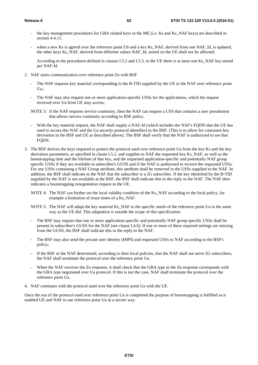- the key management procedures for GBA related keys in the ME (i.e. Ks and Ks, NAF keys) are described in section 4.4.11
- when a new Ks is agreed over the reference point Ub and a key Ks\_NAF, derived from one NAF\_Id, is updated, the other keys Ks\_NAF, derived from different values NAF\_Id, stored on the UE shall not be affected;

 According to the procedures defined in clauses I.5.2 and I.5.3, in the UE there is at most one Ks\_NAF key stored per NAF-Id.

- 2. NAF starts communication over reference point Zn with BSF
	- The NAF requests key material corresponding to the B-TID supplied by the UE to the NAF over reference point  $Ua$ .:
	- The NAF may also request one or more application-specific USSs for the applications, which the request received over Ua from UE may access;
	- NOTE 3: If the NAF requires service continuity, then the NAF can request a USS that contains a user pseudonym that allows service continuity according to BSF policy.
	- With the key material request, the NAF shall supply a NAF-Id (which includes the NAF's FODN that the UE has used to access this NAF and the Ua security protocol identifier) to the BSF. (This is to allow for consistent key derivation in the BSF and UE as described above). The BSF shall verify that the NAF is authorized to use that FODN.
- 3. The BSF derives the keys required to protect the protocol used over reference point Ua from the key Ks and the key derivation parameters, as specified in clause I.5.2, and supplies to NAF the requested key Ks\_NAF, as well as the bootstrapping time and the lifetime of that key, and the requested application-specific and potentially NAF group specific USSs if they are available in subscriber's GUSS and if the NAF is authorized to receive the requested USSs. For any USSs containing a NAF Group attribute, this attribute shall be removed in the USSs supplied to the NAF. In addition, the BSF shall indicate to the NAF that the subscriber is a 2G subscriber. If the key identified by the B-TID supplied by the NAF is not available at the BSF, the BSF shall indicate this in the reply to the NAF. The NAF then indicates a bootstrapping renegotiation request to the UE.
	- NOTE 4: The NAF can further set the local validity condition of the Ks\_NAF according to the local policy, for example a limitation of reuse times of a Ks\_NAF.
	- NOTE 5: The NAF will adapt the key material Ks\_NAF to the specific needs of the reference point Ua in the same way as the UE did. This adaptation is outside the scope of this specification.
	- The BSF may require that one or more application-specific and potentially NAF group specific USSs shall be present in subscriber's GUSS for the NAF (see clause I.4.6). If one or more of these required settings are missing from the GUSS, the BSF shall indicate this in the reply to the NAF.
	- The BSF may also send the private user identity (IMPI) and requested USSs to NAF according to the BSF's policy;
	- If the BSF or the NAF determined, according to their local policies, that the NAF shall not serve 2G subscribers, the NAF shall terminate the protocol over the reference point Ua.
	- When the NAF receives the Zn response, it shall check that the GBA type in the Zn response corresponds with the GBA type negotiated over Ua protocol. If this is not the case, NAF shall terminate the protocol over the reference point Ua.
- 4. NAF continues with the protocol used over the reference point Ua with the UE.

Once the run of the protocol used over reference point Ua is completed the purpose of bootstrapping is fulfilled as it enabled UE and NAF to use reference point Ua in a secure way.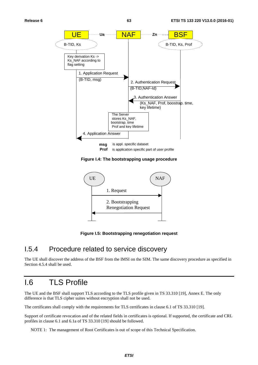

**Figure I.4: The bootstrapping usage procedure** 



**Figure I.5: Bootstrapping renegotiation request** 

#### I.5.4 Procedure related to service discovery

The UE shall discover the address of the BSF from the IMSI on the SIM. The same discovery procedure as specified in Section 4.5.4 shall be used.

### I.6 TLS Profile

The UE and the BSF shall support TLS according to the TLS profile given in TS 33.310 [19], Annex E. The only difference is that TLS cipher suites without encryption shall not be used.

The certificates shall comply with the requirements for TLS certificates in clause 6.1 of TS 33.310 [19].

Support of certificate revocation and of the related fields in certificates is optional. If supported, the certificate and CRL profiles in clause 6.1 and 6.1a of TS 33.310 [19] should be followed.

NOTE 1: The management of Root Certificates is out of scope of this Technical Specification.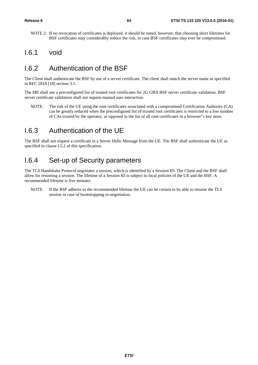NOTE 2: If no revocation of certificates is deployed, it should be noted, however, that choosing short lifetimes for BSF certificates may considerably reduce the risk, in case BSF certificates may ever be compromised.

#### I.6.1 void

## I.6.2 Authentication of the BSF

The Client shall authenticate the BSF by use of a server certificate. The client shall match the server name as specified in RFC 2818 [18] section 3.1.

The ME shall use a preconfigured list of trusted root certificates for 2G GBA BSF server certificate validation. BSF server certificate validation shall not require manual user interaction.

NOTE: The risk of the UE using the root certificates associated with a compromised Certification Authority (CA) can be greatly reduced when the preconfigured list of trusted root certificates is restricted to a low number of CAs trusted by the operator, as opposed to the list of all root certificates in a browser"s key store.

### I.6.3 Authentication of the UE

The BSF shall not request a certificate in a Server Hello Message from the UE. The BSF shall authenticate the UE as specified in clause I.5.2 of this specification.

#### I.6.4 Set-up of Security parameters

The TLS Handshake Protocol negotiates a session, which is identified by a Session ID. The Client and the BSF shall allow for resuming a session. The lifetime of a Session ID is subject to local policies of the UE and the BSF. A recommended lifetime is five minutes.

NOTE: If the BSF adheres to the recommended lifetime the UE can be certain to be able to resume the TLS session in case of bootstrapping re-negotiation.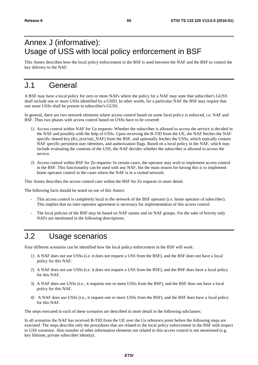# Annex J (informative): Usage of USS with local policy enforcement in BSF

This Annex describes how the local policy enforcement in the BSF is used between the NAF and the BSF to control the key delivery to the NAF.

## J.1 General

A BSF may have a local policy for zero or more NAFs where the policy for a NAF may state that subscriber's GUSS shall include one or more USSs identified by a GSID. In other words, for a particular NAF the BSF may require that one more USSs shall be present in subscriber's GUSS.

In general, there are two network elements where access control based on some local policy is enforced, i.e. NAF and BSF. Thus two phases with access control based on USSs have to be covered:

- 1) Access control within NAF for Ua requests: Whether the subscriber is allowed to access the service is decided in the NAF and possibly with the help of USSs. Upon receiving the B-TID from the UE, the NAF fetches the NAF specific shared key (Ks (ext/int) NAF) from the BSF, and optionally fetches the USSs, which typically contain NAF specific persistent user identities, and authorization flags. Based on a local policy in the NAF, which may include evaluating the contents of the USS, the NAF decides whether the subscriber is allowed to access the service.
- 2) Access control within BSF for Zn requests: In certain cases, the operator may wish to implement access control in the BSF. This functionality can be used with any NAF, but the main reason for having this is to implement home operator control in the cases where the NAF is in a visited network.

This Annex describes the access control case within the BSF for Zn requests in more detail.

The following facts should be noted on use of this Annex:

- This access control is completely local to the network of the BSF operator (i.e. home operator of subscriber). This implies that no inter-operator agreement is necessary for implementation of this access control.
- The local policies of the BSF may be based on NAF names and on NAF groups. For the sake of brevity only NAFs are mentioned in the following descriptions.

## J.2 Usage scenarios

Four different scenarios can be identified how the local policy enforcement in the BSF will work:

- 1) A NAF does not use USSs (i.e. it does not request a USS from the BSF), and the BSF does not have a local policy for this NAF.
- 2) A NAF does not use USSs (i.e. it does not request a USS from the BSF), and the BSF does have a local policy for this NAF.
- 3) A NAF does use USSs (i.e., it requests one or more USSs from the BSF), and the BSF does not have a local policy for this NAF.
- 4) A NAF does use USSs (i.e., it request one or more USSs from the BSF), and the BSF does have a local policy for this NAF.

The steps executed in each of these scenarios are described in more detail in the following subclauses.

In all scenarios the NAF has received B-TID from the UE over the Ua reference point before the following steps are executed. The steps describe only the procedures that are related to the local policy enforcement in the BSF with respect to USS existence. Also transfer of other information elements not related to this access control is not mentioned (e.g. key lifetime, private subscriber identity).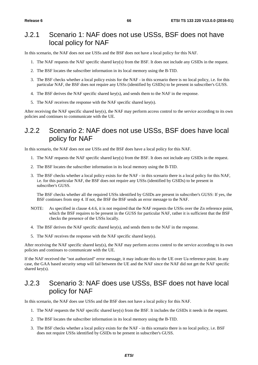#### J.2.1 Scenario 1: NAF does not use USSs, BSF does not have local policy for NAF

In this scenario, the NAF does not use USSs and the BSF does not have a local policy for this NAF.

- 1. The NAF requests the NAF specific shared key(s) from the BSF. It does not include any GSIDs in the request.
- 2. The BSF locates the subscriber information in its local memory using the B-TID.
- 3. The BSF checks whether a local policy exists for the NAF in this scenario there is no local policy, i.e. for this particular NAF, the BSF does not require any USSs (identified by GSIDs) to be present in subscriber's GUSS.
- 4. The BSF derives the NAF specific shared key(s), and sends them to the NAF in the response.
- 5. The NAF receives the response with the NAF specific shared key(s).

After receiving the NAF specific shared key(s), the NAF may perform access control to the service according to its own policies and continues to communicate with the UE.

#### J.2.2 Scenario 2: NAF does not use USSs, BSF does have local policy for NAF

In this scenario, the NAF does not use USSs and the BSF does have a local policy for this NAF.

- 1. The NAF requests the NAF specific shared key(s) from the BSF. It does not include any GSIDs in the request.
- 2. The BSF locates the subscriber information in its local memory using the B-TID.
- 3. The BSF checks whether a local policy exists for the NAF in this scenario there is a local policy for this NAF, i.e. for this particular NAF, the BSF does not require any USSs (identified by GSIDs) to be present in subscriber's GUSS.

 The BSF checks whether all the required USSs identified by GSIDs are present in subscriber's GUSS: If yes, the BSF continues from step 4. If not, the BSF the BSF sends an error message to the NAF.

- NOTE: As specified in clause 4.4.6, it is not required that the NAF requests the USSs over the Zn reference point, which the BSF requires to be present in the GUSS for particular NAF, rather it is sufficient that the BSF checks the presence of the USSs locally.
- 4. The BSF derives the NAF specific shared key(s), and sends them to the NAF in the response.
- 5. The NAF receives the response with the NAF specific shared key(s).

After receiving the NAF specific shared key(s), the NAF may perform access control to the service according to its own policies and continues to communicate with the UE.

If the NAF received the "not authorized" error message, it may indicate this to the UE over Ua reference point. In any case, the GAA based security setup will fail between the UE and the NAF since the NAF did not get the NAF specific shared key(s).

#### J.2.3 Scenario 3: NAF does use USSs, BSF does not have local policy for NAF

In this scenario, the NAF does use USSs and the BSF does not have a local policy for this NAF.

- 1. The NAF requests the NAF specific shared key(s) from the BSF. It includes the GSIDs it needs in the request.
- 2. The BSF locates the subscriber information in its local memory using the B-TID.
- 3. The BSF checks whether a local policy exists for the NAF in this scenario there is no local policy, i.e. BSF does not require USSs identified by GSIDs to be present in subscriber's GUSS.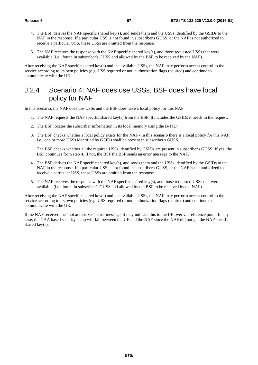- 4. The BSF derives the NAF specific shared key(s), and sends them and the USSs identified by the GSIDs to the NAF in the response. If a particular USS is not found in subscriber's GUSS, or the NAF is not authorized to receive a particular USS, these USSs are omitted from the response.
- 5. The NAF receives the response with the NAF specific shared key(s), and those requested USSs that were available (i.e., found in subscriber's GUSS and allowed by the BSF to be received by the NAF).

After receiving the NAF specific shared key(s) and the available USSs, the NAF may perform access control to the service according to its own policies (e.g. USS required or not, authorization flags required) and continue to communicate with the UE.

#### J.2.4 Scenario 4: NAF does use USSs, BSF does have local policy for NAF

In this scenario, the NAF does use USSs and the BSF does have a local policy for this NAF.

- 1. The NAF requests the NAF specific shared key(s) from the BSF. It includes the GSIDs it needs in the request.
- 2. The BSF locates the subscriber information in its local memory using the B-TID.
- 3. The BSF checks whether a local policy exists for the NAF in this scenario there is a local policy for this NAF, i.e., one or more USSs identified by GSIDs shall be present in subscriber's GUSS.

 The BSF checks whether all the required USSs identified by GSIDs are present in subscriber's GUSS: If yes, the BSF continues from step 4. If not, the BSF the BSF sends an error message to the NAF.

- 4. The BSF derives the NAF specific shared key(s), and sends them and the USSs identified by the GSIDs to the NAF in the response. If a particular USS is not found in subscriber's GUSS, or the NAF is not authorized to receive a particular USS, these USSs are omitted from the response.
- 5. The NAF receives the response with the NAF specific shared key(s), and those requested USSs that were available (i.e., found in subscriber's GUSS and allowed by the BSF to be received by the NAF).

After receiving the NAF specific shared key(s) and the available USSs, the NAF may perform access control to the service according to its own policies (e.g. USS required or not, authorization flags required) and continue to communicate with the UE.

If the NAF received the "not authorized" error message, it may indicate this to the UE over Ua reference point. In any case, the GAA based security setup will fail between the UE and the NAF since the NAF did not get the NAF specific shared key(s).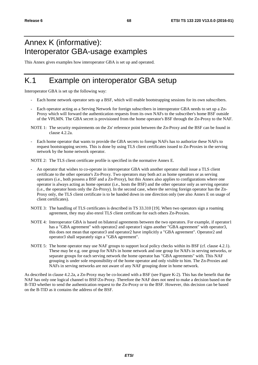## Annex K (informative): Interoperator GBA-usage examples

This Annex gives examples how interoperator GBA is set up and operated.

## K.1 Example on interoperator GBA setup

Interoperator GBA is set up the following way:

- Each home network operator sets up a BSF, which will enable bootstrapping sessions for its own subscribers.
- Each operator acting as a Serving Network for foreign subscribers in interoperator GBA needs to set up a Zn-Proxy which will forward the authentication requests from its own NAFs to the subscriber's home BSF outside of the VPLMN. The GBA secret is provisioned from the home operator's BSF through the Zn-Proxy to the NAF.
- NOTE 1: The security requirements on the Zn' reference point between the Zn-Proxy and the BSF can be found in clause 4.2.2a.
- Each home operator that wants to provide the GBA secrets to foreign NAFs has to authorize these NAFs to request bootstrapping secrets. This is done by using TLS client certificates issued to Zn-Proxies in the serving network by the home network operator.

NOTE 2: The TLS client certificate profile is specified in the normative Annex E.

- An operator that wishes to co-operate in interoperator GBA with another operator shall issue a TLS client certificate to the other operator's Zn-Proxy. Two operators may both act as home operators or as serving operators (i.e., both possess a BSF and a Zn-Proxy), but this Annex also applies to configurations where one operator is always acting as home operator (i.e., hosts the BSF) and the other operator only as serving operator (i.e., the operator hosts only the Zn-Proxy). In the second case, where the serving foreign operator has the Zn-Proxy only, the TLS client certificate is to be handed down in one direction only (see also Annex E on usage of client certificates).
- NOTE 3: The handling of TLS certificates is described in TS 33.310 [19]. When two operators sign a roaming agreement, they may also enrol TLS client certificate for each others Zn-Proxies.
- NOTE 4: Interoperator GBA is based on bilateral agreements between the two operators. For example, if operator1 has a "GBA agreement" with operator2 and operator1 signs another "GBA agreement" with operator3, this does not mean that operator3 and operator2 have implicitly a "GBA agreement". Operator2 and operator3 shall separately sign a "GBA agreement".
- NOTE 5: The home operator may use NAF groups to support local policy checks within its BSF (cf. clause 4.2.1). These may be e.g. one group for NAFs in home network and one group for NAFs in serving networks, or separate groups for each serving network the home operator has "GBA agreements" with. This NAF grouping is under sole responsibility of the home operator and only visible to him. The Zn-Proxies and NAFs in serving networks are not aware of any NAF grouping done in home network.

As described in clause 4.2.2a, a Zn-Proxy may be co-located with a BSF (see Figure K-2). This has the benefit that the NAF has only one logical channel to BSF/Zn-Proxy. Therefore the NAF does not need to make a decision based on the B-TID whether to send the authentication request to the Zn-Proxy or to the BSF. However, this decision can be based on the B-TID as it contains the address of the BSF.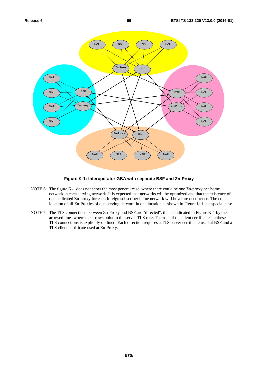

#### **Figure K-1: Interoperator GBA with separate BSF and Zn-Proxy**

- NOTE 6: The figure K-1 does not show the most general case, where there could be one Zn-proxy per home network in each serving network. It is expected that networks will be optimized and that the existence of one dedicated Zn-proxy for each foreign subscriber home network will be a rare occurrence. The colocation of all Zn-Proxies of one serving network in one location as shown in Figure K-1 is a special case.
- NOTE 7: The TLS connections between Zn-Proxy and BSF are "directed", this is indicated in Figure K-1 by the arrowed lines where the arrows point to the server TLS role. The role of the client certificates in these TLS connections is explicitly outlined. Each direction requires a TLS server certificate used at BSF and a TLS client certificate used at Zn-Proxy.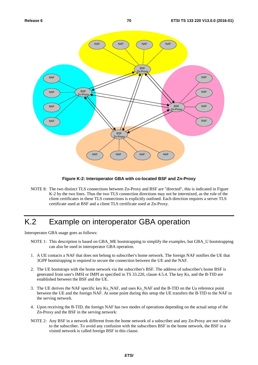

#### **Figure K-2: Interoperator GBA with co-located BSF and Zn-Proxy**

NOTE 8: The two distinct TLS connections between Zn-Proxy and BSF are "directed", this is indicated in Figure K-2 by the two lines. Thus the two TLS connection directions may not be intermixed, as the role of the client certificates in these TLS connections is explicitly outlined. Each direction requires a server TLS certificate used at BSF and a client TLS certificate used at Zn-Proxy.

## K.2 Example on interoperator GBA operation

Interoperator GBA usage goes as follows:

- NOTE 1: This description is based on GBA\_ME bootstrapping to simplify the examples, but GBA\_U bootstrapping can also be used in interoperator GBA operation.
- 1. A UE contacts a NAF that does not belong to subscriber's home network. The foreign NAF notifies the UE that 3GPP bootstrapping is required to secure the connection between the UE and the NAF.
- 2. The UE bootstraps with the home network via the subscriber's BSF. The address of subscriber's home BSF is generated from user's IMSI or IMPI as specified in TS 33.220, clause 4.5.4. The key Ks, and the B-TID are established between the BSF and the UE.
- 3. The UE derives the NAF specific key Ks\_NAF, and uses Ks\_NAF and the B-TID on the Ua reference point between the UE and the foreign NAF. At some point during this setup the UE transfers the B-TID to the NAF in the serving network.
- 4. Upon receiving the B-TID, the foreign NAF has two modes of operations depending on the actual setup of the Zn-Proxy and the BSF in the serving network:
- NOTE 2: Any BSF in a network different from the home network of a subscriber and any Zn-Proxy are not visible to the subscriber. To avoid any confusion with the subscribers BSF in the home network, the BSF in a visited network is called foreign BSF in this clause.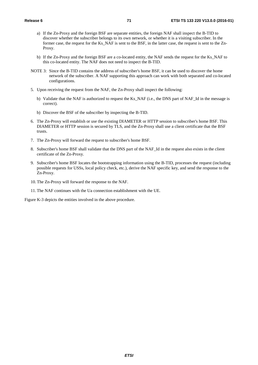- a) If the Zn-Proxy and the foreign BSF are separate entities, the foreign NAF shall inspect the B-TID to discover whether the subscriber belongs to its own network, or whether it is a visiting subscriber. In the former case, the request for the Ks\_NAF is sent to the BSF, in the latter case, the request is sent to the Zn-Proxy.
- b) If the Zn-Proxy and the foreign BSF are a co-located entity, the NAF sends the request for the Ks\_NAF to this co-located entity. The NAF does not need to inspect the B-TID.
- NOTE 3: Since the B-TID contains the address of subscriber's home BSF, it can be used to discover the home network of the subscriber. A NAF supporting this approach can work with both separated and co-located configurations.
- 5. Upon receiving the request from the NAF, the Zn-Proxy shall inspect the following:
	- b) Validate that the NAF is authorized to request the Ks\_NAF (i.e., the DNS part of NAF\_Id in the message is correct).
	- b) Discover the BSF of the subscriber by inspecting the B-TID.
- 6. The Zn-Proxy will establish or use the existing DIAMETER or HTTP session to subscriber's home BSF. This DIAMETER or HTTP session is secured by TLS, and the Zn-Proxy shall use a client certificate that the BSF trusts.
- 7. The Zn-Proxy will forward the request to subscriber's home BSF.
- 8. Subscriber's home BSF shall validate that the DNS part of the NAF\_Id in the request also exists in the client certificate of the Zn-Proxy.
- 9. Subscriber's home BSF locates the bootstrapping information using the B-TID, processes the request (including possible requests for USSs, local policy check, etc.), derive the NAF specific key, and send the response to the Zn-Proxy.
- 10. The Zn-Proxy will forward the response to the NAF.
- 11. The NAF continues with the Ua connection establishment with the UE.

Figure K-3 depicts the entities involved in the above procedure.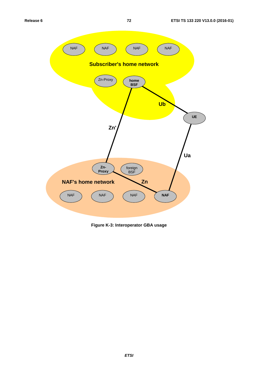

**Figure K-3: Interoperator GBA usage**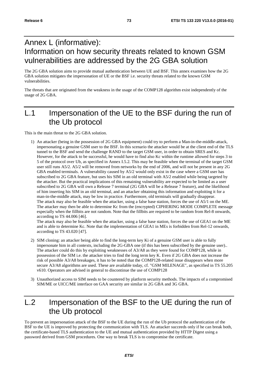# Annex L (informative): Information on how security threats related to known GSM vulnerabilities are addressed by the 2G GBA solution

The 2G GBA solution aims to provide mutual authentication between UE and BSF. This annex examines how the 2G GBA solution mitigates the impersonation of UE or the BSF i.e. security threats related to the known GSM vulnerabilities.

The threats that are originated from the weakness in the usage of the COMP128 algorithm exist independently of the usage of 2G GBA.

# L.1 Impersonation of the UE to the BSF during the run of the Ub protocol

This is the main threat to the 2G GBA solution.

1) An attacker (being in the possession of 2G GBA equipment) could try to perform a Man-in-the-middle-attack, impersonating a genuine GSM user to the BSF. In this scenario the attacker would be at the client end of the TLS tunnel to the BSF and send the challenge RAND to the target GSM user, in order to obtain SRES and Kc. However, for the attack to be successful, he would have to find also Kc within the runtime allowed for steps 3 to 5 of the protocol over Ub, as specified in Annex I.5.2. This may be feasible when the terminal of the target GSM user still runs A5/2. A5/2 will be removed from networks by the end of 2006, and will not be present in any 2G GBA enabled terminals. A vulnerability caused by A5/2 would only exist in the case where a GSM user has subscribed to 2G GBA feature, but uses his SIM in an old terminal with A5/2 enabled while being targeted by the attacker. But the practical implications of this remaining vulnerability are expected to be limited as a user subscribed to 2G GBA will own a Release 7 terminal (2G GBA will be a Release 7 feature), and the likelihood of him inserting his SIM in an old terminal, and an attacker obtaining this information and exploiting it for a man-in-the-middle attack, may be low in practice. Furthermore, old terminals will gradually disappear. The attack may also be feasible when the attacker, using a false base station, forces the use of A5/1 on the ME. The attacker may then be able to determine Kc from the (encrypted) CIPHERING MODE COMPLETE message especially when the fillbits are not random. Note that the fillbits are required to be random from Rel-8 onwards, according to TS 44.006 [46].

The attack may also be feasible when the attacker, using a false base station, forces the use of GEA1 on the ME and is able to determine Kc. Note that the implementation of GEA1 in MEs is forbidden from Rel-12 onwards, according to TS 43.020 [47].

- 2) SIM cloning: an attacker being able to find the long-term key Ki of a genuine GSM user is able to fully impersonate him in all contexts, including the 2G-GBA one (if this has been subscribed by the genuine user).. The attacker could do this by exploiting weaknesses of A3/A8 as they were found for COMP128, while in possession of the SIM i.e. the attacker tries to find the long term key K. Even if 2G GBA does not increase the risk of possible A3/A8 breakages, it has to be noted that the COMP128-related issue disappears when more secure A3/A8 algorithms are used. These are available today, cf. "GSM MILENAGE", as specified in TS 55.205 v610. Operators are advised in general to discontinue the use of COMP128
- 3) Unauthorized access to SIM needs to be countered by platform security methods. The impacts of a compromised SIM/ME or UICC/ME interface on GAA security are similar in 2G GBA and 3G GBA.

# L.2 Impersonation of the BSF to the UE during the run of the Ub protocol

To prevent an impersonation attack of the BSF to the UE during the run of the Ub protocol the authentication of the BSF to the UE is improved by protecting the communication with TLS. An attacker succeeds only if he can break both, the certificate-based TLS authentication to the UE and mutual authentication provided by HTTP Digest using a password derived from GSM procedures. One way to break TLS is to compromise the certificate.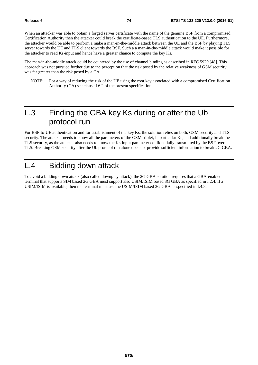When an attacker was able to obtain a forged server certificate with the name of the genuine BSF from a compromised Certification Authority then the attacker could break the certificate-based TLS authentication to the UE. Furthermore, the attacker would be able to perform a make a man-in-the-middle attack between the UE and the BSF by playing TLS server towards the UE and TLS client towards the BSF. Such a a man-in-the-middle attack would make it possible for the attacker to read Ks-input and hence have a greater chance to compute the key Ks.

The man-in-the-middle attack could be countered by the use of channel binding as described in RFC 5929 [48]. This approach was not pursued further due to the perception that the risk posed by the relative weakness of GSM security was far greater than the risk posed by a CA.

NOTE: For a way of reducing the risk of the UE using the root key associated with a compromised Certification Authority (CA) see clause I.6.2 of the present specification.

# L.3 Finding the GBA key Ks during or after the Ub protocol run

For BSF-to-UE authentication and for establishment of the key Ks, the solution relies on both, GSM security and TLS security. The attacker needs to know all the parameters of the GSM triplet, in particular Kc, and additionally break the TLS security, as the attacker also needs to know the Ks-input parameter confidentially transmitted by the BSF over TLS. Breaking GSM security after the Ub protocol run alone does not provide sufficient information to break 2G GBA.

# L.4 Bidding down attack

To avoid a bidding down attack (also called downplay attack), the 2G GBA solution requires that a GBA-enabled terminal that supports SIM based 2G GBA must support also USIM/ISIM based 3G GBA as specified in I.2.4. If a USIM/ISIM is available, then the terminal must use the USIM/ISIM based 3G GBA as specified in I.4.8.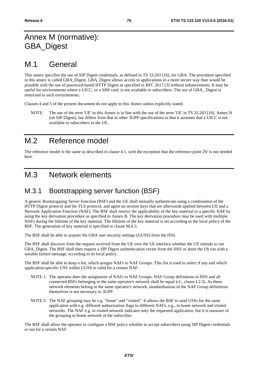# Annex M (normative): GBA\_Digest

# M.1 General

This annex specifies the use of SIP Digest credentials, as defined in TS 33.203 [16], for GBA. The procedure specified in this annex is called GBA\_Digest. GBA\_Digest allows access to applications in a more secure way than would be possible with the use of password-based HTTP Digest as specified in RFC 2617 [3] without enhancements. It may be useful for environments where a UICC, or a SIM card, is not available to subscribers. The use of GBA\_ Digest is restricted to such environments.

Clauses 4 and 5 of the present document do not apply to this Annex unless explicitly stated.

NOTE: The use of the term 'UE' in this Annex is in line with the use of the term 'UE' in TS 33.203 [16], Annex N (on SIP Digest), but differs from that in other 3GPP specifications in that it assumes that a UICC is not available to subscribers in the UE.

# M.2 Reference model

The reference model is the same as described in clause 4.1, with the exception that the reference point Zh' is not needed here.

# M.3 Network elements

## M.3.1 Bootstrapping server function (BSF)

A generic Bootstrapping Server Function (BSF) and the UE shall mutually authenticate using a combination of the HTTP Digest protocol and the TLS protocol, and agree on session keys that are afterwards applied between UE and a Network Application Function (NAF). The BSF shall restrict the applicability of the key material to a specific NAF by using the key derivation procedure as specified in Annex B. The key derivation procedure may be used with multiple NAFs during the lifetime of the key material. The lifetime of the key material is set according to the local policy of the BSF. The generation of key material is specified in clause M.6.3.

The BSF shall be able to acquire the GBA user security settings (GUSS) from the HSS.

The BSF shall discover from the request received from the UE over the Ub interface whether the UE intends to run GBA\_Digest. The BSF shall then request a SIP Digest authentication vector from the HSS or abort the Ub run with a suitable failure message, according to its local policy.

The BSF shall be able to keep a list, which assigns NAFs to NAF Groups. This list is used to select if any and which application-specific USS within GUSS is valid for a certain NAF.

- NOTE 1: The operator does the assignment of NAFs to NAF Groups. NAF Group definitions in HSS and all connected BSFs belonging to the same operator's network shall be equal (cf., clause I.2.3). As these network elements belong to the same operator's network, standardisation of the NAF Group definitions themselves is not necessary in 3GPP.
- NOTE 2: The NAF grouping may be e.g. "home" and "visited". It allows the BSF to send USSs for the same application with e.g. different authorization flags to different NAFs, e.g., in home network and visited networks. The NAF e.g. in visited network indicates only the requested application, but it is unaware of the grouping in home network of the subscriber.

The BSF shall allow the operator to configure a BSF policy whether to accept subscribers using SIP Digest credentials or not for a certain NAF.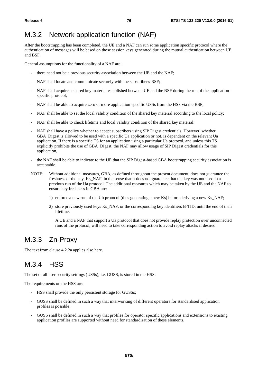## M.3.2 Network application function (NAF)

After the bootstrapping has been completed, the UE and a NAF can run some application specific protocol where the authentication of messages will be based on those session keys generated during the mutual authentication between UE and BSF.

General assumptions for the functionality of a NAF are:

- there need not be a previous security association between the UE and the NAF;
- NAF shall locate and communicate securely with the subscriber's BSF;
- NAF shall acquire a shared key material established between UE and the BSF during the run of the applicationspecific protocol;
- NAF shall be able to acquire zero or more application-specific USSs from the HSS via the BSF;
- NAF shall be able to set the local validity condition of the shared key material according to the local policy;
- NAF shall be able to check lifetime and local validity condition of the shared key material;
- NAF shall have a policy whether to accept subscribers using SIP Digest credentials. However, whether GBA. Digest is allowed to be used with a specific Ua application or not, is dependent on the relevant Ua application. If there is a specific TS for an application using a particular Ua protocol, and unless this TS explicitly prohibits the use of GBA\_Digest, the NAF may allow usage of SIP Digest credentials for this application,
- the NAF shall be able to indicate to the UE that the SIP Digest-based GBA bootstrapping security association is acceptable.
- NOTE: Without additional measures, GBA, as defined throughout the present document, does not guarantee the freshness of the key, Ks\_NAF, in the sense that it does not guarantee that the key was not used in a previous run of the Ua protocol. The additional measures which may be taken by the UE and the NAF to ensure key freshness in GBA are:
	- 1) enforce a new run of the Ub protocol (thus generating a new Ks) before deriving a new Ks\_NAF;
	- 2) store previously used keys Ks\_NAF, or the corresponding key identifiers B-TID, until the end of their lifetime.

 A UE and a NAF that support a Ua protocol that does not provide replay protection over unconnected runs of the protocol, will need to take corresponding action to avoid replay attacks if desired.

### M.3.3 Zn-Proxy

The text from clause 4.2.2a applies also here.

## M.3.4 HSS

The set of all user security settings (USSs), i.e. GUSS, is stored in the HSS.

The requirements on the HSS are:

- HSS shall provide the only persistent storage for GUSSs;
- GUSS shall be defined in such a way that interworking of different operators for standardised application profiles is possible;
- GUSS shall be defined in such a way that profiles for operator specific applications and extensions to existing application profiles are supported without need for standardisation of these elements.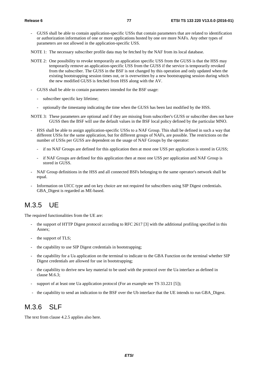- GUSS shall be able to contain application-specific USSs that contain parameters that are related to identification or authorization information of one or more applications hosted by one ore more NAFs. Any other types of parameters are not allowed in the application-specific USS.
- NOTE 1: The necessary subscriber profile data may be fetched by the NAF from its local database.
- NOTE 2: One possibility to revoke temporarily an application specific USS from the GUSS is that the HSS may temporarily remove an application-specific USS from the GUSS if the service is temporarily revoked from the subscriber. The GUSS in the BSF is not changed by this operation and only updated when the existing bootstrapping session times out, or is overwritten by a new bootstrapping session during which the new modified GUSS is fetched from HSS along with the AV.
- GUSS shall be able to contain parameters intended for the BSF usage:
	- subscriber specific key lifetime;
	- optionally the timestamp indicating the time when the GUSS has been last modified by the HSS.
- NOTE 3: These parameters are optional and if they are missing from subscriber's GUSS or subscriber does not have GUSS then the BSF will use the default values in the BSF local policy defined by the particular MNO.
- HSS shall be able to assign application-specific USSs to a NAF Group. This shall be defined in such a way that different USSs for the same application, but for different groups of NAFs, are possible. The restrictions on the number of USSs per GUSS are dependent on the usage of NAF Groups by the operator:
	- if no NAF Groups are defined for this application then at most one USS per application is stored in GUSS;
	- if NAF Groups are defined for this application then at most one USS per application and NAF Group is stored in GUSS.
- NAF Group definitions in the HSS and all connected BSFs belonging to the same operator's network shall be equal.
- Information on UICC type and on key choice are not required for subscribers using SIP Digest credentials. GBA\_Digest is regarded as ME-based.

### M.3.5 UE

The required functionalities from the UE are:

- the support of HTTP Digest protocol according to RFC 2617 [3] with the additional profiling specified in this Annex;
- the support of TLS;
- the capability to use SIP Digest credentials in bootstrapping;
- the capability for a Ua application on the terminal to indicate to the GBA Function on the terminal whether SIP Digest credentials are allowed for use in bootstrapping;
- the capability to derive new key material to be used with the protocol over the Ua interface as defined in clause M.6.3;
- support of at least one Ua application protocol (For an example see TS 33.221 [5]);
- the capability to send an indication to the BSF over the Ub interface that the UE intends to run GBA\_Digest.

### M.3.6 SLF

The text from clause 4.2.5 applies also here.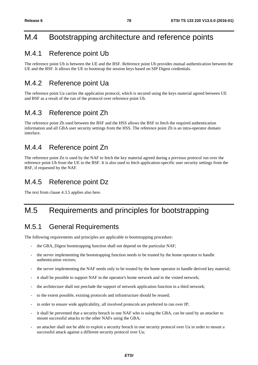# M.4 Bootstrapping architecture and reference points

### M.4.1 Reference point Ub

The reference point Ub is between the UE and the BSF. Reference point Ub provides mutual authentication between the UE and the BSF. It allows the UE to bootstrap the session keys based on SIP Digest credentials.

## M.4.2 Reference point Ua

The reference point Ua carries the application protocol, which is secured using the keys material agreed between UE and BSF as a result of the run of the protocol over reference point Ub.

### M.4.3 Reference point Zh

The reference point Zh used between the BSF and the HSS allows the BSF to fetch the required authentication information and all GBA user security settings from the HSS. The reference point Zh is an intra-operator domain interface.

### M.4.4 Reference point Zn

The reference point Zn is used by the NAF to fetch the key material agreed during a previous protocol run over the reference point Ub from the UE to the BSF. It is also used to fetch application-specific user security settings from the BSF, if requested by the NAF.

### M.4.5 Reference point Dz

The text from clause 4.3.5 applies also here.

# M.5 Requirements and principles for bootstrapping

### M.5.1 General Requirements

The following requirements and principles are applicable to bootstrapping procedure:

- the GBA\_Digest bootstrapping function shall not depend on the particular NAF;
- the server implementing the bootstrapping function needs to be trusted by the home operator to handle authentication vectors;
- the server implementing the NAF needs only to be trusted by the home operator to handle derived key material;
- it shall be possible to support NAF in the operator's home network and in the visited network;
- the architecture shall not preclude the support of network application function in a third network;
- to the extent possible, existing protocols and infrastructure should be reused;
- in order to ensure wide applicability, all involved protocols are preferred to run over IP;
- it shall be prevented that a security breach in one NAF who is using the GBA, can be used by an attacker to mount successful attacks to the other NAFs using the GBA;
- an attacker shall not be able to exploit a security breach in one security protocol over Ua in order to mount a successful attack against a different security protocol over Ua;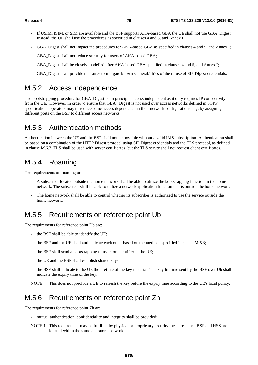- If USIM, ISIM, or SIM are available and the BSF supports AKA-based GBA the UE shall not use GBA Digest. Instead, the UE shall use the procedures as specified in clauses 4 and 5, and Annex I;
- GBA\_Digest shall not impact the procedures for AKA-based GBA as specified in clauses 4 and 5, and Annex I;
- GBA Digest shall not reduce security for users of AKA-based GBA;
- GBA Digest shall be closely modelled after AKA-based GBA specified in clauses 4 and 5, and Annex I;
- GBA\_Digest shall provide measures to mitigate known vulnerabilities of the re-use of SIP Digest credentials.

### M.5.2 Access independence

The bootstrapping procedure for GBA\_Digest is, in principle, access independent as it only requires IP connectivity from the UE. However, in order to ensure that GBA\_ Digest is not used over access networks defined in 3GPP specifications operators may introduce some access dependence in their network configurations, e.g. by assigning different ports on the BSF to different access networks.

### M.5.3 Authentication methods

Authentication between the UE and the BSF shall not be possible without a valid IMS subscription. Authentication shall be based on a combination of the HTTP Digest protocol using SIP Digest credentials and the TLS protocol, as defined in clause M.6.3. TLS shall be used with server certificates, but the TLS server shall not request client certificates.

## M.5.4 Roaming

The requirements on roaming are:

- A subscriber located outside the home network shall be able to utilize the bootstrapping function in the home network. The subscriber shall be able to utilize a network application function that is outside the home network.
- The home network shall be able to control whether its subscriber is authorized to use the service outside the home network.

### M.5.5 Requirements on reference point Ub

The requirements for reference point Ub are:

- the BSF shall be able to identify the UE;
- the BSF and the UE shall authenticate each other based on the methods specified in clasue M.5.3;
- the BSF shall send a bootstrapping transaction identifier to the UE;
- the UE and the BSF shall establish shared keys;
- the BSF shall indicate to the UE the lifetime of the key material. The key lifetime sent by the BSF over Ub shall indicate the expiry time of the key.

NOTE: This does not preclude a UE to refresh the key before the expiry time according to the UE's local policy.

### M.5.6 Requirements on reference point Zh

The requirements for reference point Zh are:

- mutual authentication, confidentiality and integrity shall be provided;
- NOTE 1: This requirement may be fulfilled by physical or proprietary security measures since BSF and HSS are located within the same operator's network.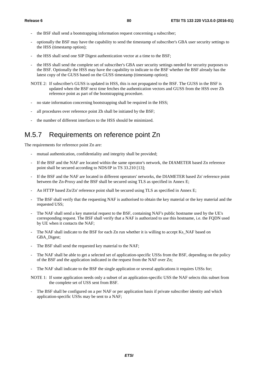- the BSF shall send a bootstrapping information request concerning a subscriber;
- optionally the BSF may have the capability to send the timestamp of subscriber's GBA user security settings to the HSS (timestamp option);
- the HSS shall send one SIP Digest authentication vector at a time to the BSF;
- the HSS shall send the complete set of subscriber's GBA user security settings needed for security purposes to the BSF. Optionally the HSS may have the capability to indicate to the BSF whether the BSF already has the latest copy of the GUSS based on the GUSS timestamp (timestamp option);
- NOTE 2: If subscriber's GUSS is updated in HSS, this is not propagated to the BSF. The GUSS in the BSF is updated when the BSF next time fetches the authentication vectors and GUSS from the HSS over Zh reference point as part of the bootstrapping procedure.
- no state information concerning bootstrapping shall be required in the HSS;
- all procedures over reference point Zh shall be initiated by the BSF;
- the number of different interfaces to the HSS should be minimized.

### M.5.7 Requirements on reference point Zn

The requirements for reference point Zn are:

- mutual authentication, confidentiality and integrity shall be provided;
- If the BSF and the NAF are located within the same operator's network, the DIAMETER based Zn reference point shall be secured according to NDS/IP in TS 33.210 [13];
- If the BSF and the NAF are located in different operators' networks, the DIAMETER based Zn' reference point between the Zn-Proxy and the BSF shall be secured using TLS as specified in Annex E;
- An HTTP based  $Zn/Zn'$  reference point shall be secured using TLS as specified in Annex E;
- The BSF shall verify that the requesting NAF is authorised to obtain the key material or the key material and the requested USS;
- The NAF shall send a key material request to the BSF, containing NAF's public hostname used by the UE's corresponding request. The BSF shall verify that a NAF is authorized to use this hostname, i.e. the FQDN used by UE when it contacts the NAF;
- The NAF shall indicate to the BSF for each Zn run whether it is willing to accept Ks\_NAF based on GBA\_Digest;
- The BSF shall send the requested key material to the NAF;
- The NAF shall be able to get a selected set of application-specific USSs from the BSF, depending on the policy of the BSF and the application indicated in the request from the NAF over Zn;
- The NAF shall indicate to the BSF the single application or several applications it requires USSs for;

NOTE 1: If some application needs only a subset of an application-specific USS the NAF selects this subset from the complete set of USS sent from BSF.

The BSF shall be configured on a per NAF or per application basis if private subscriber identity and which application-specific USSs may be sent to a NAF;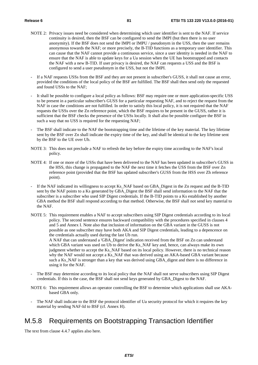- NOTE 2: Privacy issues need be considered when determining which user identifier is sent to the NAF. If service continuity is desired, then the BSF can be configured to send the IMPI (but then there is no user anonymity). If the BSF does not send the IMPI or IMPU / pseudonym in the USS, then the user remains anonymous towards the NAF; or more precisely, the B-TID functions as a temporary user identifier. This can cause that the NAF cannot provide a continuous service, since a user identity is needed in the NAF to ensure that the NAF is able to update keys for a Ua session when the UE has bootstrapped and contacts the NAF with a new B-TID. If user privacy is desired, the NAF can requests a USS and the BSF is configured to send a user pseudonym in the USS, but not the IMPI.
- If a NAF requests USSs from the BSF and they are not present in subscriber's GUSS, it shall not cause an error, provided the conditions of the local policy of the BSF are fulfilled. The BSF shall then send only the requested and found USSs to the NAF;
- It shall be possible to configure a local policy as follows: BSF may require one or more application-specific USS to be present in a particular subscriber's GUSS for a particular requesting NAF, and to reject the request from the NAF in case the conditions are not fulfilled. In order to satisfy this local policy, it is not required that the NAF requests the USSs over the Zn reference point, which the BSF requires to be present in the GUSS, rather it is sufficient that the BSF checks the presence of the USSs locally. It shall also be possible configure the BSF in such a way that no USS is required for the requesting NAF;
- The BSF shall indicate to the NAF the bootstrapping time and the lifetime of the key material. The key lifetime sent by the BSF over Zn shall indicate the expiry time of the key, and shall be identical to the key lifetime sent by the BSF to the UE over Ub.
- NOTE 3: This does not preclude a NAF to refresh the key before the expiry time according to the NAF's local policy.
- NOTE 4: If one or more of the USSs that have been delivered to the NAF has been updated in subscriber's GUSS in the HSS, this change is propagated to the NAF the next time it fetches the USS from the BSF over Zn reference point (provided that the BSF has updated subscriber's GUSS from the HSS over Zh reference point).
- If the NAF indicated its willingness to accept Ks\_NAF based on GBA\_Digest in the Zn request and the B-TID sent by the NAF points to a Ks generated by GBA\_Digest the BSF shall send information to the NAF that the subscriber is a subscriber who used SIP Digest credentials. If the B-TID points to a Ks established by another GBA method the BSF shall respond according to that method. Otherwise, the BSF shall not send key material to the NAF.
- NOTE 5: This requirement enables a NAF to accept subscribers using SIP Digest credentials according to its local policy. The second sentence ensures backward compatibility with the procedures specified in clauses 4 and 5 and Annex I. Note also that inclusion of information on the GBA variant in the GUSS is not possible as one subscriber may have both AKA and SIP Digest credentials, leading to a depencence on the credentials actually used during the last Ub run.

A NAF that can understand a 'GBA\_Digest' indication received from the BSF on Zn can understand which GBA variant was used on Ub to derive the Ks\_NAF key and, hence, can always make its own judgment whether to accept the Ks\_NAF based on its local policy. However, there is no technical reason why the NAF would not accept a Ks\_NAF that was derived using an AKA-based GBA variant because such a Ks\_NAF is stronger than a key that was derived using GBA\_digest and there is no difference in using it for the NAF.

- The BSF may determine according to its local policy that the NAF shall not serve subscribers using SIP Digest credentials. If this is the case, the BSF shall not send keys generated by GBA\_Digest to the NAF.
- NOTE 6: This requirement allows an operator controlling the BSF to determine which applications shall use AKAbased GBA only.
- The NAF shall indicate to the BSF the protocol identifier of Ua security protocol for which it requires the key material by sending NAF-Id to BSF (cf. Annex H).

### M.5.8 Requirements on Bootstrapping Transaction Identifier

The text from clause 4.4.7 applies also here.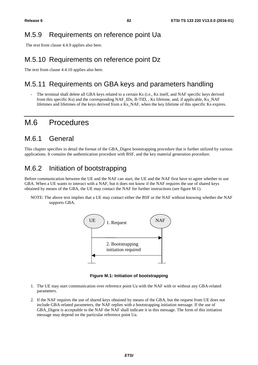### M.5.9 Requirements on reference point Ua

The text from clause 4.4.9 applies also here.

### M.5.10 Requirements on reference point Dz

The text from clause 4.4.10 applies also here.

### M.5.11 Requirements on GBA keys and parameters handling

The terminal shall delete all GBA keys related to a certain Ks (i.e., Ks itself, and NAF specific keys derived from this specific Ks) and the corresponding NAF\_IDs, B-TID, , Ks lifetime, and, if applicable, Ks\_NAF lifetimes and lifetimes of the keys derived from a Ks\_NAF, when the key lifetime of this specific Ks expires.

### M.6 Procedures

### M.6.1 General

This chapter specifies in detail the format of the GBA\_Digest bootstrapping procedure that is further utilized by various applications. It contains the authentication procedure with BSF, and the key material generation procedure.

### M.6.2 Initiation of bootstrapping

Before communication between the UE and the NAF can start, the UE and the NAF first have to agree whether to use GBA. When a UE wants to interact with a NAF, but it does not know if the NAF requires the use of shared keys obtained by means of the GBA, the UE may contact the NAF for further instructions (see figure M.1).

NOTE: The above text implies that a UE may contact either the BSF or the NAF without knowing whether the NAF supports GBA.



**Figure M.1: Initiation of bootstrapping** 

- 1. The UE may start communication over reference point Ua with the NAF with or without any GBA-related parameters.
- 2. If the NAF requires the use of shared keys obtained by means of the GBA, but the request from UE does not include GBA-related parameters, the NAF replies with a bootstrapping initiation message. If the use of GBA\_Digest is acceptable to the NAF the NAF shall indicate it in this message. The form of this initiation message may depend on the particular reference point Ua.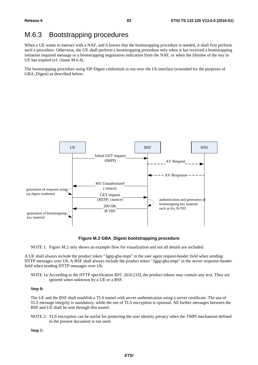## M.6.3 Bootstrapping procedures

When a UE wants to interact with a NAF, and it knows that the bootstrapping procedure is needed, it shall first perform such a procedure. Otherwise, the UE shall perform a bootstrapping procedure only when it has received a bootstrapping initiation required message or a bootstrapping negotiation indication from the NAF, or when the lifetime of the key in UE has expired (cf. clause M.6.4).

The bootstrapping procedure using SIP Digest credentials is run over the Ub interface (extended for the purposes of GBA Digest) as described below:



**Figure M.2 GBA\_Digest bootstrapping procedure** 

NOTE 1: Figure M.2 only shows an example flow for visualization and not all details are included.

A UE shall always include the product token "3gpp-gba-tmpi" in the user agent request-header field when sending HTTP messages over Ub. A BSF shall always include the product token "3gpp-gba-tmpi" in the server response-header field when sending HTTP messages over Ub.

NOTE 1a: According to the HTTP specification RFC 2616 [33], the product tokens may contain any text. They are ignored when unknown by a UE or a BSF.

### **Step 0:**

The UE and the BSF shall establish a TLS tunnel with server authentication using a server certificate. The use of TLS message integrity is mandatory, while the use of TLS encryption is optional. All further messages between the BSF and UE shall be sent through this tunnel.

NOTE 2: TLS encryption can be useful for protecting the user identity privacy when the TMPI mechanism defined in the present document is not used.

**Step 1:**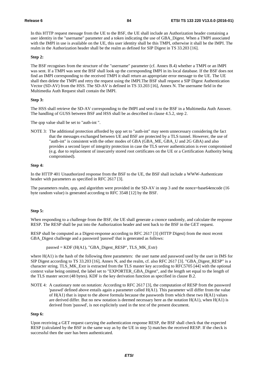In this HTTP request message from the UE to the BSF, the UE shall include an Authorization header containing a user identity in the "username" parameter and a token indicating the use of GBA\_Digest. When a TMPI associated with the IMPI in use is available on the UE, this user identity shall be this TMPI, otherwise it shall be the IMPI. The realm in the Authorization header shall be the realm as defined for SIP Digest in TS 33.203 [16].

### **Step 2:**

The BSF recognises from the structure of the "username" parameter (cf. Annex B.4) whether a TMPI or an IMPI was sent. If a TMPI was sent the BSF shall look up the corresponding IMPI in its local database. If the BSF does not find an IMPI corresponding to the received TMPI it shall return an appropriate error message to the UE. The UE shall then delete the TMPI and retry the request using the IMPI.The BSF shall request a SIP Digest Authentication Vector (SD-AV) from the HSS. The SD-AV is defined in TS 33.203 [16], Annex N. The username field in the Multimedia Auth Request shall contain the IMPI.

### **Step 3:**

The HSS shall retrieve the SD-AV corresponding to the IMPI and send it to the BSF in a Multimedia Auth Answer. The handling of GUSS between BSF and HSS shall be as described in clause 4.5.2, step 2.

The qop value shall be set to "auth-int ".

NOTE 3: The additional protection afforded by qop set to "auth-int" may seem unnecessary considering the fact that the messages exchanged between UE and BSF are protected by a TLS tunnel. However, the use of "auth-int" is consistent with the other modes of GBA (GBA\_ME, GBA\_U and 2G GBA) and also provides a second layer of integrity protection in case the TLS server authentication is ever compromised (e.g. due to replacement of insecurely stored root certificates on the UE or a Certification Authority being compromised).

### **Step 4:**

In the HTTP 401 Unauthorized response from the BSF to the UE, the BSF shall include a WWW-Authenticate header with parameters as specified in RFC 2617 [3].

The parameters realm, qop, and algorithm were provided in the SD-AV in step 3 and the nonce=base64encode (16 byte random value) is generated according to RFC 3548 [12] by the BSF.

### **Step 5:**

When responding to a challenge from the BSF, the UE shall generate a cnonce randomly, and calculate the response RESP. The RESP shall be put into the Authorization header and sent back to the BSF in the GET request.

RESP shall be computed as a Digest-response according to RFC 2617 [3] (HTTP Digest) from the most recent GBA\_Digest challenge and a password 'passwd' that is generated as follows:

 $passwd = KDF (H(A1), "GBA_Digest\_RESP", TLS_MK_Extr)$ 

where H(A1) is the hash of the following three parameters: the user name and password used by the user in IMS for SIP Digest according to TS 33.203 [16], Annex N, and the realm, cf. also RFC 2617 [3]. "GBA\_Digest\_RESP" is a character string. TLS\_MK\_Extr is extracted from the TLS master key according to RFC5705 [44] with the optional context value being omitted, the label set to "EXPORTER\_GBA\_Digest", and the length set equal to the length of the TLS master secret (48 bytes). KDF is the key derivation function as specified in clause B.2.

NOTE 4: A cautionary note on notation: According to RFC 2617 [3], the computation of RESP from the password 'passwd' defined above entails again a parameter called H(A1). This parameter will differ from the value of  $H(A1)$  that is input to the above formula because the passwords from which these two  $H(A1)$  values are derived differ. But no new notation is deemed necessary here as the notation  $H(A1)$ , when  $H(A1)$  is derived from 'passwd', is not explicitely used in the text of the present document.

### **Step 6:**

Upon receiving a GET request carrying the authentication response RESP, the BSF shall check that the expected RESP (calculated by the BSF in the same way as by the UE in step 5) matches the received RESP. If the check is successful then the user has been authenticated.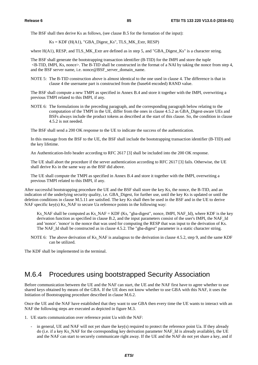The BSF shall then derive Ks as follows, (see clause B.5 for the formation of the input):

 $Ks = KDF$  ( $H(A1)$ , "GBA\_Digest\_Ks", TLS\_MK\_Extr, RESP)

where H(A1), RESP, and TLS MK Extr are defined as in step 5, and "GBA Digest Ks" is a character string.

The BSF shall generate the bootstrapping transaction identifier (B-TID) for the IMPI and store the tuple  $\leq$ B-TID, IMPI, Ks, nonce $\geq$ . The B-TID shall be constructed in the format of a NAI by taking the nonce from step 4, and the BSF server name, i.e. nonce@BSF\_server\_domain\_name.

NOTE 5: The B-TID construction above is almost identical to the one used in clause 4. The difference is that in clause 4 the username part is constructed from the (base64 encoded) RAND value.

The BSF shall compute a new TMPI as specified in Annex B.4 and store it together with the IMPI, overwriting a previous TMPI related to this IMPI, if any.

NOTE 6: The formulations in the preceding paragraph, and the corresponding paragraph below relating to the computation of the TMPI in the UE, differ from the ones in clause 4.5.2 as GBA\_Digest-aware UEs and BSFs always include the product tokens as described at the start of this clause. So, the condition in clause 4.5.2 is not needed.

The BSF shall send a 200 OK response to the UE to indicate the success of the authentication.

In this message from the BSF to the UE, the BSF shall include the bootstrapping transaction identifier (B-TID) and the key lifetime.

An Authentication-Info header according to RFC 2617 [3] shall be included into the 200 OK response.

The UE shall abort the procedure if the server authentication according to RFC 2617 [3] fails. Otherwise, the UE shall derive Ks in the same way as the BSF did above.

The UE shall compute the TMPI as specified in Annex B.4 and store it together with the IMPI, overwriting a previous TMPI related to this IMPI, if any.

After successful bootstrapping procedure the UE and the BSF shall store the key Ks, the nonce, the B-TID, and an indication of the underlying security quality, i.e. GBA\_Digest, for further use, until the key Ks is updated or until the deletion conditions in clause M.5.11 are satisfied. The key Ks shall then be used in the BSF and in the UE to derive NAF specific key(s) Ks\_NAF to secure Ua reference points in the following way:

Ks NAF shall be computed as Ks NAF = KDF (Ks, "gba-digest", nonce, IMPI, NAF Id), where KDF is the key derivation function as specified in clause B.2, and the input parameters consist of the user's IMPI, the NAF\_Id and 'nonce'. 'nonce' is the nonce that was used for computing the RESP that was input to the derivation of Ks. The NAF\_Id shall be constructed as in clause 4.5.2. The "gba-digest" parameter is a static character string.

NOTE 6: The above derivation of Ks\_NAF is analagous to the derivation in clause 4.5.2, step 9, and the same KDF can be utilized.

The KDF shall be implemented in the terminal.

# M.6.4 Procedures using bootstrapped Security Association

Before communication between the UE and the NAF can start, the UE and the NAF first have to agree whether to use shared keys obtained by means of the GBA. If the UE does not know whether to use GBA with this NAF, it uses the Initiation of Bootstrapping procedure described in clause M.6.2.

Once the UE and the NAF have established that they want to use GBA then every time the UE wants to interact with an NAF the following steps are executed as depicted in figure M.3.

1. UE starts communication over reference point Ua with the NAF:

in general, UE and NAF will not yet share the key(s) required to protect the reference point Ua. If they already do (i.e. if a key Ks\_NAF for the corresponding key derivation parameter NAF\_Id is already available), the UE and the NAF can start to securely communicate right away. If the UE and the NAF do not yet share a key, and if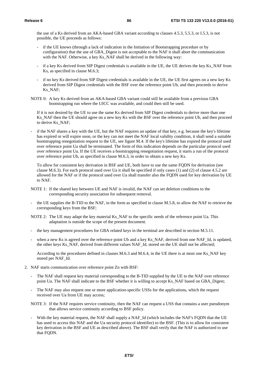the use of a Ks derived from an AKA-based GBA variant according to clauses 4.5.3, 5.5.3, or I.5.3, is not possible, the UE proceeds as follows:

- if the UE knows (through a lack of indication in the Initiation of Bootstrapping procedure or by configuration) that the use of GBA\_Digest is not acceptable to the NAF it shall abort the communication with the NAF. Otherwise, a key Ks\_NAF shall be derived in the following way:
- if a key Ks derived from SIP Digest credentials is available in the UE, the UE derives the key Ks\_NAF from Ks, as specified in clause M.6.3;
- if no key Ks derived from SIP Digest credentials is available in the UE, the UE first agrees on a new key Ks derived from SIP Digest credentials with the BSF over the reference point Ub, and then proceeds to derive Ks\_NAF;
- NOTE 0: A key Ks derived from an AKA-based GBA variant could still be available from a previous GBA bootstrapping run where the UICC was available, and could then still be used.

If it is not desired by the UE to use the same Ks derived from SIP Digest credentials to derive more than one Ks\_NAF then the UE should agree on a new key Ks with the BSF over the reference point Ub, and then proceed to derive Ks\_NAF;

if the NAF shares a key with the UE, but the NAF requires an update of that key, e.g. because the key's lifetime has expired or will expire soon, or the key can not meet the NAF local validity condition, it shall send a suitable bootstrapping renegotiation request to the UE, see figure M.4. If the key's lifetime has expired the protocol used over reference point Ua shall be terminated. The form of this indication depends on the particular protocol used over reference point Ua. If the UE receives a bootstrapping renegotiation request, it starts a run of the protocol over reference point Ub, as specified in clause M.6.3, in order to obtain a new key Ks.

To allow for consistent key derivation in BSF and UE, both have to use the same FQDN for derivation (see clause M.6.3). For each protocol used over Ua it shall be specified if only cases (1) and (2) of clause 4.5.2 are allowed for the NAF or if the protocol used over Ua shall transfer also the FQDN used for key derivation by UE to NAF.

- NOTE 1: If the shared key between UE and NAF is invalid, the NAF can set deletion conditions to the corresponding security association for subsequent removal.
- the UE supplies the B-TID to the NAF, in the form as specified in clause M.5.8, to allow the NAF to retrieve the corresponding keys from the BSF;

NOTE 2: The UE may adapt the key material Ks\_NAF to the specific needs of the reference point Ua. This adaptation is outside the scope of the present document.

- the key management procedures for GBA related keys in the terminal are described in section M.5.11.
- when a new Ks is agreed over the reference point Ub and a key Ks\_NAF, derived from one NAF\_Id, is updated, the other keys Ks\_NAF, derived from different values NAF\_Id, stored on the UE shall not be affected;

 According to the procedures defined in clauses M.6.3 and M.6.4, in the UE there is at most one Ks\_NAF key stored per NAF\_Id.

- 2. NAF starts communication over reference point Zn with BSF:
	- The NAF shall request key material corresponding to the B-TID supplied by the UE to the NAF over reference point Ua. The NAF shall indicate to the BSF whether it is willing to accept Ks\_NAF based on GBA\_Digest;
	- The NAF may also request one or more application-specific USSs for the applications, which the request received over Ua from UE may access;
	- NOTE 3: If the NAF requires service continuity, then the NAF can request a USS that contains a user pseudonym that allows service continuity according to BSF policy.
	- With the key material request, the NAF shall supply a NAF\_Id (which includes the NAF's FQDN that the UE has used to access this NAF and the Ua security protocol identifier) to the BSF. (This is to allow for consistent key derivation in the BSF and UE as described above). The BSF shall verify that the NAF is authorized to use that FQDN.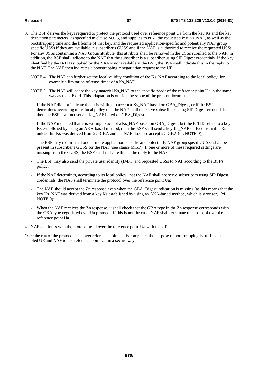- 3. The BSF derives the keys required to protect the protocol used over reference point Ua from the key Ks and the key derivation parameters, as specified in clause M.6.3, and supplies to NAF the requested key Ks\_NAF, as well as the bootstrapping time and the lifetime of that key, and the requested application-specific and potentially NAF group specific USSs if they are available in subscriber's GUSS and if the NAF is authorized to receive the requested USSs. For any USSs containing a NAF Group attribute, this attribute shall be removed in the USSs supplied to the NAF. In addition, the BSF shall indicate to the NAF that the subscriber is a subscriber using SIP Digest credentials. If the key identified by the B-TID supplied by the NAF is not available at the BSF, the BSF shall indicate this in the reply to the NAF. The NAF then indicates a bootstrapping renegotiation request to the UE.
	- NOTE 4: The NAF can further set the local validity condition of the Ks\_NAF according to the local policy, for example a limitation of reuse times of a Ks\_NAF.
	- NOTE 5: The NAF will adapt the key material Ks\_NAF to the specific needs of the reference point Ua in the same way as the UE did. This adaptation is outside the scope of the present document.
	- If the NAF did not indicate that it is willing to accept a Ks\_NAF based on GBA\_Digest, or if the BSF determines according to its local policy that the NAF shall not serve subscribers using SIP Digest credentials, then the BSF shall not send a Ks\_NAF based on GBA\_Digest;
	- If the NAF indicated that it is willing to accept a Ks\_NAF based on GBA\_Digest, but the B-TID refers to a key Ks established by using an AKA-based method, then the BSF shall send a key Ks\_NAF derived from this Ks unless this Ks was derived from 2G GBA and the NAF does not accept 2G GBA (cf. NOTE 0);
	- The BSF may require that one or more application-specific and potentially NAF group specific USSs shall be present in subscriber's GUSS for the NAF (see clause M.5.7). If one or more of these required settings are missing from the GUSS, the BSF shall indicate this in the reply to the NAF;
	- The BSF may also send the private user identity (IMPI) and requested USSs to NAF according to the BSF's policy;
	- If the NAF determines, according to its local policy, that the NAF shall not serve subscribers using SIP Digest credentials, the NAF shall terminate the protocol over the reference point Ua;
	- The NAF should accept the Zn response even when the GBA\_Digest indication is missing (as this means that the key Ks\_NAF was derived from a key Ks established by using an AKA-based method, which is stronger), (cf. NOTE 0);
	- When the NAF receives the Zn response, it shall check that the GBA type in the Zn response corresponds with the GBA type negotiated over Ua protocol. If this is not the case, NAF shall terminate the protocol over the reference point Ua.
- 4. NAF continues with the protocol used over the reference point Ua with the UE.

Once the run of the protocol used over reference point Ua is completed the purpose of bootstrapping is fulfilled as it enabled UE and NAF to use reference point Ua in a secure way.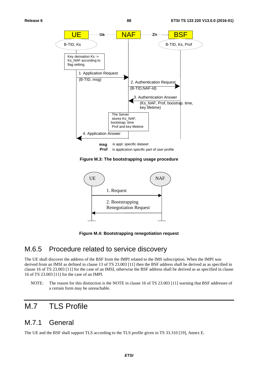

**Figure M.3: The bootstrapping usage procedure** 



**Figure M.4: Bootstrapping renegotiation request** 

### M.6.5 Procedure related to service discovery

The UE shall discover the address of the BSF from the IMPI related to the IMS subscription. When the IMPI was derived from an IMSI as defined in clause 13 of TS 23.003 [11] then the BSF address shall be derived as as specified in clause 16 of TS 23.003 [11] for the case of an IMSI, otherwise the BSF address shall be derived as as specified in clause 16 of TS 23.003 [11] for the case of an IMPI.

NOTE: The reason for this distinction is the NOTE in clause 16 of TS 23.003 [11] warning that BSF addresses of a certain form may be unreachable.

# M.7 TLS Profile

### M.7.1 General

The UE and the BSF shall support TLS according to the TLS profile given in TS 33.310 [19], Annex E.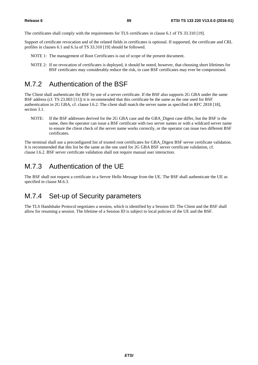The certificates shall comply with the requirements for TLS certificates in clause 6.1 of TS 33.310 [19].

Support of certificate revocation and of the related fields in certificates is optional. If supported, the certificate and CRL profiles in clauses 6.1 and 6.1a of TS 33.310 [19] should be followed.

- NOTE 1: The management of Root Certificates is out of scope of the present document.
- NOTE 2: If no revocation of certificates is deployed, it should be noted, however, that choosing short lifetimes for BSF certificates may considerably reduce the risk, in case BSF certificates may ever be compromised.

### M.7.2 Authentication of the BSF

The Client shall authenticate the BSF by use of a server certificate. If the BSF also supports 2G GBA under the same BSF address (cf. TS 23.003 [11]) it is recommended that this certificate be the same as the one used for BSF authentication in 2G GBA, cf. clause I.6.2. The client shall match the server name as specified in RFC 2818 [18], section 3.1.

NOTE: If the BSF addresses derived for the 2G GBA case and the GBA\_Digest case differ, but the BSF is the same, then the operator can issue a BSF certificate with two server names or with a wildcard server name to ensure the client check of the server name works correctly, or the operator can issue two different BSF certificates.

The terminal shall use a preconfigured list of trusted root certificates for GBA\_Digest BSF server certificate validation. It is recommended that this list be the same as the one used for 2G GBA BSF server certificate validation, cf. clause I.6.2. BSF server certificate validation shall not require manual user interaction.

### M.7.3 Authentication of the UE

The BSF shall not request a certificate in a Server Hello Message from the UE. The BSF shall authenticate the UE as specified in clause M.6.3.

### M.7.4 Set-up of Security parameters

The TLS Handshake Protocol negotiates a session, which is identified by a Session ID. The Client and the BSF shall allow for resuming a session. The lifetime of a Session ID is subject to local policies of the UE and the BSF.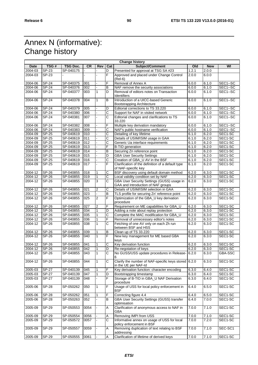# Annex N (informative): Change history

| 2004-03<br>SP-23<br>SP-040175<br>Presented for approval at TSG SA #23<br>1.2.1<br>2.0.0<br>D<br>F<br>Approved and placed under Change Control<br>2004-03<br>SP-23<br>2.0.0<br>6.0.0<br>$(Rel-6)$<br>F<br><b>SP-24</b><br>2004-06<br>SP-040375<br>001<br>Removal of Annex A<br>6.0.0<br>6.1.0<br>SEC1--SC<br>6.1.0<br>2004-06<br><b>SP-24</b><br>SP-040376<br>002<br>NAF remove the security associations<br>SEC1--SC<br>B<br>6.0.0<br>2004-06<br><b>SP-24</b><br>SP-040377<br>003<br>D<br>Removal of editors notes on Transaction<br>6.0.0<br>6.1.0<br>SEC1--SC<br>Identifiers<br><b>SP-24</b><br>B<br>Introduction of a UICC-based Generic<br>SEC1--SC<br>2004-06<br>SP-040378<br>004<br>$\mathbf{1}$<br>6.0.0<br>6.1.0<br><b>Bootstrapping Architecture</b><br>2004-06<br><b>SP-24</b><br>SP-040379<br>005<br>D<br>Editorial corrections to TS 33.220<br>6.1.0<br>SEC1--SC<br>6.0.0<br>C<br>2004-06<br><b>SP-24</b><br>SP-040380<br>006<br>6.1.0<br>SEC1-SC<br>Support for NAF in visited network<br>6.0.0<br>C<br>2004-06<br><b>SP-24</b><br>SP-040381<br>007<br>Editorial changes and clarifications to TS<br>6.1.0<br>SEC1--SC<br>6.0.0<br>33.220<br>$SP-24$<br>SP-040382<br>008<br>F<br>Multiple key derivation mandatory<br>6.1.0<br>SEC1--SC<br>2004-06<br>6.0.0<br>C<br>6.1.0<br>2004-06<br><b>SP-24</b><br>SP-040383<br>009<br>NAF's public hostname verification<br>SEC1--SC<br>6.0.0<br>С<br>2004-09<br>SP-25<br>SP-040619<br>Detailing of key lifetime<br>6.2.0<br>SEC1-SC<br>010<br>6.1.0<br>$\overline{C}$<br>Details of USIM/ISIM usage in GAA<br>6.2.0<br>SEC1-SC<br>2004-09<br><b>SP-25</b><br>SP-040619<br>011<br>6.1.0<br>C<br>SEC1-SC<br>2004-09<br><b>SP-25</b><br>SP-040619<br>012<br>Generic Ua interface requirements<br>6.2.0<br>6.1.0<br>F<br>2004-09<br>SP-25<br>SP-040619<br>013<br><b>B-TID</b> generation<br>6.2.0<br>SEC1-SC<br>6.1.0<br>$\overline{B}$<br>Securing Zn reference point<br>6.2.0<br>2004-09<br><b>SP-25</b><br>SP-040619<br>014<br>SEC1-SC<br>6.1.0<br>6.2.0<br>SEC1-SC<br>2004-09<br><b>SP-25</b><br>SP-040619<br>015<br>D<br><b>GBA User Security Settings</b><br>6.1.0<br>$\overline{C}$<br>2004-09<br><b>SP-25</b><br>SP-040619<br>016<br>Creation of GBA_U AV in the BSF<br>6.2.0<br>SEC1-SC<br>6.1.0<br>F<br>2004-09<br>SP-25<br>SP-040619<br>017<br>Clarification of the definition of a default type<br>6.2.0<br>SEC1-SC<br>6.1.0<br>of NAF-specific key<br>С<br>$2004 - 12$<br><b>SP-26</b><br>SP-040855<br>018<br>BSF discovery using default domain method<br>6.2.0<br>6.3.0<br>SEC1-SC<br>1<br>SP-040855<br>C<br>Local validity condition set by NAF<br>2004-12<br><b>SP-26</b><br>019<br>$\mathbf{1}$<br>6.2.0<br>6.3.0<br>SEC1-SC<br>GBA User Security Settings (GUSS) usage in<br>SEC1-SC<br>2004-12<br>SP-26<br>SP-040855<br>020<br>3<br>С<br>6.2.0<br>6.3.0<br>GAA and Introduction of NAF groups<br>C<br>Details of USIM/ISIM selection in GAA<br>2004-12<br>SP-26<br>SP-040855<br>021<br>$\overline{2}$<br>6.2.0<br>6.3.0<br>SEC1-SC<br>B<br>2004-12<br><b>SP-26</b><br>SP-040855<br>023<br>6.2.0<br>6.3.0<br>SEC1-SC<br>TLS profile for securing Zn' reference point<br>$\blacksquare$<br>F<br>Optimization of the GBA_U key derivation<br>6.3.0<br>2004-12<br>SP-26<br>SP-040855<br>025<br>2<br>6.2.0<br>SEC1-SC<br>procedure<br>F<br>2004-12<br><b>SP-26</b><br>SP-040855<br>027<br>$\overline{2}$<br>Requirement on ME capabilities for GBA_U<br>6.2.0<br>6.3.0<br>SEC1-SC<br>SEC1-SC<br>2004-12<br><b>SP-26</b><br>SP-040855<br>034<br>D<br>6.2.0<br>6.3.0<br>1<br>Adding a note about replay protection<br>6.3.0<br>2004-12<br>SP-26<br>SP-040855<br>035<br>С<br>Complete the MAC modification for GBA U<br>SEC1-SC<br>6.2.0<br>F<br>2004-12<br><b>SP-26</b><br>SP-040855<br>036<br>Removal of unnecessary editor's notes<br>6.2.0<br>6.3.0<br>SEC1-SC<br>1<br><b>SP-26</b><br>SP-040855<br>C<br>SEC1-SC<br>2004-12<br>038<br>1<br>Fetching of one AV only on each Zh run<br>6.2.0<br>6.3.0<br>between BSF and HSS<br><b>SP-26</b><br>SP-040855<br>039<br>B<br>Clean up of TS 33.220<br>6.2.0<br>6.3.0<br>SEC1-SC<br>2004-12<br>1<br>F<br>New key management for ME based GBA<br>SEC1-SC<br><b>SP-26</b><br>SP-040855<br>040<br>$\mathbf{1}$<br>6.2.0<br>6.3.0<br>keys<br>C<br><b>SP-26</b><br>SP-040855<br>041<br>Key derivation function<br>6.2.0<br>6.3.0<br>SEC1-SC<br>2004-12<br>1<br>6.3.0<br>2004-12<br><b>SP-26</b><br>SP-040855<br>042<br>D<br>Re-negotation of keys<br>6.2.0<br>SEC1-SC<br>1<br>$\overline{C}$<br>No GUSS/USS update procedures in Release-<br>2004-12<br><b>SP-26</b><br>SP-040855<br>043<br>6.2.0<br>6.3.0<br>GBA-SSC<br>1<br>6<br>$SP-26$<br>С<br>Clarify the number of NAF-specific keys stored 6.2.0<br>6.3.0<br>SEC1-SC<br>2004-12<br>SP-040855<br>044<br>1<br>in the UE per NAF-Id<br>2005-03<br>$SP-27$<br>Key derivation function: character encoding<br>6.3.0<br>SEC1-SC<br>SP-040139<br>045<br>F<br>6.4.0<br>SP-040139<br>SEC1-SC<br>2005-03<br><b>SP-27</b><br>047<br>Bootstrapping timestamp<br>6.4.0<br>D<br>6.3.0<br>F<br>Storage of B-TID in GBA_U NAF Derivation<br><b>SP-27</b><br>SP-040139<br>SEC1-SC<br>2005-03<br>048<br>6.3.0<br>6.4.0<br>procedure<br>Usage of USS for local policy enforcement in<br>2005-06<br><b>SP-28</b><br>F<br>6.4.0<br>6.5.0<br>SEC1-SC<br>SP-050262<br>050<br>1<br><b>BSF</b><br>F<br>Correcting figure 4.4<br>2005-06<br><b>SP-28</b><br>SP-050262<br>SEC1-SC<br>051<br>1<br>6.4.0<br>6.5.0<br><b>GBA User Security Settings (GUSS) transfer</b><br>7.0.0<br>SEC1-SC<br>2005-06<br><b>SP-28</b><br>SP-050263<br>B<br>052<br>6.4.0<br>optimisation<br>Clarification of anonymous access to NAF in<br>$SP-29$<br>7.0.0<br>7.1.0<br>SEC1-SC<br>2005-09<br>SP-050553<br>0054<br>$\overline{A}$<br>GBA<br>$SP-29$<br>Removing IMPI from USS<br>SP-050554<br>0056<br>7.0.0<br>7.1.0<br>SEC1-SC<br>Α<br>7.2.0<br>$\overline{\text{c}}$<br>Informative annex on usage of USS for local<br>SEC1-SC<br>2005-09<br>SP-29<br>SP-050572<br>0057<br>7.0.0<br>policy enforcement in BSF<br>2005-09<br>Removing duplication of text relating to BSF<br>7.0.0<br>7.1.0<br>SP-29<br>SP-050557<br>0059<br>A<br>SEC-SC1<br>addressing<br>Clarification of lifetime of derived keys<br>$SP-29$<br>SEC1-SC<br>SP-050555<br>0061<br>7.0.0<br>7.1.0<br>Α | <b>Change history</b> |      |          |           |     |     |                 |     |            |    |
|--------------------------------------------------------------------------------------------------------------------------------------------------------------------------------------------------------------------------------------------------------------------------------------------------------------------------------------------------------------------------------------------------------------------------------------------------------------------------------------------------------------------------------------------------------------------------------------------------------------------------------------------------------------------------------------------------------------------------------------------------------------------------------------------------------------------------------------------------------------------------------------------------------------------------------------------------------------------------------------------------------------------------------------------------------------------------------------------------------------------------------------------------------------------------------------------------------------------------------------------------------------------------------------------------------------------------------------------------------------------------------------------------------------------------------------------------------------------------------------------------------------------------------------------------------------------------------------------------------------------------------------------------------------------------------------------------------------------------------------------------------------------------------------------------------------------------------------------------------------------------------------------------------------------------------------------------------------------------------------------------------------------------------------------------------------------------------------------------------------------------------------------------------------------------------------------------------------------------------------------------------------------------------------------------------------------------------------------------------------------------------------------------------------------------------------------------------------------------------------------------------------------------------------------------------------------------------------------------------------------------------------------------------------------------------------------------------------------------------------------------------------------------------------------------------------------------------------------------------------------------------------------------------------------------------------------------------------------------------------------------------------------------------------------------------------------------------------------------------------------------------------------------------------------------------------------------------------------------------------------------------------------------------------------------------------------------------------------------------------------------------------------------------------------------------------------------------------------------------------------------------------------------------------------------------------------------------------------------------------------------------------------------------------------------------------------------------------------------------------------------------------------------------------------------------------------------------------------------------------------------------------------------------------------------------------------------------------------------------------------------------------------------------------------------------------------------------------------------------------------------------------------------------------------------------------------------------------------------------------------------------------------------------------------------------------------------------------------------------------------------------------------------------------------------------------------------------------------------------------------------------------------------------------------------------------------------------------------------------------------------------------------------------------------------------------------------------------------------------------------------------------------------------------------------------------------------------------------------------------------------------------------------------------------------------------------------------------------------------------------------------------------------------------------------------------------------------------------------------------------------------------------------------------------------------------------------------------------------------------------------------------------------------------------------------------------------------------------------------------------------------------------------------------------------------------------------------------------------------------------------------------------------------------------------------------------------------------------------------------------------------------------------------------------------------------------------------------------------------------------------------------------------------------------------------------------------------------------------------------------------------------------------------------------------------------------------------------------------------------------------------------------------------------------------------------------------------------------------------------------------------------------------------------------------------------------------------------------------------------------------------------------------------------|-----------------------|------|----------|-----------|-----|-----|-----------------|-----|------------|----|
|                                                                                                                                                                                                                                                                                                                                                                                                                                                                                                                                                                                                                                                                                                                                                                                                                                                                                                                                                                                                                                                                                                                                                                                                                                                                                                                                                                                                                                                                                                                                                                                                                                                                                                                                                                                                                                                                                                                                                                                                                                                                                                                                                                                                                                                                                                                                                                                                                                                                                                                                                                                                                                                                                                                                                                                                                                                                                                                                                                                                                                                                                                                                                                                                                                                                                                                                                                                                                                                                                                                                                                                                                                                                                                                                                                                                                                                                                                                                                                                                                                                                                                                                                                                                                                                                                                                                                                                                                                                                                                                                                                                                                                                                                                                                                                                                                                                                                                                                                                                                                                                                                                                                                                                                                                                                                                                                                                                                                                                                                                                                                                                                                                                                                                                                                                                                                                                                                                                                                                                                                                                                                                                                                                                                                                                                                      | Date                  | TSG# | TSG Doc. | <b>CR</b> | Rev | Cat | Subject/Comment | Old | <b>New</b> | WI |
|                                                                                                                                                                                                                                                                                                                                                                                                                                                                                                                                                                                                                                                                                                                                                                                                                                                                                                                                                                                                                                                                                                                                                                                                                                                                                                                                                                                                                                                                                                                                                                                                                                                                                                                                                                                                                                                                                                                                                                                                                                                                                                                                                                                                                                                                                                                                                                                                                                                                                                                                                                                                                                                                                                                                                                                                                                                                                                                                                                                                                                                                                                                                                                                                                                                                                                                                                                                                                                                                                                                                                                                                                                                                                                                                                                                                                                                                                                                                                                                                                                                                                                                                                                                                                                                                                                                                                                                                                                                                                                                                                                                                                                                                                                                                                                                                                                                                                                                                                                                                                                                                                                                                                                                                                                                                                                                                                                                                                                                                                                                                                                                                                                                                                                                                                                                                                                                                                                                                                                                                                                                                                                                                                                                                                                                                                      |                       |      |          |           |     |     |                 |     |            |    |
|                                                                                                                                                                                                                                                                                                                                                                                                                                                                                                                                                                                                                                                                                                                                                                                                                                                                                                                                                                                                                                                                                                                                                                                                                                                                                                                                                                                                                                                                                                                                                                                                                                                                                                                                                                                                                                                                                                                                                                                                                                                                                                                                                                                                                                                                                                                                                                                                                                                                                                                                                                                                                                                                                                                                                                                                                                                                                                                                                                                                                                                                                                                                                                                                                                                                                                                                                                                                                                                                                                                                                                                                                                                                                                                                                                                                                                                                                                                                                                                                                                                                                                                                                                                                                                                                                                                                                                                                                                                                                                                                                                                                                                                                                                                                                                                                                                                                                                                                                                                                                                                                                                                                                                                                                                                                                                                                                                                                                                                                                                                                                                                                                                                                                                                                                                                                                                                                                                                                                                                                                                                                                                                                                                                                                                                                                      |                       |      |          |           |     |     |                 |     |            |    |
|                                                                                                                                                                                                                                                                                                                                                                                                                                                                                                                                                                                                                                                                                                                                                                                                                                                                                                                                                                                                                                                                                                                                                                                                                                                                                                                                                                                                                                                                                                                                                                                                                                                                                                                                                                                                                                                                                                                                                                                                                                                                                                                                                                                                                                                                                                                                                                                                                                                                                                                                                                                                                                                                                                                                                                                                                                                                                                                                                                                                                                                                                                                                                                                                                                                                                                                                                                                                                                                                                                                                                                                                                                                                                                                                                                                                                                                                                                                                                                                                                                                                                                                                                                                                                                                                                                                                                                                                                                                                                                                                                                                                                                                                                                                                                                                                                                                                                                                                                                                                                                                                                                                                                                                                                                                                                                                                                                                                                                                                                                                                                                                                                                                                                                                                                                                                                                                                                                                                                                                                                                                                                                                                                                                                                                                                                      |                       |      |          |           |     |     |                 |     |            |    |
|                                                                                                                                                                                                                                                                                                                                                                                                                                                                                                                                                                                                                                                                                                                                                                                                                                                                                                                                                                                                                                                                                                                                                                                                                                                                                                                                                                                                                                                                                                                                                                                                                                                                                                                                                                                                                                                                                                                                                                                                                                                                                                                                                                                                                                                                                                                                                                                                                                                                                                                                                                                                                                                                                                                                                                                                                                                                                                                                                                                                                                                                                                                                                                                                                                                                                                                                                                                                                                                                                                                                                                                                                                                                                                                                                                                                                                                                                                                                                                                                                                                                                                                                                                                                                                                                                                                                                                                                                                                                                                                                                                                                                                                                                                                                                                                                                                                                                                                                                                                                                                                                                                                                                                                                                                                                                                                                                                                                                                                                                                                                                                                                                                                                                                                                                                                                                                                                                                                                                                                                                                                                                                                                                                                                                                                                                      |                       |      |          |           |     |     |                 |     |            |    |
|                                                                                                                                                                                                                                                                                                                                                                                                                                                                                                                                                                                                                                                                                                                                                                                                                                                                                                                                                                                                                                                                                                                                                                                                                                                                                                                                                                                                                                                                                                                                                                                                                                                                                                                                                                                                                                                                                                                                                                                                                                                                                                                                                                                                                                                                                                                                                                                                                                                                                                                                                                                                                                                                                                                                                                                                                                                                                                                                                                                                                                                                                                                                                                                                                                                                                                                                                                                                                                                                                                                                                                                                                                                                                                                                                                                                                                                                                                                                                                                                                                                                                                                                                                                                                                                                                                                                                                                                                                                                                                                                                                                                                                                                                                                                                                                                                                                                                                                                                                                                                                                                                                                                                                                                                                                                                                                                                                                                                                                                                                                                                                                                                                                                                                                                                                                                                                                                                                                                                                                                                                                                                                                                                                                                                                                                                      |                       |      |          |           |     |     |                 |     |            |    |
|                                                                                                                                                                                                                                                                                                                                                                                                                                                                                                                                                                                                                                                                                                                                                                                                                                                                                                                                                                                                                                                                                                                                                                                                                                                                                                                                                                                                                                                                                                                                                                                                                                                                                                                                                                                                                                                                                                                                                                                                                                                                                                                                                                                                                                                                                                                                                                                                                                                                                                                                                                                                                                                                                                                                                                                                                                                                                                                                                                                                                                                                                                                                                                                                                                                                                                                                                                                                                                                                                                                                                                                                                                                                                                                                                                                                                                                                                                                                                                                                                                                                                                                                                                                                                                                                                                                                                                                                                                                                                                                                                                                                                                                                                                                                                                                                                                                                                                                                                                                                                                                                                                                                                                                                                                                                                                                                                                                                                                                                                                                                                                                                                                                                                                                                                                                                                                                                                                                                                                                                                                                                                                                                                                                                                                                                                      |                       |      |          |           |     |     |                 |     |            |    |
|                                                                                                                                                                                                                                                                                                                                                                                                                                                                                                                                                                                                                                                                                                                                                                                                                                                                                                                                                                                                                                                                                                                                                                                                                                                                                                                                                                                                                                                                                                                                                                                                                                                                                                                                                                                                                                                                                                                                                                                                                                                                                                                                                                                                                                                                                                                                                                                                                                                                                                                                                                                                                                                                                                                                                                                                                                                                                                                                                                                                                                                                                                                                                                                                                                                                                                                                                                                                                                                                                                                                                                                                                                                                                                                                                                                                                                                                                                                                                                                                                                                                                                                                                                                                                                                                                                                                                                                                                                                                                                                                                                                                                                                                                                                                                                                                                                                                                                                                                                                                                                                                                                                                                                                                                                                                                                                                                                                                                                                                                                                                                                                                                                                                                                                                                                                                                                                                                                                                                                                                                                                                                                                                                                                                                                                                                      |                       |      |          |           |     |     |                 |     |            |    |
|                                                                                                                                                                                                                                                                                                                                                                                                                                                                                                                                                                                                                                                                                                                                                                                                                                                                                                                                                                                                                                                                                                                                                                                                                                                                                                                                                                                                                                                                                                                                                                                                                                                                                                                                                                                                                                                                                                                                                                                                                                                                                                                                                                                                                                                                                                                                                                                                                                                                                                                                                                                                                                                                                                                                                                                                                                                                                                                                                                                                                                                                                                                                                                                                                                                                                                                                                                                                                                                                                                                                                                                                                                                                                                                                                                                                                                                                                                                                                                                                                                                                                                                                                                                                                                                                                                                                                                                                                                                                                                                                                                                                                                                                                                                                                                                                                                                                                                                                                                                                                                                                                                                                                                                                                                                                                                                                                                                                                                                                                                                                                                                                                                                                                                                                                                                                                                                                                                                                                                                                                                                                                                                                                                                                                                                                                      |                       |      |          |           |     |     |                 |     |            |    |
|                                                                                                                                                                                                                                                                                                                                                                                                                                                                                                                                                                                                                                                                                                                                                                                                                                                                                                                                                                                                                                                                                                                                                                                                                                                                                                                                                                                                                                                                                                                                                                                                                                                                                                                                                                                                                                                                                                                                                                                                                                                                                                                                                                                                                                                                                                                                                                                                                                                                                                                                                                                                                                                                                                                                                                                                                                                                                                                                                                                                                                                                                                                                                                                                                                                                                                                                                                                                                                                                                                                                                                                                                                                                                                                                                                                                                                                                                                                                                                                                                                                                                                                                                                                                                                                                                                                                                                                                                                                                                                                                                                                                                                                                                                                                                                                                                                                                                                                                                                                                                                                                                                                                                                                                                                                                                                                                                                                                                                                                                                                                                                                                                                                                                                                                                                                                                                                                                                                                                                                                                                                                                                                                                                                                                                                                                      |                       |      |          |           |     |     |                 |     |            |    |
|                                                                                                                                                                                                                                                                                                                                                                                                                                                                                                                                                                                                                                                                                                                                                                                                                                                                                                                                                                                                                                                                                                                                                                                                                                                                                                                                                                                                                                                                                                                                                                                                                                                                                                                                                                                                                                                                                                                                                                                                                                                                                                                                                                                                                                                                                                                                                                                                                                                                                                                                                                                                                                                                                                                                                                                                                                                                                                                                                                                                                                                                                                                                                                                                                                                                                                                                                                                                                                                                                                                                                                                                                                                                                                                                                                                                                                                                                                                                                                                                                                                                                                                                                                                                                                                                                                                                                                                                                                                                                                                                                                                                                                                                                                                                                                                                                                                                                                                                                                                                                                                                                                                                                                                                                                                                                                                                                                                                                                                                                                                                                                                                                                                                                                                                                                                                                                                                                                                                                                                                                                                                                                                                                                                                                                                                                      |                       |      |          |           |     |     |                 |     |            |    |
|                                                                                                                                                                                                                                                                                                                                                                                                                                                                                                                                                                                                                                                                                                                                                                                                                                                                                                                                                                                                                                                                                                                                                                                                                                                                                                                                                                                                                                                                                                                                                                                                                                                                                                                                                                                                                                                                                                                                                                                                                                                                                                                                                                                                                                                                                                                                                                                                                                                                                                                                                                                                                                                                                                                                                                                                                                                                                                                                                                                                                                                                                                                                                                                                                                                                                                                                                                                                                                                                                                                                                                                                                                                                                                                                                                                                                                                                                                                                                                                                                                                                                                                                                                                                                                                                                                                                                                                                                                                                                                                                                                                                                                                                                                                                                                                                                                                                                                                                                                                                                                                                                                                                                                                                                                                                                                                                                                                                                                                                                                                                                                                                                                                                                                                                                                                                                                                                                                                                                                                                                                                                                                                                                                                                                                                                                      |                       |      |          |           |     |     |                 |     |            |    |
|                                                                                                                                                                                                                                                                                                                                                                                                                                                                                                                                                                                                                                                                                                                                                                                                                                                                                                                                                                                                                                                                                                                                                                                                                                                                                                                                                                                                                                                                                                                                                                                                                                                                                                                                                                                                                                                                                                                                                                                                                                                                                                                                                                                                                                                                                                                                                                                                                                                                                                                                                                                                                                                                                                                                                                                                                                                                                                                                                                                                                                                                                                                                                                                                                                                                                                                                                                                                                                                                                                                                                                                                                                                                                                                                                                                                                                                                                                                                                                                                                                                                                                                                                                                                                                                                                                                                                                                                                                                                                                                                                                                                                                                                                                                                                                                                                                                                                                                                                                                                                                                                                                                                                                                                                                                                                                                                                                                                                                                                                                                                                                                                                                                                                                                                                                                                                                                                                                                                                                                                                                                                                                                                                                                                                                                                                      |                       |      |          |           |     |     |                 |     |            |    |
|                                                                                                                                                                                                                                                                                                                                                                                                                                                                                                                                                                                                                                                                                                                                                                                                                                                                                                                                                                                                                                                                                                                                                                                                                                                                                                                                                                                                                                                                                                                                                                                                                                                                                                                                                                                                                                                                                                                                                                                                                                                                                                                                                                                                                                                                                                                                                                                                                                                                                                                                                                                                                                                                                                                                                                                                                                                                                                                                                                                                                                                                                                                                                                                                                                                                                                                                                                                                                                                                                                                                                                                                                                                                                                                                                                                                                                                                                                                                                                                                                                                                                                                                                                                                                                                                                                                                                                                                                                                                                                                                                                                                                                                                                                                                                                                                                                                                                                                                                                                                                                                                                                                                                                                                                                                                                                                                                                                                                                                                                                                                                                                                                                                                                                                                                                                                                                                                                                                                                                                                                                                                                                                                                                                                                                                                                      |                       |      |          |           |     |     |                 |     |            |    |
|                                                                                                                                                                                                                                                                                                                                                                                                                                                                                                                                                                                                                                                                                                                                                                                                                                                                                                                                                                                                                                                                                                                                                                                                                                                                                                                                                                                                                                                                                                                                                                                                                                                                                                                                                                                                                                                                                                                                                                                                                                                                                                                                                                                                                                                                                                                                                                                                                                                                                                                                                                                                                                                                                                                                                                                                                                                                                                                                                                                                                                                                                                                                                                                                                                                                                                                                                                                                                                                                                                                                                                                                                                                                                                                                                                                                                                                                                                                                                                                                                                                                                                                                                                                                                                                                                                                                                                                                                                                                                                                                                                                                                                                                                                                                                                                                                                                                                                                                                                                                                                                                                                                                                                                                                                                                                                                                                                                                                                                                                                                                                                                                                                                                                                                                                                                                                                                                                                                                                                                                                                                                                                                                                                                                                                                                                      |                       |      |          |           |     |     |                 |     |            |    |
|                                                                                                                                                                                                                                                                                                                                                                                                                                                                                                                                                                                                                                                                                                                                                                                                                                                                                                                                                                                                                                                                                                                                                                                                                                                                                                                                                                                                                                                                                                                                                                                                                                                                                                                                                                                                                                                                                                                                                                                                                                                                                                                                                                                                                                                                                                                                                                                                                                                                                                                                                                                                                                                                                                                                                                                                                                                                                                                                                                                                                                                                                                                                                                                                                                                                                                                                                                                                                                                                                                                                                                                                                                                                                                                                                                                                                                                                                                                                                                                                                                                                                                                                                                                                                                                                                                                                                                                                                                                                                                                                                                                                                                                                                                                                                                                                                                                                                                                                                                                                                                                                                                                                                                                                                                                                                                                                                                                                                                                                                                                                                                                                                                                                                                                                                                                                                                                                                                                                                                                                                                                                                                                                                                                                                                                                                      |                       |      |          |           |     |     |                 |     |            |    |
|                                                                                                                                                                                                                                                                                                                                                                                                                                                                                                                                                                                                                                                                                                                                                                                                                                                                                                                                                                                                                                                                                                                                                                                                                                                                                                                                                                                                                                                                                                                                                                                                                                                                                                                                                                                                                                                                                                                                                                                                                                                                                                                                                                                                                                                                                                                                                                                                                                                                                                                                                                                                                                                                                                                                                                                                                                                                                                                                                                                                                                                                                                                                                                                                                                                                                                                                                                                                                                                                                                                                                                                                                                                                                                                                                                                                                                                                                                                                                                                                                                                                                                                                                                                                                                                                                                                                                                                                                                                                                                                                                                                                                                                                                                                                                                                                                                                                                                                                                                                                                                                                                                                                                                                                                                                                                                                                                                                                                                                                                                                                                                                                                                                                                                                                                                                                                                                                                                                                                                                                                                                                                                                                                                                                                                                                                      |                       |      |          |           |     |     |                 |     |            |    |
|                                                                                                                                                                                                                                                                                                                                                                                                                                                                                                                                                                                                                                                                                                                                                                                                                                                                                                                                                                                                                                                                                                                                                                                                                                                                                                                                                                                                                                                                                                                                                                                                                                                                                                                                                                                                                                                                                                                                                                                                                                                                                                                                                                                                                                                                                                                                                                                                                                                                                                                                                                                                                                                                                                                                                                                                                                                                                                                                                                                                                                                                                                                                                                                                                                                                                                                                                                                                                                                                                                                                                                                                                                                                                                                                                                                                                                                                                                                                                                                                                                                                                                                                                                                                                                                                                                                                                                                                                                                                                                                                                                                                                                                                                                                                                                                                                                                                                                                                                                                                                                                                                                                                                                                                                                                                                                                                                                                                                                                                                                                                                                                                                                                                                                                                                                                                                                                                                                                                                                                                                                                                                                                                                                                                                                                                                      |                       |      |          |           |     |     |                 |     |            |    |
|                                                                                                                                                                                                                                                                                                                                                                                                                                                                                                                                                                                                                                                                                                                                                                                                                                                                                                                                                                                                                                                                                                                                                                                                                                                                                                                                                                                                                                                                                                                                                                                                                                                                                                                                                                                                                                                                                                                                                                                                                                                                                                                                                                                                                                                                                                                                                                                                                                                                                                                                                                                                                                                                                                                                                                                                                                                                                                                                                                                                                                                                                                                                                                                                                                                                                                                                                                                                                                                                                                                                                                                                                                                                                                                                                                                                                                                                                                                                                                                                                                                                                                                                                                                                                                                                                                                                                                                                                                                                                                                                                                                                                                                                                                                                                                                                                                                                                                                                                                                                                                                                                                                                                                                                                                                                                                                                                                                                                                                                                                                                                                                                                                                                                                                                                                                                                                                                                                                                                                                                                                                                                                                                                                                                                                                                                      |                       |      |          |           |     |     |                 |     |            |    |
|                                                                                                                                                                                                                                                                                                                                                                                                                                                                                                                                                                                                                                                                                                                                                                                                                                                                                                                                                                                                                                                                                                                                                                                                                                                                                                                                                                                                                                                                                                                                                                                                                                                                                                                                                                                                                                                                                                                                                                                                                                                                                                                                                                                                                                                                                                                                                                                                                                                                                                                                                                                                                                                                                                                                                                                                                                                                                                                                                                                                                                                                                                                                                                                                                                                                                                                                                                                                                                                                                                                                                                                                                                                                                                                                                                                                                                                                                                                                                                                                                                                                                                                                                                                                                                                                                                                                                                                                                                                                                                                                                                                                                                                                                                                                                                                                                                                                                                                                                                                                                                                                                                                                                                                                                                                                                                                                                                                                                                                                                                                                                                                                                                                                                                                                                                                                                                                                                                                                                                                                                                                                                                                                                                                                                                                                                      |                       |      |          |           |     |     |                 |     |            |    |
|                                                                                                                                                                                                                                                                                                                                                                                                                                                                                                                                                                                                                                                                                                                                                                                                                                                                                                                                                                                                                                                                                                                                                                                                                                                                                                                                                                                                                                                                                                                                                                                                                                                                                                                                                                                                                                                                                                                                                                                                                                                                                                                                                                                                                                                                                                                                                                                                                                                                                                                                                                                                                                                                                                                                                                                                                                                                                                                                                                                                                                                                                                                                                                                                                                                                                                                                                                                                                                                                                                                                                                                                                                                                                                                                                                                                                                                                                                                                                                                                                                                                                                                                                                                                                                                                                                                                                                                                                                                                                                                                                                                                                                                                                                                                                                                                                                                                                                                                                                                                                                                                                                                                                                                                                                                                                                                                                                                                                                                                                                                                                                                                                                                                                                                                                                                                                                                                                                                                                                                                                                                                                                                                                                                                                                                                                      |                       |      |          |           |     |     |                 |     |            |    |
|                                                                                                                                                                                                                                                                                                                                                                                                                                                                                                                                                                                                                                                                                                                                                                                                                                                                                                                                                                                                                                                                                                                                                                                                                                                                                                                                                                                                                                                                                                                                                                                                                                                                                                                                                                                                                                                                                                                                                                                                                                                                                                                                                                                                                                                                                                                                                                                                                                                                                                                                                                                                                                                                                                                                                                                                                                                                                                                                                                                                                                                                                                                                                                                                                                                                                                                                                                                                                                                                                                                                                                                                                                                                                                                                                                                                                                                                                                                                                                                                                                                                                                                                                                                                                                                                                                                                                                                                                                                                                                                                                                                                                                                                                                                                                                                                                                                                                                                                                                                                                                                                                                                                                                                                                                                                                                                                                                                                                                                                                                                                                                                                                                                                                                                                                                                                                                                                                                                                                                                                                                                                                                                                                                                                                                                                                      |                       |      |          |           |     |     |                 |     |            |    |
|                                                                                                                                                                                                                                                                                                                                                                                                                                                                                                                                                                                                                                                                                                                                                                                                                                                                                                                                                                                                                                                                                                                                                                                                                                                                                                                                                                                                                                                                                                                                                                                                                                                                                                                                                                                                                                                                                                                                                                                                                                                                                                                                                                                                                                                                                                                                                                                                                                                                                                                                                                                                                                                                                                                                                                                                                                                                                                                                                                                                                                                                                                                                                                                                                                                                                                                                                                                                                                                                                                                                                                                                                                                                                                                                                                                                                                                                                                                                                                                                                                                                                                                                                                                                                                                                                                                                                                                                                                                                                                                                                                                                                                                                                                                                                                                                                                                                                                                                                                                                                                                                                                                                                                                                                                                                                                                                                                                                                                                                                                                                                                                                                                                                                                                                                                                                                                                                                                                                                                                                                                                                                                                                                                                                                                                                                      |                       |      |          |           |     |     |                 |     |            |    |
|                                                                                                                                                                                                                                                                                                                                                                                                                                                                                                                                                                                                                                                                                                                                                                                                                                                                                                                                                                                                                                                                                                                                                                                                                                                                                                                                                                                                                                                                                                                                                                                                                                                                                                                                                                                                                                                                                                                                                                                                                                                                                                                                                                                                                                                                                                                                                                                                                                                                                                                                                                                                                                                                                                                                                                                                                                                                                                                                                                                                                                                                                                                                                                                                                                                                                                                                                                                                                                                                                                                                                                                                                                                                                                                                                                                                                                                                                                                                                                                                                                                                                                                                                                                                                                                                                                                                                                                                                                                                                                                                                                                                                                                                                                                                                                                                                                                                                                                                                                                                                                                                                                                                                                                                                                                                                                                                                                                                                                                                                                                                                                                                                                                                                                                                                                                                                                                                                                                                                                                                                                                                                                                                                                                                                                                                                      |                       |      |          |           |     |     |                 |     |            |    |
|                                                                                                                                                                                                                                                                                                                                                                                                                                                                                                                                                                                                                                                                                                                                                                                                                                                                                                                                                                                                                                                                                                                                                                                                                                                                                                                                                                                                                                                                                                                                                                                                                                                                                                                                                                                                                                                                                                                                                                                                                                                                                                                                                                                                                                                                                                                                                                                                                                                                                                                                                                                                                                                                                                                                                                                                                                                                                                                                                                                                                                                                                                                                                                                                                                                                                                                                                                                                                                                                                                                                                                                                                                                                                                                                                                                                                                                                                                                                                                                                                                                                                                                                                                                                                                                                                                                                                                                                                                                                                                                                                                                                                                                                                                                                                                                                                                                                                                                                                                                                                                                                                                                                                                                                                                                                                                                                                                                                                                                                                                                                                                                                                                                                                                                                                                                                                                                                                                                                                                                                                                                                                                                                                                                                                                                                                      |                       |      |          |           |     |     |                 |     |            |    |
|                                                                                                                                                                                                                                                                                                                                                                                                                                                                                                                                                                                                                                                                                                                                                                                                                                                                                                                                                                                                                                                                                                                                                                                                                                                                                                                                                                                                                                                                                                                                                                                                                                                                                                                                                                                                                                                                                                                                                                                                                                                                                                                                                                                                                                                                                                                                                                                                                                                                                                                                                                                                                                                                                                                                                                                                                                                                                                                                                                                                                                                                                                                                                                                                                                                                                                                                                                                                                                                                                                                                                                                                                                                                                                                                                                                                                                                                                                                                                                                                                                                                                                                                                                                                                                                                                                                                                                                                                                                                                                                                                                                                                                                                                                                                                                                                                                                                                                                                                                                                                                                                                                                                                                                                                                                                                                                                                                                                                                                                                                                                                                                                                                                                                                                                                                                                                                                                                                                                                                                                                                                                                                                                                                                                                                                                                      |                       |      |          |           |     |     |                 |     |            |    |
|                                                                                                                                                                                                                                                                                                                                                                                                                                                                                                                                                                                                                                                                                                                                                                                                                                                                                                                                                                                                                                                                                                                                                                                                                                                                                                                                                                                                                                                                                                                                                                                                                                                                                                                                                                                                                                                                                                                                                                                                                                                                                                                                                                                                                                                                                                                                                                                                                                                                                                                                                                                                                                                                                                                                                                                                                                                                                                                                                                                                                                                                                                                                                                                                                                                                                                                                                                                                                                                                                                                                                                                                                                                                                                                                                                                                                                                                                                                                                                                                                                                                                                                                                                                                                                                                                                                                                                                                                                                                                                                                                                                                                                                                                                                                                                                                                                                                                                                                                                                                                                                                                                                                                                                                                                                                                                                                                                                                                                                                                                                                                                                                                                                                                                                                                                                                                                                                                                                                                                                                                                                                                                                                                                                                                                                                                      |                       |      |          |           |     |     |                 |     |            |    |
|                                                                                                                                                                                                                                                                                                                                                                                                                                                                                                                                                                                                                                                                                                                                                                                                                                                                                                                                                                                                                                                                                                                                                                                                                                                                                                                                                                                                                                                                                                                                                                                                                                                                                                                                                                                                                                                                                                                                                                                                                                                                                                                                                                                                                                                                                                                                                                                                                                                                                                                                                                                                                                                                                                                                                                                                                                                                                                                                                                                                                                                                                                                                                                                                                                                                                                                                                                                                                                                                                                                                                                                                                                                                                                                                                                                                                                                                                                                                                                                                                                                                                                                                                                                                                                                                                                                                                                                                                                                                                                                                                                                                                                                                                                                                                                                                                                                                                                                                                                                                                                                                                                                                                                                                                                                                                                                                                                                                                                                                                                                                                                                                                                                                                                                                                                                                                                                                                                                                                                                                                                                                                                                                                                                                                                                                                      |                       |      |          |           |     |     |                 |     |            |    |
|                                                                                                                                                                                                                                                                                                                                                                                                                                                                                                                                                                                                                                                                                                                                                                                                                                                                                                                                                                                                                                                                                                                                                                                                                                                                                                                                                                                                                                                                                                                                                                                                                                                                                                                                                                                                                                                                                                                                                                                                                                                                                                                                                                                                                                                                                                                                                                                                                                                                                                                                                                                                                                                                                                                                                                                                                                                                                                                                                                                                                                                                                                                                                                                                                                                                                                                                                                                                                                                                                                                                                                                                                                                                                                                                                                                                                                                                                                                                                                                                                                                                                                                                                                                                                                                                                                                                                                                                                                                                                                                                                                                                                                                                                                                                                                                                                                                                                                                                                                                                                                                                                                                                                                                                                                                                                                                                                                                                                                                                                                                                                                                                                                                                                                                                                                                                                                                                                                                                                                                                                                                                                                                                                                                                                                                                                      |                       |      |          |           |     |     |                 |     |            |    |
|                                                                                                                                                                                                                                                                                                                                                                                                                                                                                                                                                                                                                                                                                                                                                                                                                                                                                                                                                                                                                                                                                                                                                                                                                                                                                                                                                                                                                                                                                                                                                                                                                                                                                                                                                                                                                                                                                                                                                                                                                                                                                                                                                                                                                                                                                                                                                                                                                                                                                                                                                                                                                                                                                                                                                                                                                                                                                                                                                                                                                                                                                                                                                                                                                                                                                                                                                                                                                                                                                                                                                                                                                                                                                                                                                                                                                                                                                                                                                                                                                                                                                                                                                                                                                                                                                                                                                                                                                                                                                                                                                                                                                                                                                                                                                                                                                                                                                                                                                                                                                                                                                                                                                                                                                                                                                                                                                                                                                                                                                                                                                                                                                                                                                                                                                                                                                                                                                                                                                                                                                                                                                                                                                                                                                                                                                      |                       |      |          |           |     |     |                 |     |            |    |
|                                                                                                                                                                                                                                                                                                                                                                                                                                                                                                                                                                                                                                                                                                                                                                                                                                                                                                                                                                                                                                                                                                                                                                                                                                                                                                                                                                                                                                                                                                                                                                                                                                                                                                                                                                                                                                                                                                                                                                                                                                                                                                                                                                                                                                                                                                                                                                                                                                                                                                                                                                                                                                                                                                                                                                                                                                                                                                                                                                                                                                                                                                                                                                                                                                                                                                                                                                                                                                                                                                                                                                                                                                                                                                                                                                                                                                                                                                                                                                                                                                                                                                                                                                                                                                                                                                                                                                                                                                                                                                                                                                                                                                                                                                                                                                                                                                                                                                                                                                                                                                                                                                                                                                                                                                                                                                                                                                                                                                                                                                                                                                                                                                                                                                                                                                                                                                                                                                                                                                                                                                                                                                                                                                                                                                                                                      |                       |      |          |           |     |     |                 |     |            |    |
|                                                                                                                                                                                                                                                                                                                                                                                                                                                                                                                                                                                                                                                                                                                                                                                                                                                                                                                                                                                                                                                                                                                                                                                                                                                                                                                                                                                                                                                                                                                                                                                                                                                                                                                                                                                                                                                                                                                                                                                                                                                                                                                                                                                                                                                                                                                                                                                                                                                                                                                                                                                                                                                                                                                                                                                                                                                                                                                                                                                                                                                                                                                                                                                                                                                                                                                                                                                                                                                                                                                                                                                                                                                                                                                                                                                                                                                                                                                                                                                                                                                                                                                                                                                                                                                                                                                                                                                                                                                                                                                                                                                                                                                                                                                                                                                                                                                                                                                                                                                                                                                                                                                                                                                                                                                                                                                                                                                                                                                                                                                                                                                                                                                                                                                                                                                                                                                                                                                                                                                                                                                                                                                                                                                                                                                                                      |                       |      |          |           |     |     |                 |     |            |    |
|                                                                                                                                                                                                                                                                                                                                                                                                                                                                                                                                                                                                                                                                                                                                                                                                                                                                                                                                                                                                                                                                                                                                                                                                                                                                                                                                                                                                                                                                                                                                                                                                                                                                                                                                                                                                                                                                                                                                                                                                                                                                                                                                                                                                                                                                                                                                                                                                                                                                                                                                                                                                                                                                                                                                                                                                                                                                                                                                                                                                                                                                                                                                                                                                                                                                                                                                                                                                                                                                                                                                                                                                                                                                                                                                                                                                                                                                                                                                                                                                                                                                                                                                                                                                                                                                                                                                                                                                                                                                                                                                                                                                                                                                                                                                                                                                                                                                                                                                                                                                                                                                                                                                                                                                                                                                                                                                                                                                                                                                                                                                                                                                                                                                                                                                                                                                                                                                                                                                                                                                                                                                                                                                                                                                                                                                                      |                       |      |          |           |     |     |                 |     |            |    |
|                                                                                                                                                                                                                                                                                                                                                                                                                                                                                                                                                                                                                                                                                                                                                                                                                                                                                                                                                                                                                                                                                                                                                                                                                                                                                                                                                                                                                                                                                                                                                                                                                                                                                                                                                                                                                                                                                                                                                                                                                                                                                                                                                                                                                                                                                                                                                                                                                                                                                                                                                                                                                                                                                                                                                                                                                                                                                                                                                                                                                                                                                                                                                                                                                                                                                                                                                                                                                                                                                                                                                                                                                                                                                                                                                                                                                                                                                                                                                                                                                                                                                                                                                                                                                                                                                                                                                                                                                                                                                                                                                                                                                                                                                                                                                                                                                                                                                                                                                                                                                                                                                                                                                                                                                                                                                                                                                                                                                                                                                                                                                                                                                                                                                                                                                                                                                                                                                                                                                                                                                                                                                                                                                                                                                                                                                      |                       |      |          |           |     |     |                 |     |            |    |
|                                                                                                                                                                                                                                                                                                                                                                                                                                                                                                                                                                                                                                                                                                                                                                                                                                                                                                                                                                                                                                                                                                                                                                                                                                                                                                                                                                                                                                                                                                                                                                                                                                                                                                                                                                                                                                                                                                                                                                                                                                                                                                                                                                                                                                                                                                                                                                                                                                                                                                                                                                                                                                                                                                                                                                                                                                                                                                                                                                                                                                                                                                                                                                                                                                                                                                                                                                                                                                                                                                                                                                                                                                                                                                                                                                                                                                                                                                                                                                                                                                                                                                                                                                                                                                                                                                                                                                                                                                                                                                                                                                                                                                                                                                                                                                                                                                                                                                                                                                                                                                                                                                                                                                                                                                                                                                                                                                                                                                                                                                                                                                                                                                                                                                                                                                                                                                                                                                                                                                                                                                                                                                                                                                                                                                                                                      | 2004-12               |      |          |           |     |     |                 |     |            |    |
|                                                                                                                                                                                                                                                                                                                                                                                                                                                                                                                                                                                                                                                                                                                                                                                                                                                                                                                                                                                                                                                                                                                                                                                                                                                                                                                                                                                                                                                                                                                                                                                                                                                                                                                                                                                                                                                                                                                                                                                                                                                                                                                                                                                                                                                                                                                                                                                                                                                                                                                                                                                                                                                                                                                                                                                                                                                                                                                                                                                                                                                                                                                                                                                                                                                                                                                                                                                                                                                                                                                                                                                                                                                                                                                                                                                                                                                                                                                                                                                                                                                                                                                                                                                                                                                                                                                                                                                                                                                                                                                                                                                                                                                                                                                                                                                                                                                                                                                                                                                                                                                                                                                                                                                                                                                                                                                                                                                                                                                                                                                                                                                                                                                                                                                                                                                                                                                                                                                                                                                                                                                                                                                                                                                                                                                                                      |                       |      |          |           |     |     |                 |     |            |    |
|                                                                                                                                                                                                                                                                                                                                                                                                                                                                                                                                                                                                                                                                                                                                                                                                                                                                                                                                                                                                                                                                                                                                                                                                                                                                                                                                                                                                                                                                                                                                                                                                                                                                                                                                                                                                                                                                                                                                                                                                                                                                                                                                                                                                                                                                                                                                                                                                                                                                                                                                                                                                                                                                                                                                                                                                                                                                                                                                                                                                                                                                                                                                                                                                                                                                                                                                                                                                                                                                                                                                                                                                                                                                                                                                                                                                                                                                                                                                                                                                                                                                                                                                                                                                                                                                                                                                                                                                                                                                                                                                                                                                                                                                                                                                                                                                                                                                                                                                                                                                                                                                                                                                                                                                                                                                                                                                                                                                                                                                                                                                                                                                                                                                                                                                                                                                                                                                                                                                                                                                                                                                                                                                                                                                                                                                                      |                       |      |          |           |     |     |                 |     |            |    |
|                                                                                                                                                                                                                                                                                                                                                                                                                                                                                                                                                                                                                                                                                                                                                                                                                                                                                                                                                                                                                                                                                                                                                                                                                                                                                                                                                                                                                                                                                                                                                                                                                                                                                                                                                                                                                                                                                                                                                                                                                                                                                                                                                                                                                                                                                                                                                                                                                                                                                                                                                                                                                                                                                                                                                                                                                                                                                                                                                                                                                                                                                                                                                                                                                                                                                                                                                                                                                                                                                                                                                                                                                                                                                                                                                                                                                                                                                                                                                                                                                                                                                                                                                                                                                                                                                                                                                                                                                                                                                                                                                                                                                                                                                                                                                                                                                                                                                                                                                                                                                                                                                                                                                                                                                                                                                                                                                                                                                                                                                                                                                                                                                                                                                                                                                                                                                                                                                                                                                                                                                                                                                                                                                                                                                                                                                      |                       |      |          |           |     |     |                 |     |            |    |
|                                                                                                                                                                                                                                                                                                                                                                                                                                                                                                                                                                                                                                                                                                                                                                                                                                                                                                                                                                                                                                                                                                                                                                                                                                                                                                                                                                                                                                                                                                                                                                                                                                                                                                                                                                                                                                                                                                                                                                                                                                                                                                                                                                                                                                                                                                                                                                                                                                                                                                                                                                                                                                                                                                                                                                                                                                                                                                                                                                                                                                                                                                                                                                                                                                                                                                                                                                                                                                                                                                                                                                                                                                                                                                                                                                                                                                                                                                                                                                                                                                                                                                                                                                                                                                                                                                                                                                                                                                                                                                                                                                                                                                                                                                                                                                                                                                                                                                                                                                                                                                                                                                                                                                                                                                                                                                                                                                                                                                                                                                                                                                                                                                                                                                                                                                                                                                                                                                                                                                                                                                                                                                                                                                                                                                                                                      |                       |      |          |           |     |     |                 |     |            |    |
|                                                                                                                                                                                                                                                                                                                                                                                                                                                                                                                                                                                                                                                                                                                                                                                                                                                                                                                                                                                                                                                                                                                                                                                                                                                                                                                                                                                                                                                                                                                                                                                                                                                                                                                                                                                                                                                                                                                                                                                                                                                                                                                                                                                                                                                                                                                                                                                                                                                                                                                                                                                                                                                                                                                                                                                                                                                                                                                                                                                                                                                                                                                                                                                                                                                                                                                                                                                                                                                                                                                                                                                                                                                                                                                                                                                                                                                                                                                                                                                                                                                                                                                                                                                                                                                                                                                                                                                                                                                                                                                                                                                                                                                                                                                                                                                                                                                                                                                                                                                                                                                                                                                                                                                                                                                                                                                                                                                                                                                                                                                                                                                                                                                                                                                                                                                                                                                                                                                                                                                                                                                                                                                                                                                                                                                                                      |                       |      |          |           |     |     |                 |     |            |    |
|                                                                                                                                                                                                                                                                                                                                                                                                                                                                                                                                                                                                                                                                                                                                                                                                                                                                                                                                                                                                                                                                                                                                                                                                                                                                                                                                                                                                                                                                                                                                                                                                                                                                                                                                                                                                                                                                                                                                                                                                                                                                                                                                                                                                                                                                                                                                                                                                                                                                                                                                                                                                                                                                                                                                                                                                                                                                                                                                                                                                                                                                                                                                                                                                                                                                                                                                                                                                                                                                                                                                                                                                                                                                                                                                                                                                                                                                                                                                                                                                                                                                                                                                                                                                                                                                                                                                                                                                                                                                                                                                                                                                                                                                                                                                                                                                                                                                                                                                                                                                                                                                                                                                                                                                                                                                                                                                                                                                                                                                                                                                                                                                                                                                                                                                                                                                                                                                                                                                                                                                                                                                                                                                                                                                                                                                                      |                       |      |          |           |     |     |                 |     |            |    |
|                                                                                                                                                                                                                                                                                                                                                                                                                                                                                                                                                                                                                                                                                                                                                                                                                                                                                                                                                                                                                                                                                                                                                                                                                                                                                                                                                                                                                                                                                                                                                                                                                                                                                                                                                                                                                                                                                                                                                                                                                                                                                                                                                                                                                                                                                                                                                                                                                                                                                                                                                                                                                                                                                                                                                                                                                                                                                                                                                                                                                                                                                                                                                                                                                                                                                                                                                                                                                                                                                                                                                                                                                                                                                                                                                                                                                                                                                                                                                                                                                                                                                                                                                                                                                                                                                                                                                                                                                                                                                                                                                                                                                                                                                                                                                                                                                                                                                                                                                                                                                                                                                                                                                                                                                                                                                                                                                                                                                                                                                                                                                                                                                                                                                                                                                                                                                                                                                                                                                                                                                                                                                                                                                                                                                                                                                      |                       |      |          |           |     |     |                 |     |            |    |
|                                                                                                                                                                                                                                                                                                                                                                                                                                                                                                                                                                                                                                                                                                                                                                                                                                                                                                                                                                                                                                                                                                                                                                                                                                                                                                                                                                                                                                                                                                                                                                                                                                                                                                                                                                                                                                                                                                                                                                                                                                                                                                                                                                                                                                                                                                                                                                                                                                                                                                                                                                                                                                                                                                                                                                                                                                                                                                                                                                                                                                                                                                                                                                                                                                                                                                                                                                                                                                                                                                                                                                                                                                                                                                                                                                                                                                                                                                                                                                                                                                                                                                                                                                                                                                                                                                                                                                                                                                                                                                                                                                                                                                                                                                                                                                                                                                                                                                                                                                                                                                                                                                                                                                                                                                                                                                                                                                                                                                                                                                                                                                                                                                                                                                                                                                                                                                                                                                                                                                                                                                                                                                                                                                                                                                                                                      |                       |      |          |           |     |     |                 |     |            |    |
|                                                                                                                                                                                                                                                                                                                                                                                                                                                                                                                                                                                                                                                                                                                                                                                                                                                                                                                                                                                                                                                                                                                                                                                                                                                                                                                                                                                                                                                                                                                                                                                                                                                                                                                                                                                                                                                                                                                                                                                                                                                                                                                                                                                                                                                                                                                                                                                                                                                                                                                                                                                                                                                                                                                                                                                                                                                                                                                                                                                                                                                                                                                                                                                                                                                                                                                                                                                                                                                                                                                                                                                                                                                                                                                                                                                                                                                                                                                                                                                                                                                                                                                                                                                                                                                                                                                                                                                                                                                                                                                                                                                                                                                                                                                                                                                                                                                                                                                                                                                                                                                                                                                                                                                                                                                                                                                                                                                                                                                                                                                                                                                                                                                                                                                                                                                                                                                                                                                                                                                                                                                                                                                                                                                                                                                                                      |                       |      |          |           |     |     |                 |     |            |    |
|                                                                                                                                                                                                                                                                                                                                                                                                                                                                                                                                                                                                                                                                                                                                                                                                                                                                                                                                                                                                                                                                                                                                                                                                                                                                                                                                                                                                                                                                                                                                                                                                                                                                                                                                                                                                                                                                                                                                                                                                                                                                                                                                                                                                                                                                                                                                                                                                                                                                                                                                                                                                                                                                                                                                                                                                                                                                                                                                                                                                                                                                                                                                                                                                                                                                                                                                                                                                                                                                                                                                                                                                                                                                                                                                                                                                                                                                                                                                                                                                                                                                                                                                                                                                                                                                                                                                                                                                                                                                                                                                                                                                                                                                                                                                                                                                                                                                                                                                                                                                                                                                                                                                                                                                                                                                                                                                                                                                                                                                                                                                                                                                                                                                                                                                                                                                                                                                                                                                                                                                                                                                                                                                                                                                                                                                                      |                       |      |          |           |     |     |                 |     |            |    |
|                                                                                                                                                                                                                                                                                                                                                                                                                                                                                                                                                                                                                                                                                                                                                                                                                                                                                                                                                                                                                                                                                                                                                                                                                                                                                                                                                                                                                                                                                                                                                                                                                                                                                                                                                                                                                                                                                                                                                                                                                                                                                                                                                                                                                                                                                                                                                                                                                                                                                                                                                                                                                                                                                                                                                                                                                                                                                                                                                                                                                                                                                                                                                                                                                                                                                                                                                                                                                                                                                                                                                                                                                                                                                                                                                                                                                                                                                                                                                                                                                                                                                                                                                                                                                                                                                                                                                                                                                                                                                                                                                                                                                                                                                                                                                                                                                                                                                                                                                                                                                                                                                                                                                                                                                                                                                                                                                                                                                                                                                                                                                                                                                                                                                                                                                                                                                                                                                                                                                                                                                                                                                                                                                                                                                                                                                      |                       |      |          |           |     |     |                 |     |            |    |
|                                                                                                                                                                                                                                                                                                                                                                                                                                                                                                                                                                                                                                                                                                                                                                                                                                                                                                                                                                                                                                                                                                                                                                                                                                                                                                                                                                                                                                                                                                                                                                                                                                                                                                                                                                                                                                                                                                                                                                                                                                                                                                                                                                                                                                                                                                                                                                                                                                                                                                                                                                                                                                                                                                                                                                                                                                                                                                                                                                                                                                                                                                                                                                                                                                                                                                                                                                                                                                                                                                                                                                                                                                                                                                                                                                                                                                                                                                                                                                                                                                                                                                                                                                                                                                                                                                                                                                                                                                                                                                                                                                                                                                                                                                                                                                                                                                                                                                                                                                                                                                                                                                                                                                                                                                                                                                                                                                                                                                                                                                                                                                                                                                                                                                                                                                                                                                                                                                                                                                                                                                                                                                                                                                                                                                                                                      |                       |      |          |           |     |     |                 |     |            |    |
|                                                                                                                                                                                                                                                                                                                                                                                                                                                                                                                                                                                                                                                                                                                                                                                                                                                                                                                                                                                                                                                                                                                                                                                                                                                                                                                                                                                                                                                                                                                                                                                                                                                                                                                                                                                                                                                                                                                                                                                                                                                                                                                                                                                                                                                                                                                                                                                                                                                                                                                                                                                                                                                                                                                                                                                                                                                                                                                                                                                                                                                                                                                                                                                                                                                                                                                                                                                                                                                                                                                                                                                                                                                                                                                                                                                                                                                                                                                                                                                                                                                                                                                                                                                                                                                                                                                                                                                                                                                                                                                                                                                                                                                                                                                                                                                                                                                                                                                                                                                                                                                                                                                                                                                                                                                                                                                                                                                                                                                                                                                                                                                                                                                                                                                                                                                                                                                                                                                                                                                                                                                                                                                                                                                                                                                                                      | 2005-09               |      |          |           |     |     |                 |     |            |    |
|                                                                                                                                                                                                                                                                                                                                                                                                                                                                                                                                                                                                                                                                                                                                                                                                                                                                                                                                                                                                                                                                                                                                                                                                                                                                                                                                                                                                                                                                                                                                                                                                                                                                                                                                                                                                                                                                                                                                                                                                                                                                                                                                                                                                                                                                                                                                                                                                                                                                                                                                                                                                                                                                                                                                                                                                                                                                                                                                                                                                                                                                                                                                                                                                                                                                                                                                                                                                                                                                                                                                                                                                                                                                                                                                                                                                                                                                                                                                                                                                                                                                                                                                                                                                                                                                                                                                                                                                                                                                                                                                                                                                                                                                                                                                                                                                                                                                                                                                                                                                                                                                                                                                                                                                                                                                                                                                                                                                                                                                                                                                                                                                                                                                                                                                                                                                                                                                                                                                                                                                                                                                                                                                                                                                                                                                                      |                       |      |          |           |     |     |                 |     |            |    |
|                                                                                                                                                                                                                                                                                                                                                                                                                                                                                                                                                                                                                                                                                                                                                                                                                                                                                                                                                                                                                                                                                                                                                                                                                                                                                                                                                                                                                                                                                                                                                                                                                                                                                                                                                                                                                                                                                                                                                                                                                                                                                                                                                                                                                                                                                                                                                                                                                                                                                                                                                                                                                                                                                                                                                                                                                                                                                                                                                                                                                                                                                                                                                                                                                                                                                                                                                                                                                                                                                                                                                                                                                                                                                                                                                                                                                                                                                                                                                                                                                                                                                                                                                                                                                                                                                                                                                                                                                                                                                                                                                                                                                                                                                                                                                                                                                                                                                                                                                                                                                                                                                                                                                                                                                                                                                                                                                                                                                                                                                                                                                                                                                                                                                                                                                                                                                                                                                                                                                                                                                                                                                                                                                                                                                                                                                      |                       |      |          |           |     |     |                 |     |            |    |
|                                                                                                                                                                                                                                                                                                                                                                                                                                                                                                                                                                                                                                                                                                                                                                                                                                                                                                                                                                                                                                                                                                                                                                                                                                                                                                                                                                                                                                                                                                                                                                                                                                                                                                                                                                                                                                                                                                                                                                                                                                                                                                                                                                                                                                                                                                                                                                                                                                                                                                                                                                                                                                                                                                                                                                                                                                                                                                                                                                                                                                                                                                                                                                                                                                                                                                                                                                                                                                                                                                                                                                                                                                                                                                                                                                                                                                                                                                                                                                                                                                                                                                                                                                                                                                                                                                                                                                                                                                                                                                                                                                                                                                                                                                                                                                                                                                                                                                                                                                                                                                                                                                                                                                                                                                                                                                                                                                                                                                                                                                                                                                                                                                                                                                                                                                                                                                                                                                                                                                                                                                                                                                                                                                                                                                                                                      | 2005-09               |      |          |           |     |     |                 |     |            |    |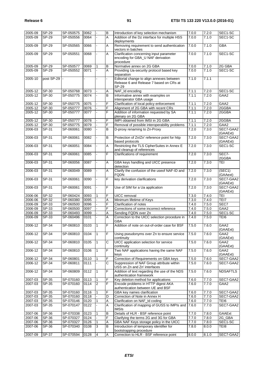| 2005-09            | SP-29          | SP-050575              | 0062         |                | B              | Introduction of key selection mechanism                                              | 7.0.0          | 7.2.0          | SEC1-SC               |
|--------------------|----------------|------------------------|--------------|----------------|----------------|--------------------------------------------------------------------------------------|----------------|----------------|-----------------------|
| 2005-09            | SP-29          | SP-050556              | 0064         |                | A              | Addition of the Dz interface for multiple HSS                                        | 7.0.0          | 7.1.0          | SEC1-SC               |
| 2005-09            | $SP-29$        | SP-050565              | 0066         |                | A              | deployments<br>Removing requirement to send authentication                           | 7.0.0          | 7.1.0          | <b>GBA</b>            |
| 2005-09            | $SP-29$        | SP-050551              | 0068         |                | A              | vectors in batches<br>Clarification concerning input parameter                       | 7.0.0          | 7.1.0          | SEC1-SC               |
|                    |                |                        |              |                |                | encoding for GBA_U NAF derivation<br>procedure                                       |                |                |                       |
| 2005-09            | SP-29          | SP-050577              | 0069         | 1              | B              | Normative annex on 2G GBA                                                            | 7.0.0          | 7.1.0          | 2G GBA                |
| 2005-09            | SP-29          | SP-050552              | 0071         |                | A              | Providing Ua-security protocol based key<br>separation                               | 7.0.0          | 7.1.0          | SEC1-SC               |
| 2005-10            | post SP-29     |                        |              |                |                | Editorial change to align annexes between<br>Release 6 and Release 7 based on CRs at | 7.1.0          | 7.1.1          |                       |
| 2005-12            | SP-30          | SP-050768              | 0073         |                |                | SP-29<br>NAF_Id encoding                                                             | 7.1.1          | 7.2.0          | SEC1-SC               |
|                    |                |                        |              |                | Α<br>B         | Informative annex with examples on                                                   |                |                |                       |
| 2005-12            | SP-30          | SP-050775              | 0074         |                |                | interoperator GBA usage                                                              | 7.1.1          | 7.2.0          | GAA2                  |
| 2005-12            | SP-30          | SP-050775              | 0075         |                | F              | Clarification of local policy enforcement                                            | 7.1.1          | 7.2.0          | GAA2                  |
| 2005-12            | $SP-30$        | SP-050777              | 0076         |                | F              | Alignment of 2G GBA with recent CRs                                                  | 7.1.1          | 7.2.0          | 2GGBA                 |
| 2005-12            | SP-30          | SP-050777              | 0077         |                | F              | Addition of information requested by SA<br>plenary on 2G GBA                         | 7.1.1          | 7.2.0          | 2GGBA                 |
| 2005-12            | SP-30          | SP-050777              | 0078         |                | F              | IMPI obtained from IMSI in 2G GBA                                                    | 7.1.1          | 7.2.0          | 2GGBA                 |
| $2005 - 12$        | $SP-30$        | SP-050775              | 0079         |                | F              | Removal of possible interoperability problems                                        | 7.1.1          | 7.2.0          | GAA2                  |
| 2006-03            | SP-31          | SP-060061              | 0080         |                | B              | D-proxy renaming to Zn-Proxy                                                         | 7.2.0          | 7.3.0          | SEC7-GAA2<br>(GAAExt) |
| 2006-03            | SP-31          | SP-060061              | 0082         |                | B              | Protection of Zn/Zn' reference point for http<br>based protocols                     | 7.2.0          | 7.3.0          | SEC7-GAA2<br>(GAAExt) |
| 2006-03            | $SP-31$        | SP-060051              | 0084         |                | $\overline{A}$ | Restricting the TLS CipherSuites in Annex E<br>and cleanup of references             | 7.2.0          | 7.3.0          | SEC1-SC               |
| 2006-03            | $SP-31$        | SP-060061              | 0085         |                | F              | Clarifications of requirement                                                        | 7.2.0          | 7.3.0          | SEC7-<br>2GGBA        |
| 2006-03            | $SP-31$        | SP-060056              | 0087         |                | A              | GBA keys handling and UICC presence                                                  | 7.2.0          | 7.3.0          | TEI                   |
| 2006-03            | $SP-31$        | SP-060049              | 0089         |                | Α              | detection<br>Clarify the confusion of the useof NAF-ID and                           | 7.2.0          | 7.3.0          | (SEC1)                |
| 2006-03            | SP-31          | SP-060061              | 0090         |                | $\mathsf F$    | <b>FQDN</b><br>key derivation clarifications                                         | 7.2.0          | 7.3.0          | (GAAext)<br>SEC7-GAA2 |
| 2006-03            | $SP-31$        | SP-060061              | 0091         |                | $\overline{F}$ | Use of SIM for a Ua application                                                      | 7.2.0          | 7.3.0          | (GAAExt)<br>SEC7-GAA2 |
|                    |                |                        |              |                |                |                                                                                      |                |                | (GAAExt)              |
| 2006-06            | SP-32          | SP-060424              | 0093         | $\mathbf{1}$   | F              | <b>UICC</b> removal                                                                  | 7.3.0          | 7.4.0          | <b>TEI</b>            |
| 2006-06            | $SP-32$        | SP-060380              | 0095         |                | Α              | Minimum lifetime of Keys                                                             | 7.3.0          | 7.4.0          | TEI7                  |
| 2006-09            | $SP-33$        | SP-060500              | 0096         |                | F              | Clarification of notes                                                               | 7.4.0          | 7.5.0          | SEC7<br>GAA2          |
| 2006-09            | $SP-33$        | SP-060500              | 0097         |                | F              | Corrections of some incorrect reference                                              | 7.4.0          | 7.5.0          |                       |
| 2006-09<br>2006-09 | SP-33<br>SP-33 | SP-060493<br>SP-060496 | 0099<br>0101 |                | Α<br>A         | Sending FQDN over Zn<br>Correction to the UICC selection procedure in<br>GBA         | 7.4.0<br>7.4.0 | 7.5.0<br>7.5.0 | SEC1-SC<br>TEI6       |
| 2006-12            | SP-34          | SP-060810              | 0103         | $\vert$ 1      | ĮF             | Addition of note on out-of-order case for BSF                                        | 7.5.0          | 7.6.0          | GAA2<br>(GAAExt)      |
| 2006-12            | SP-34          | SP-060810              | 0104         | $\mathbf{1}$   | F              | Using pseudonyms over Zn to ensure service<br>continuity                             | 7.5.0          | 7.6.0          | GAA2<br>(GAAExt)      |
| 2006-12            | SP-34          | SP-060810              | 0105         | $\mathbf{1}$   | C              | UICC application selection for service<br>continuity                                 | 7.5.0          | 7.6.0          | GAA2<br>(GAAExt)      |
| 2006-12            | SP-34          | SP-060810              | 0106         | $\mathbf{1}$   | F              | Two NAF applications having the same NAF<br>keys                                     | 7.5.0          | 7.6.0          | GAA2<br>(GAAExt)      |
| 2006-12            | SP-34          | SP-060801              | 0110         | 1              | F              | Correction of Requirements on GBA keys                                               | 7.5.0          | 7.6.0          | SEC7-GAA2             |
| 2006-12            | SP-34          | SP-060811              | 0111         |                | $\overline{c}$ | Suppression of NAF Group attribute within<br>USS on Zn and Zn' interfaces            | 7.5.0          | 7.6.0          | SEC7-GAA2             |
| 2006-12            | $SP-34$        | SP-060809              | 0112         | 1              | F              | Addition of text regarding the use of the NDS<br>authentication framework            | 7.5.0          | 7.6.0          | <b>NDSAFTLS</b>       |
| 2007-03            | SP-35          | SP-070160              | 0113         |                | F              | Key deletion method for applications                                                 | 7.6.0          | 7.7.0          | SEC7-GAA2             |
| 2007-03            | SP-35          | SP-070160              | 0114         | $\overline{2}$ | F              | Encode problems in HTTP digest AKA                                                   | 7.6.0          | 7.7.0          | GAA2                  |
|                    |                |                        |              |                |                | authentication between UE and BSF                                                    |                |                |                       |
| 2007-03            | SP-35          | SP-070160              | 0116         |                | F              | GBA key names clarification                                                          | 7.6.0          | 7.7.0          | SEC7-GAA2             |
| 2007-03            | SP-35          | SP-070160              | 0118         |                | D              | Correction of Note in Annex H                                                        | 7.6.0          | 7.7.0          | SEC7-GAA2             |
| 2007-03            | SP-35          | SP-070146              | 0120         | 1              | Α              | Clarification on NAF_Id coding                                                       | 7.6.0          | 7.7.0          | TEI6                  |
| 2007-03            | SP-35          | SP-070147              | 0122         |                | A              | Clarification of mapping of GUSS to IMPIs and<br><b>IMSIs</b>                        | 7.6.0          | 7.7.0          | SEC7-GAA2             |
| 2007-06            | SP-36          | SP-070338              | 0123         | 1              | B              | Details of HLR - BSF reference point                                                 | 7.7.0          | 7.8.0          | GAAExt                |
| 2007-06            | SP-36          | SP-070327              | 0124         |                | F              | Clarifying the terms 2G and 3G for GBA                                               | 7.7.0          | 7.8.0          | 2G_GBA                |
| 2007-06            | SP-36          | SP-070327              | 0126         | 1              | Α              | GBA NAF Keys storage policy in the UICC                                              | 7.7.0          | 7.8.0          | SEC1-SC               |
| 2007-06            | SP-36          | SP-070340              | 0108         | 3              | B              | Introduction of temporary identifier for<br>bootstrapping procedure                  | 7.8.0          | 8.0.0          | TEI8                  |
| 2007-09            | SP-37          | SP-070594              | 0128         | 4              | Α              | Correction to HLR - BSF reference point                                              | 8.0.0          | 8.1.0          | SEC7-GAA2             |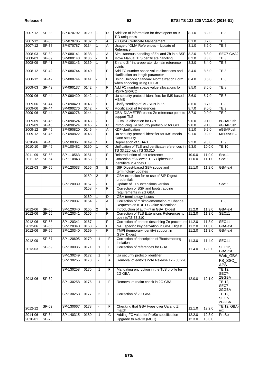8.1.0 8.2.0 TEI8

|             |              |           |      |                |                         | TID uniquenss                                                                     |        |        |                        |
|-------------|--------------|-----------|------|----------------|-------------------------|-----------------------------------------------------------------------------------|--------|--------|------------------------|
| 2007-12     | SP-38        | SP-070785 | 0132 | 1              | A                       | 2G GBA Certificate Management                                                     | 8.1.0  | 8.2.0  | TEI8                   |
| $2007 - 12$ | SP-38        | SP-070787 | 0134 | $\mathbf{1}$   | $\overline{A}$          | Usage of OMA References - Update of                                               | 8.1.0  | 8.2.0  | TEI8                   |
|             |              |           |      |                |                         | Reference                                                                         |        |        |                        |
| 2008-03     | SP-39        | SP-080141 | 0138 |                | A                       | Simultaneous handling of Zh' and Zh in a BSF                                      | 8.2.0  | 8.3.0  | SEC7-GAA2              |
| 2008-03     | $SP-39$      | SP-080143 | 0136 |                | F                       | Move Manual TLS certificate handling                                              | 8.2.0  | 8.3.0  | TEI8                   |
| 2008-09     | SP-41        | SP-080143 | 0139 | $\mathbf{1}$   | F                       | Zh and Zh' intra-operator domain reference<br>points                              | 8.3.0  | 8.4.0  | TEI8                   |
| 2008-12     | $SP-42$      | SP-080744 | 0140 |                | $\overline{F}$          | Add FC number space value allocations and<br>clarification on length parameter    | 8.4.0  | 8.5.0  | TEI8                   |
| 2008-12     | SP-42        | SP-080744 | 0141 |                | F                       | Using Unicode Standard Normalization Form<br>when encoding using UTF-8            | 8.4.0  | 8.5.0  | TEI8                   |
| 2009-03     | SP-43        | SP-090137 | 0142 |                | F                       | Add FC number space value allocations for<br><b>HSPA SRVCC</b>                    | 8.5.0  | 8.6.0  | TEI8                   |
| 2009-06     | <b>SP-44</b> | SP-090420 | 0142 | $\mathbf{1}$   | F                       | Ua security protocol identifiers for IMS based<br><b>MBMS</b>                     | 8.6.0  | 8.7.0  | TEI8                   |
| 2009-06     | <b>SP-44</b> | SP-090420 | 0143 |                | F                       | Clarify sending of MSISDN in Zn                                                   | 8.6.0  | 8.7.0  | TEI8                   |
| $2009 - 06$ | <b>SP-44</b> | SP-090276 | 0142 |                | $\overline{\text{c}}$   | Modification of References                                                        | 8.7.0  | 9.0.0  | TEI9                   |
| 2009-06     | SP-44        | SP-090276 | 0144 | $\mathbf{1}$   | B                       | GBA DIAMETER based Zn reference point to<br>support TLS                           | 8.7.0  | 9.0.0  | TEI9                   |
| 2009-09     | $SP-45$      | SP-090524 | 0143 |                | F                       | FC value allocation for GPL                                                       | 9.0.0  | 9.1.0  | eGBAPush               |
| 2009-09     | SP-45        | SP-090524 | 0145 |                | $\overline{C}$          | Introducing Ua security protocol Id for GPL                                       | 9.0.0  | 9.1.0  | eGBAPush               |
| 2009-12     | SP-46        | SP-090820 | 0146 |                | $\overline{A}$          | <b>KDF</b> clarification                                                          | 9.1.0  | 9.2.0  | eGBAPush               |
| 2009-12     | SP-46        | SP-090822 | 0148 |                | $\overline{\mathsf{F}}$ | Ua security protocol identifier for IMS media<br>plane security                   | 9.1.0  | 9.2.0  | <b>MEDIASEC</b>        |
| 2010-06     | <b>SP-48</b> | SP-100361 | 0149 |                | F                       | Deprecation of SHA-1                                                              | 9.2.0  | 9.3.0  | TEI9                   |
| 2010-10     | SP-49        | SP-100482 | 0150 | $\mathbf{1}$   | $\overline{\text{c}}$   | Unification of TLS and certificate references in<br>TS 33.220 with TS 33.310      | 9.3.0  | 10.0.0 | <b>TEI10</b>           |
| 2011-09     | $SP-53$      | SP-110563 | 0151 |                | F                       | Reintroduction of lost reference                                                  | 10.0.0 | 11.0.0 | Sec11                  |
| 2011-12     | SP-54        | SP-110848 | 0153 | $\mathbf{1}$   | F                       | Correction of Allowed TLS Ciphersuite<br>Identifiers in Annex H.3                 | 11.0.0 | 11.1.0 | Sec11                  |
| $2012 - 03$ | SP-55        | SP-120033 | 0156 | 3              | $\overline{B}$          | SIP Digest-based GBA scope and<br>terminology updates                             | 11.1.0 | 11.2.0 | GBA-ext                |
|             |              |           | 0159 | 2              | B                       | GBA extension for re-use of SIP Digest<br>credentials                             |        |        |                        |
|             |              | SP-120039 | 0157 |                | F                       | Update of TLS extensions version                                                  |        |        | Sec11                  |
|             |              |           | 0158 |                | F                       | Correction of BSF and bootstrapping<br>requirements in 2G GBA                     |        |        |                        |
|             |              |           | 0160 |                | D                       | GBA terminology issues                                                            |        |        |                        |
|             |              | SP-120037 | 0164 |                | A                       | Correction of misimplementation of Change<br>Requests on KDF FC value allocations |        |        | TEI8                   |
| $2012 - 06$ | SP-56        | SP-120340 | 0165 | 2              | F                       | Introduction of auth-int in GBA_Digest                                            | 11.2.0 | 11.3.0 | GBA-ext                |
| 2012-06     | SP-56        | SP-120341 | 0166 |                | F                       | Correction of TLS Extensions References to<br>point toTS 33.310                   | 11.2.0 | 11.3.0 | SEC11                  |
| 2012-06     | SP-56        | SP-120341 | 0167 |                | F                       | Correction of phrase describing Zn procedure 11.2.0                               |        | 11.3.0 | SEC11                  |
| 2012-06     | SP-56        | SP-120340 | 0168 |                | F                       | NAF specific key derivation in GBA_Digest                                         | 11.2.0 | 11.3.0 | GBA-ext                |
| 2012-06     | <b>SP-56</b> | SP-120340 | 0169 |                | F                       | TMPI (temporary identity) support in<br>GBA_Digest                                | 11.2.0 | 11.3.0 | GBA-ext                |
| 2012-09     | $SP-57$      | SP-120605 | 0170 | 1              | F                       | Correction of description of 'Bootstrapping<br>Initiation'                        | 11.3.0 | 11.4.0 | SEC11                  |
| 2013-03     | SP-59        | SP-130036 | 0171 | $\mathbf{1}$   | F                       | Correction of references for GBA                                                  | 11.4.0 | 12.0.0 | SEC12,<br>GBA-ext      |
|             |              | SP-130249 | 0172 | $\mathbf{1}$   | F                       | Ua security protocol identifier                                                   |        |        | Web_GBA                |
|             |              | SP-130255 | 0173 | $\blacksquare$ | Α                       | Removal of editor's note Release 12 - 33.220                                      |        |        | FS_SSO_<br><b>APS</b>  |
|             |              | SP-130258 | 0175 | $\mathbf{1}$   | F                       | Mandating encryption in the TLS profile for<br>2G GBA                             |        |        | <b>TEI12,</b><br>SEC7- |
| 2013-06     | SP-60        | SP-130258 | 0176 | $\mathbf{1}$   | F                       | Removal of realm check in 2G GBA                                                  | 12.0.0 | 12.1.0 | 2GGBA<br>TEI12,        |
|             |              |           |      |                |                         |                                                                                   |        |        | SEC7-<br>2GGBA         |
|             |              | SP-130258 | 0177 | 2              | F                       | Correction of 2G GBA                                                              |        |        | <b>TEI12,</b>          |
|             |              |           |      |                |                         |                                                                                   |        |        | SEC7-<br>2GGBA         |
| 2012-12     | SP-62        | SP-130667 | 0178 | $\blacksquare$ | F                       | Checking that GBA types over Ua and Zn<br>match                                   | 12.1.0 | 12.2.0 | TEI12, GBA-<br>ext     |
| 2014-06     | SP-64        | SP-140315 | 0180 | 1              | С                       | Adding FC value for ProSe specification                                           | 12.2.0 | 12.3.0 | ProSe                  |
| 2016-01     | SP-70        |           |      |                |                         | Upgrade to Rel-13 (MCC)                                                           | 12.3.0 | 13.0.0 |                        |

2007-12 SP-38 SP-070792 0129 1 D Addition of information for developers on B-